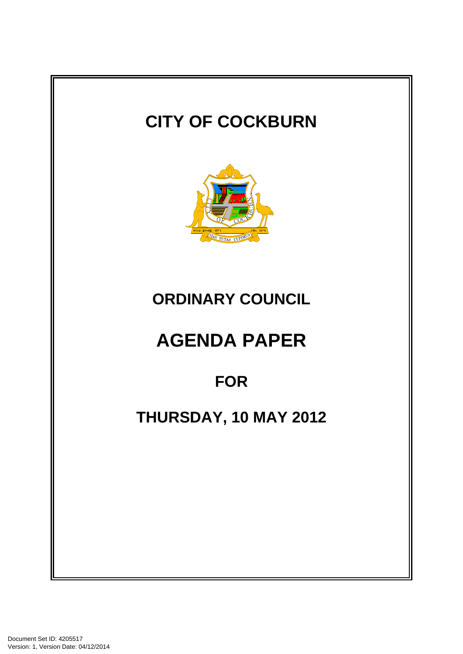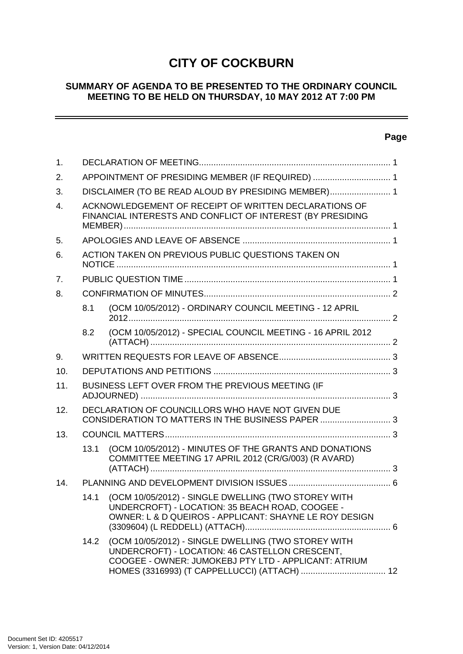# **CITY OF COCKBURN**

## **SUMMARY OF AGENDA TO BE PRESENTED TO THE ORDINARY COUNCIL MEETING TO BE HELD ON THURSDAY, 10 MAY 2012 AT 7:00 PM**

## **Page**

 $\overline{\phantom{a}}$ 

| 1.               |                                                                                                                     |                                                                                                                                                                  |  |
|------------------|---------------------------------------------------------------------------------------------------------------------|------------------------------------------------------------------------------------------------------------------------------------------------------------------|--|
| 2.               | APPOINTMENT OF PRESIDING MEMBER (IF REQUIRED)  1                                                                    |                                                                                                                                                                  |  |
| 3.               | DISCLAIMER (TO BE READ ALOUD BY PRESIDING MEMBER) 1                                                                 |                                                                                                                                                                  |  |
| $\overline{4}$ . | ACKNOWLEDGEMENT OF RECEIPT OF WRITTEN DECLARATIONS OF<br>FINANCIAL INTERESTS AND CONFLICT OF INTEREST (BY PRESIDING |                                                                                                                                                                  |  |
| 5.               |                                                                                                                     |                                                                                                                                                                  |  |
| 6.               | ACTION TAKEN ON PREVIOUS PUBLIC QUESTIONS TAKEN ON                                                                  |                                                                                                                                                                  |  |
| 7.               |                                                                                                                     |                                                                                                                                                                  |  |
| 8.               |                                                                                                                     |                                                                                                                                                                  |  |
|                  | 8.1                                                                                                                 | (OCM 10/05/2012) - ORDINARY COUNCIL MEETING - 12 APRIL                                                                                                           |  |
|                  | 8.2                                                                                                                 | (OCM 10/05/2012) - SPECIAL COUNCIL MEETING - 16 APRIL 2012                                                                                                       |  |
| 9.               |                                                                                                                     |                                                                                                                                                                  |  |
| 10.              |                                                                                                                     |                                                                                                                                                                  |  |
| 11.              | BUSINESS LEFT OVER FROM THE PREVIOUS MEETING (IF                                                                    |                                                                                                                                                                  |  |
| 12.              |                                                                                                                     | DECLARATION OF COUNCILLORS WHO HAVE NOT GIVEN DUE<br>CONSIDERATION TO MATTERS IN THE BUSINESS PAPER  3                                                           |  |
| 13.              |                                                                                                                     |                                                                                                                                                                  |  |
|                  | 13.1                                                                                                                | (OCM 10/05/2012) - MINUTES OF THE GRANTS AND DONATIONS<br>COMMITTEE MEETING 17 APRIL 2012 (CR/G/003) (R AVARD)                                                   |  |
| 14.              |                                                                                                                     |                                                                                                                                                                  |  |
|                  | 14.1                                                                                                                | (OCM 10/05/2012) - SINGLE DWELLING (TWO STOREY WITH<br>UNDERCROFT) - LOCATION: 35 BEACH ROAD, COOGEE -<br>OWNER: L & D QUEIROS - APPLICANT: SHAYNE LE ROY DESIGN |  |
|                  | 14.2                                                                                                                | (OCM 10/05/2012) - SINGLE DWELLING (TWO STOREY WITH<br>UNDERCROFT) - LOCATION: 46 CASTELLON CRESCENT,<br>COOGEE - OWNER: JUMOKEBJ PTY LTD - APPLICANT: ATRIUM    |  |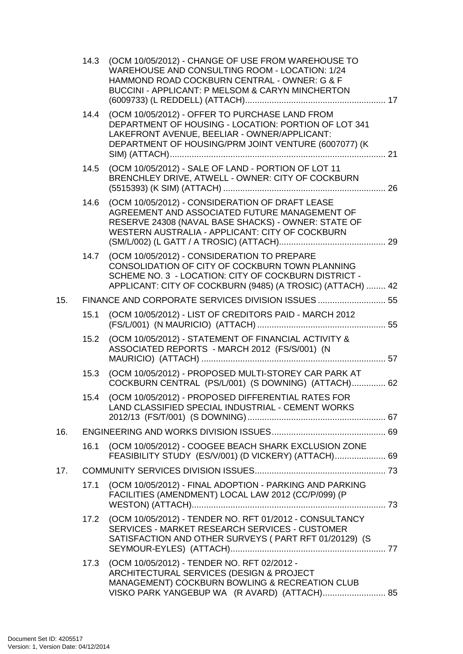|     | 14.3 | (OCM 10/05/2012) - CHANGE OF USE FROM WAREHOUSE TO<br>WAREHOUSE AND CONSULTING ROOM - LOCATION: 1/24<br>HAMMOND ROAD COCKBURN CENTRAL - OWNER: G & F<br><b>BUCCINI - APPLICANT: P MELSOM &amp; CARYN MINCHERTON</b>  |  |
|-----|------|----------------------------------------------------------------------------------------------------------------------------------------------------------------------------------------------------------------------|--|
|     |      | 14.4 (OCM 10/05/2012) - OFFER TO PURCHASE LAND FROM<br>DEPARTMENT OF HOUSING - LOCATION: PORTION OF LOT 341<br>LAKEFRONT AVENUE, BEELIAR - OWNER/APPLICANT:<br>DEPARTMENT OF HOUSING/PRM JOINT VENTURE (6007077) (K  |  |
|     | 14.5 | (OCM 10/05/2012) - SALE OF LAND - PORTION OF LOT 11<br>BRENCHLEY DRIVE, ATWELL - OWNER: CITY OF COCKBURN                                                                                                             |  |
|     | 14.6 | (OCM 10/05/2012) - CONSIDERATION OF DRAFT LEASE<br>AGREEMENT AND ASSOCIATED FUTURE MANAGEMENT OF<br>RESERVE 24308 (NAVAL BASE SHACKS) - OWNER: STATE OF<br>WESTERN AUSTRALIA - APPLICANT: CITY OF COCKBURN           |  |
|     | 14.7 | (OCM 10/05/2012) - CONSIDERATION TO PREPARE<br>CONSOLIDATION OF CITY OF COCKBURN TOWN PLANNING<br>SCHEME NO. 3 - LOCATION: CITY OF COCKBURN DISTRICT -<br>APPLICANT: CITY OF COCKBURN (9485) (A TROSIC) (ATTACH)  42 |  |
| 15. |      | FINANCE AND CORPORATE SERVICES DIVISION ISSUES 55                                                                                                                                                                    |  |
|     | 15.1 | (OCM 10/05/2012) - LIST OF CREDITORS PAID - MARCH 2012                                                                                                                                                               |  |
|     | 15.2 | (OCM 10/05/2012) - STATEMENT OF FINANCIAL ACTIVITY &<br>ASSOCIATED REPORTS - MARCH 2012 (FS/S/001) (N                                                                                                                |  |
|     | 15.3 | (OCM 10/05/2012) - PROPOSED MULTI-STOREY CAR PARK AT<br>COCKBURN CENTRAL (PS/L/001) (S DOWNING) (ATTACH) 62                                                                                                          |  |
|     | 15.4 | (OCM 10/05/2012) - PROPOSED DIFFERENTIAL RATES FOR<br>LAND CLASSIFIED SPECIAL INDUSTRIAL - CEMENT WORKS                                                                                                              |  |
| 16. |      |                                                                                                                                                                                                                      |  |
|     | 16.1 | (OCM 10/05/2012) - COOGEE BEACH SHARK EXCLUSION ZONE<br>FEASIBILITY STUDY (ES/V/001) (D VICKERY) (ATTACH) 69                                                                                                         |  |
| 17. |      |                                                                                                                                                                                                                      |  |
|     | 17.1 | (OCM 10/05/2012) - FINAL ADOPTION - PARKING AND PARKING<br>FACILITIES (AMENDMENT) LOCAL LAW 2012 (CC/P/099) (P                                                                                                       |  |
|     |      | 17.2 (OCM 10/05/2012) - TENDER NO. RFT 01/2012 - CONSULTANCY<br>SERVICES - MARKET RESEARCH SERVICES - CUSTOMER<br>SATISFACTION AND OTHER SURVEYS (PART RFT 01/20129) (S                                              |  |
|     | 17.3 | (OCM 10/05/2012) - TENDER NO. RFT 02/2012 -<br>ARCHITECTURAL SERVICES (DESIGN & PROJECT<br>MANAGEMENT) COCKBURN BOWLING & RECREATION CLUB<br>VISKO PARK YANGEBUP WA (R AVARD) (ATTACH) 85                            |  |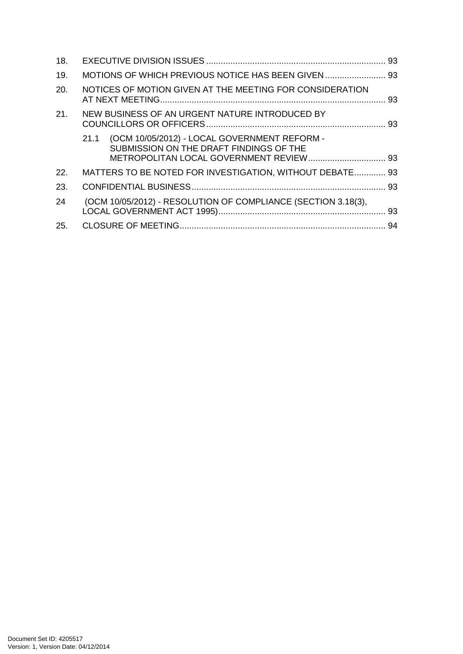| 18. |                                                                                                 |  |
|-----|-------------------------------------------------------------------------------------------------|--|
| 19. |                                                                                                 |  |
| 20. | NOTICES OF MOTION GIVEN AT THE MEETING FOR CONSIDERATION                                        |  |
| 21. | NEW BUSINESS OF AN URGENT NATURE INTRODUCED BY                                                  |  |
|     | (OCM 10/05/2012) - LOCAL GOVERNMENT REFORM -<br>21.1<br>SUBMISSION ON THE DRAFT FINDINGS OF THE |  |
| 22. | MATTERS TO BE NOTED FOR INVESTIGATION, WITHOUT DEBATE 93                                        |  |
| 23. |                                                                                                 |  |
| 24  | (OCM 10/05/2012) - RESOLUTION OF COMPLIANCE (SECTION 3.18(3),                                   |  |
| 25. |                                                                                                 |  |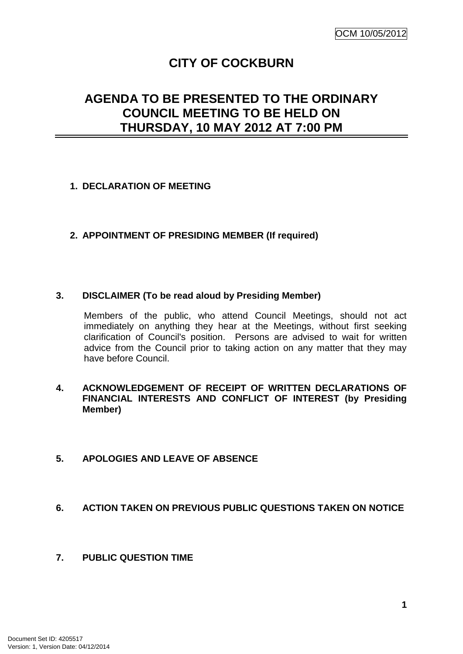# **CITY OF COCKBURN**

# **AGENDA TO BE PRESENTED TO THE ORDINARY COUNCIL MEETING TO BE HELD ON THURSDAY, 10 MAY 2012 AT 7:00 PM**

## **1. DECLARATION OF MEETING**

## **2. APPOINTMENT OF PRESIDING MEMBER (If required)**

## **3. DISCLAIMER (To be read aloud by Presiding Member)**

Members of the public, who attend Council Meetings, should not act immediately on anything they hear at the Meetings, without first seeking clarification of Council's position. Persons are advised to wait for written advice from the Council prior to taking action on any matter that they may have before Council.

## **4. ACKNOWLEDGEMENT OF RECEIPT OF WRITTEN DECLARATIONS OF FINANCIAL INTERESTS AND CONFLICT OF INTEREST (by Presiding Member)**

## **5. APOLOGIES AND LEAVE OF ABSENCE**

## **6. ACTION TAKEN ON PREVIOUS PUBLIC QUESTIONS TAKEN ON NOTICE**

## **7. PUBLIC QUESTION TIME**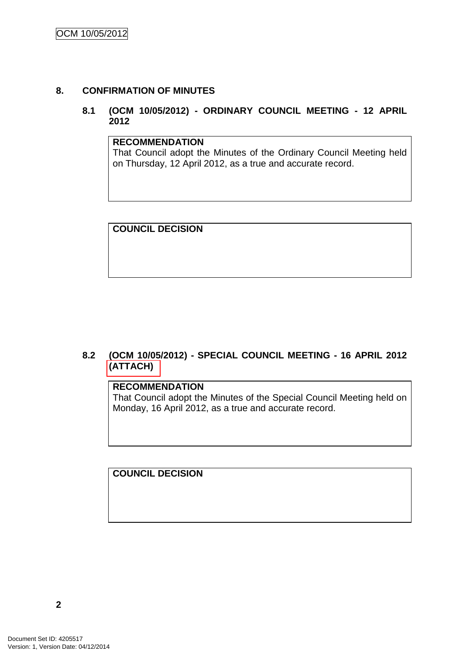## **8. CONFIRMATION OF MINUTES**

## **8.1 (OCM 10/05/2012) - ORDINARY COUNCIL MEETING - 12 APRIL 2012**

#### **RECOMMENDATION**

That Council adopt the Minutes of the Ordinary Council Meeting held on Thursday, 12 April 2012, as a true and accurate record.

**COUNCIL DECISION**

## **8.2 (OCM 10/05/2012) - SPECIAL COUNCIL MEETING - 16 APRIL 2012 (ATTACH)**

## **RECOMMENDATION**

That Council adopt the Minutes of the Special Council Meeting held on Monday, 16 April 2012, as a true and accurate record.

**COUNCIL DECISION**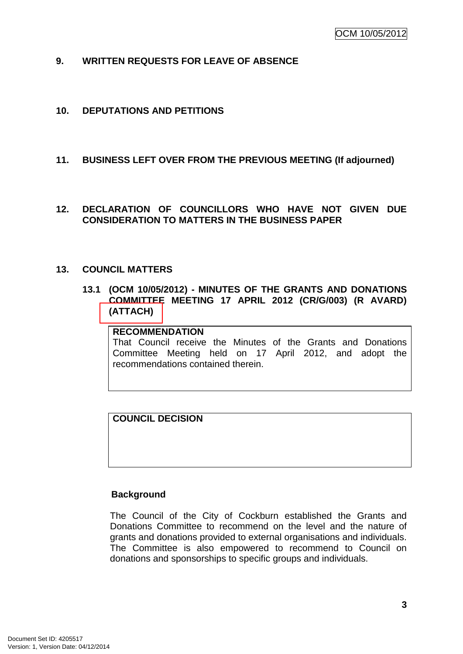- **9. WRITTEN REQUESTS FOR LEAVE OF ABSENCE**
- **10. DEPUTATIONS AND PETITIONS**

## **11. BUSINESS LEFT OVER FROM THE PREVIOUS MEETING (If adjourned)**

**12. DECLARATION OF COUNCILLORS WHO HAVE NOT GIVEN DUE CONSIDERATION TO MATTERS IN THE BUSINESS PAPER**

#### **13. COUNCIL MATTERS**

**13.1 (OCM 10/05/2012) - MINUTES OF THE GRANTS AND DONATIONS COMMITTEE MEETING 17 APRIL 2012 (CR/G/003) (R AVARD) (ATTACH)**

## **RECOMMENDATION**

That Council receive the Minutes of the Grants and Donations Committee Meeting held on 17 April 2012, and adopt the recommendations contained therein.

## **COUNCIL DECISION**

## **Background**

The Council of the City of Cockburn established the Grants and Donations Committee to recommend on the level and the nature of grants and donations provided to external organisations and individuals. The Committee is also empowered to recommend to Council on donations and sponsorships to specific groups and individuals.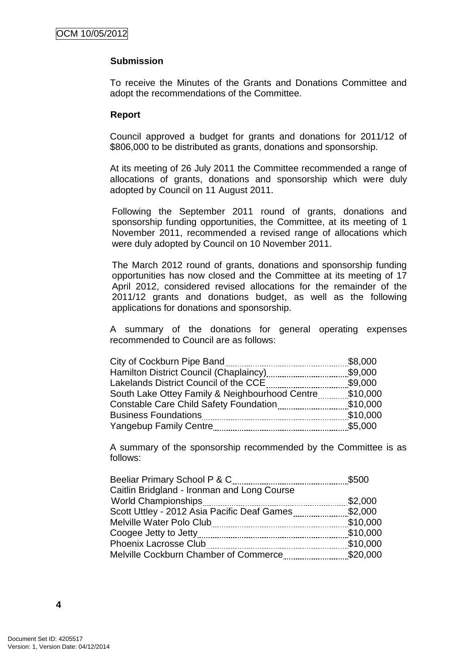#### **Submission**

To receive the Minutes of the Grants and Donations Committee and adopt the recommendations of the Committee.

#### **Report**

Council approved a budget for grants and donations for 2011/12 of \$806,000 to be distributed as grants, donations and sponsorship.

At its meeting of 26 July 2011 the Committee recommended a range of allocations of grants, donations and sponsorship which were duly adopted by Council on 11 August 2011.

Following the September 2011 round of grants, donations and sponsorship funding opportunities, the Committee, at its meeting of 1 November 2011, recommended a revised range of allocations which were duly adopted by Council on 10 November 2011.

The March 2012 round of grants, donations and sponsorship funding opportunities has now closed and the Committee at its meeting of 17 April 2012, considered revised allocations for the remainder of the 2011/12 grants and donations budget, as well as the following applications for donations and sponsorship.

A summary of the donations for general operating expenses recommended to Council are as follows:

| City of Cockburn Pipe Band                     | \$8,000  |
|------------------------------------------------|----------|
| Hamilton District Council (Chaplaincy)         | \$9,000  |
| Lakelands District Council of the CCE          | \$9,000  |
| South Lake Ottey Family & Neighbourhood Centre | \$10,000 |
| <b>Constable Care Child Safety Foundation</b>  | \$10,000 |
| <b>Business Foundations</b>                    | \$10,000 |
| <b>Yangebup Family Centre</b>                  | \$5,000  |
|                                                |          |

A summary of the sponsorship recommended by the Committee is as follows:

| Beeliar Primary School P & C                | \$500    |
|---------------------------------------------|----------|
| Caitlin Bridgland - Ironman and Long Course |          |
| <b>World Championships</b>                  | \$2,000  |
| Scott Uttley - 2012 Asia Pacific Deaf Games | \$2,000  |
| Melville Water Polo Club                    | \$10,000 |
|                                             | \$10,000 |
| <b>Phoenix Lacrosse Club</b>                | \$10,000 |
| Melville Cockburn Chamber of Commerce       | \$20,000 |
|                                             |          |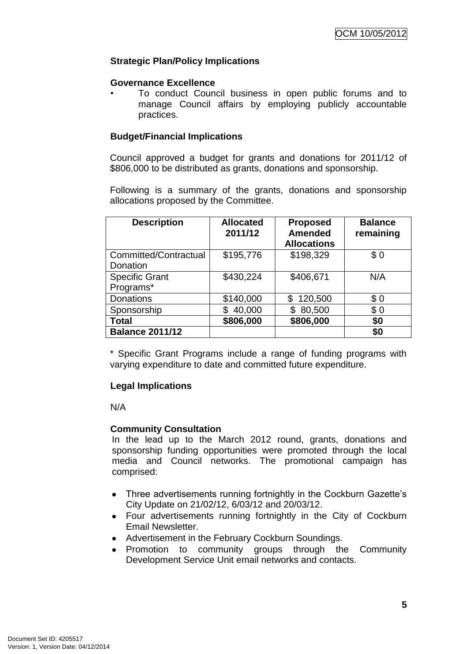## **Strategic Plan/Policy Implications**

#### **Governance Excellence**

• To conduct Council business in open public forums and to manage Council affairs by employing publicly accountable practices.

## **Budget/Financial Implications**

Council approved a budget for grants and donations for 2011/12 of \$806,000 to be distributed as grants, donations and sponsorship.

Following is a summary of the grants, donations and sponsorship allocations proposed by the Committee.

| <b>Description</b>     | <b>Allocated</b><br>2011/12 | <b>Proposed</b><br><b>Amended</b> | <b>Balance</b><br>remaining |
|------------------------|-----------------------------|-----------------------------------|-----------------------------|
|                        |                             | <b>Allocations</b>                |                             |
| Committed/Contractual  | \$195,776                   | \$198,329                         | \$0                         |
| Donation               |                             |                                   |                             |
| <b>Specific Grant</b>  | \$430,224                   | \$406,671                         | N/A                         |
| Programs*              |                             |                                   |                             |
| <b>Donations</b>       | \$140,000                   | 120,500<br>\$                     | \$0                         |
| Sponsorship            | 40,000                      | 80,500                            | \$0                         |
| <b>Total</b>           | \$806,000                   | \$806,000                         | \$0                         |
| <b>Balance 2011/12</b> |                             |                                   | \$0                         |

\* Specific Grant Programs include a range of funding programs with varying expenditure to date and committed future expenditure.

## **Legal Implications**

N/A

## **Community Consultation**

In the lead up to the March 2012 round, grants, donations and sponsorship funding opportunities were promoted through the local media and Council networks. The promotional campaign has comprised:

- Three advertisements running fortnightly in the Cockburn Gazette's City Update on 21/02/12, 6/03/12 and 20/03/12.
- Four advertisements running fortnightly in the City of Cockburn Email Newsletter.
- Advertisement in the February Cockburn Soundings.
- Promotion to community groups through the Community Development Service Unit email networks and contacts.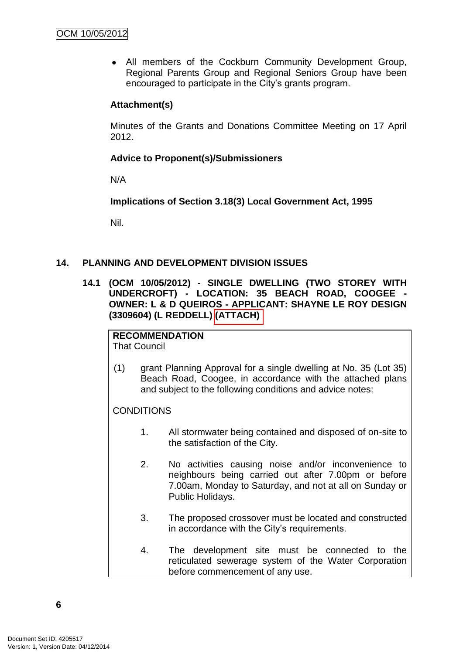All members of the Cockburn Community Development Group, Regional Parents Group and Regional Seniors Group have been encouraged to participate in the City"s grants program.

## **Attachment(s)**

Minutes of the Grants and Donations Committee Meeting on 17 April 2012.

## **Advice to Proponent(s)/Submissioners**

N/A

**Implications of Section 3.18(3) Local Government Act, 1995**

Nil.

## **14. PLANNING AND DEVELOPMENT DIVISION ISSUES**

**14.1 (OCM 10/05/2012) - SINGLE DWELLING (TWO STOREY WITH UNDERCROFT) - LOCATION: 35 BEACH ROAD, COOGEE - OWNER: L & D QUEIROS - APPLICANT: SHAYNE LE ROY DESIGN (3309604) (L REDDELL) (ATTACH)** 

## **RECOMMENDATION**

That Council

(1) grant Planning Approval for a single dwelling at No. 35 (Lot 35) Beach Road, Coogee, in accordance with the attached plans and subject to the following conditions and advice notes:

## **CONDITIONS**

- 1. All stormwater being contained and disposed of on-site to the satisfaction of the City.
- 2. No activities causing noise and/or inconvenience to neighbours being carried out after 7.00pm or before 7.00am, Monday to Saturday, and not at all on Sunday or Public Holidays.
- 3. The proposed crossover must be located and constructed in accordance with the City's requirements.
- 4. The development site must be connected to the reticulated sewerage system of the Water Corporation before commencement of any use.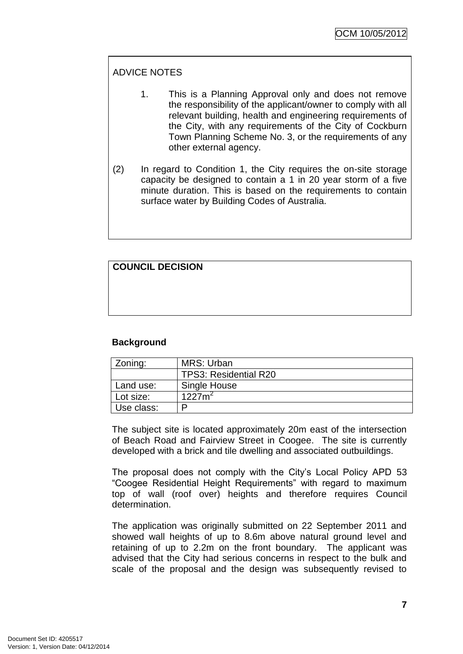## ADVICE NOTES

- 1. This is a Planning Approval only and does not remove the responsibility of the applicant/owner to comply with all relevant building, health and engineering requirements of the City, with any requirements of the City of Cockburn Town Planning Scheme No. 3, or the requirements of any other external agency.
- (2) In regard to Condition 1, the City requires the on-site storage capacity be designed to contain a 1 in 20 year storm of a five minute duration. This is based on the requirements to contain surface water by Building Codes of Australia.

## **COUNCIL DECISION**

## **Background**

| Zoning:    | MRS: Urban                   |
|------------|------------------------------|
|            | <b>TPS3: Residential R20</b> |
| Land use:  | Single House                 |
| Lot size:  | $1227m^2$                    |
| Use class: | D                            |

The subject site is located approximately 20m east of the intersection of Beach Road and Fairview Street in Coogee. The site is currently developed with a brick and tile dwelling and associated outbuildings.

The proposal does not comply with the City"s Local Policy APD 53 "Coogee Residential Height Requirements" with regard to maximum top of wall (roof over) heights and therefore requires Council determination.

The application was originally submitted on 22 September 2011 and showed wall heights of up to 8.6m above natural ground level and retaining of up to 2.2m on the front boundary. The applicant was advised that the City had serious concerns in respect to the bulk and scale of the proposal and the design was subsequently revised to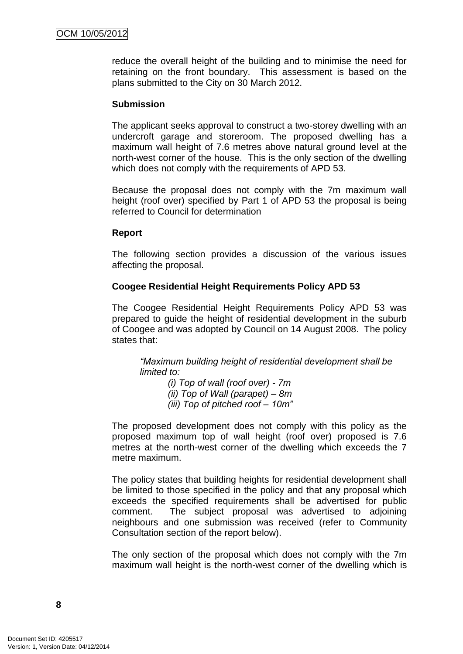reduce the overall height of the building and to minimise the need for retaining on the front boundary. This assessment is based on the plans submitted to the City on 30 March 2012.

#### **Submission**

The applicant seeks approval to construct a two-storey dwelling with an undercroft garage and storeroom. The proposed dwelling has a maximum wall height of 7.6 metres above natural ground level at the north-west corner of the house. This is the only section of the dwelling which does not comply with the requirements of APD 53.

Because the proposal does not comply with the 7m maximum wall height (roof over) specified by Part 1 of APD 53 the proposal is being referred to Council for determination

#### **Report**

The following section provides a discussion of the various issues affecting the proposal.

## **Coogee Residential Height Requirements Policy APD 53**

The Coogee Residential Height Requirements Policy APD 53 was prepared to guide the height of residential development in the suburb of Coogee and was adopted by Council on 14 August 2008. The policy states that:

*―Maximum building height of residential development shall be limited to:*

*(i) Top of wall (roof over) - 7m (ii) Top of Wall (parapet) – 8m (iii) Top of pitched roof – 10m‖*

The proposed development does not comply with this policy as the proposed maximum top of wall height (roof over) proposed is 7.6 metres at the north-west corner of the dwelling which exceeds the 7 metre maximum.

The policy states that building heights for residential development shall be limited to those specified in the policy and that any proposal which exceeds the specified requirements shall be advertised for public comment. The subject proposal was advertised to adjoining neighbours and one submission was received (refer to Community Consultation section of the report below).

The only section of the proposal which does not comply with the 7m maximum wall height is the north-west corner of the dwelling which is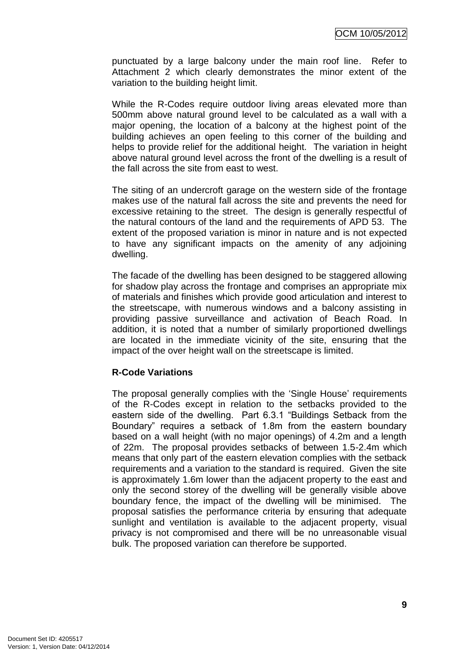punctuated by a large balcony under the main roof line. Refer to Attachment 2 which clearly demonstrates the minor extent of the variation to the building height limit.

While the R-Codes require outdoor living areas elevated more than 500mm above natural ground level to be calculated as a wall with a major opening, the location of a balcony at the highest point of the building achieves an open feeling to this corner of the building and helps to provide relief for the additional height. The variation in height above natural ground level across the front of the dwelling is a result of the fall across the site from east to west.

The siting of an undercroft garage on the western side of the frontage makes use of the natural fall across the site and prevents the need for excessive retaining to the street. The design is generally respectful of the natural contours of the land and the requirements of APD 53. The extent of the proposed variation is minor in nature and is not expected to have any significant impacts on the amenity of any adjoining dwelling.

The facade of the dwelling has been designed to be staggered allowing for shadow play across the frontage and comprises an appropriate mix of materials and finishes which provide good articulation and interest to the streetscape, with numerous windows and a balcony assisting in providing passive surveillance and activation of Beach Road. In addition, it is noted that a number of similarly proportioned dwellings are located in the immediate vicinity of the site, ensuring that the impact of the over height wall on the streetscape is limited.

## **R-Code Variations**

The proposal generally complies with the 'Single House' requirements of the R-Codes except in relation to the setbacks provided to the eastern side of the dwelling. Part 6.3.1 "Buildings Setback from the Boundary" requires a setback of 1.8m from the eastern boundary based on a wall height (with no major openings) of 4.2m and a length of 22m. The proposal provides setbacks of between 1.5-2.4m which means that only part of the eastern elevation complies with the setback requirements and a variation to the standard is required. Given the site is approximately 1.6m lower than the adjacent property to the east and only the second storey of the dwelling will be generally visible above boundary fence, the impact of the dwelling will be minimised. The proposal satisfies the performance criteria by ensuring that adequate sunlight and ventilation is available to the adjacent property, visual privacy is not compromised and there will be no unreasonable visual bulk. The proposed variation can therefore be supported.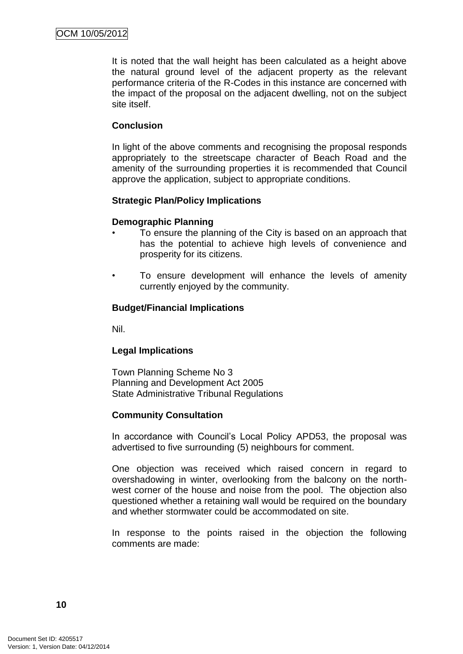It is noted that the wall height has been calculated as a height above the natural ground level of the adjacent property as the relevant performance criteria of the R-Codes in this instance are concerned with the impact of the proposal on the adjacent dwelling, not on the subject site itself.

#### **Conclusion**

In light of the above comments and recognising the proposal responds appropriately to the streetscape character of Beach Road and the amenity of the surrounding properties it is recommended that Council approve the application, subject to appropriate conditions.

## **Strategic Plan/Policy Implications**

#### **Demographic Planning**

- To ensure the planning of the City is based on an approach that has the potential to achieve high levels of convenience and prosperity for its citizens.
- To ensure development will enhance the levels of amenity currently enjoyed by the community.

#### **Budget/Financial Implications**

Nil.

## **Legal Implications**

Town Planning Scheme No 3 Planning and Development Act 2005 State Administrative Tribunal Regulations

## **Community Consultation**

In accordance with Council"s Local Policy APD53, the proposal was advertised to five surrounding (5) neighbours for comment.

One objection was received which raised concern in regard to overshadowing in winter, overlooking from the balcony on the northwest corner of the house and noise from the pool. The objection also questioned whether a retaining wall would be required on the boundary and whether stormwater could be accommodated on site.

In response to the points raised in the objection the following comments are made: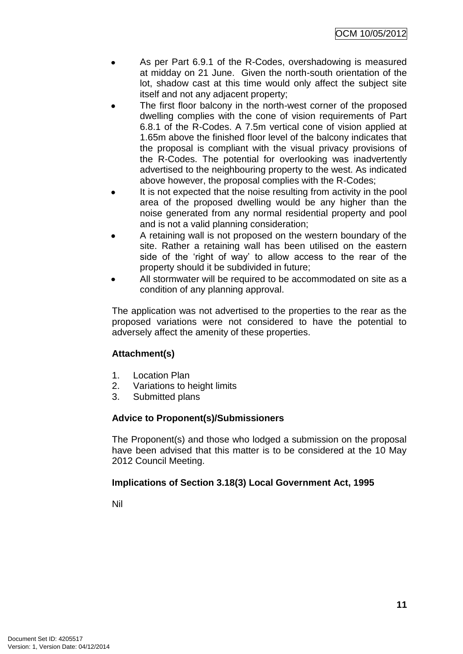- As per Part 6.9.1 of the R-Codes, overshadowing is measured at midday on 21 June. Given the north-south orientation of the lot, shadow cast at this time would only affect the subject site itself and not any adjacent property;
- The first floor balcony in the north-west corner of the proposed dwelling complies with the cone of vision requirements of Part 6.8.1 of the R-Codes. A 7.5m vertical cone of vision applied at 1.65m above the finished floor level of the balcony indicates that the proposal is compliant with the visual privacy provisions of the R-Codes. The potential for overlooking was inadvertently advertised to the neighbouring property to the west. As indicated above however, the proposal complies with the R-Codes;
- It is not expected that the noise resulting from activity in the pool area of the proposed dwelling would be any higher than the noise generated from any normal residential property and pool and is not a valid planning consideration;
- A retaining wall is not proposed on the western boundary of the site. Rather a retaining wall has been utilised on the eastern side of the 'right of way' to allow access to the rear of the property should it be subdivided in future;
- All stormwater will be required to be accommodated on site as a condition of any planning approval.

The application was not advertised to the properties to the rear as the proposed variations were not considered to have the potential to adversely affect the amenity of these properties.

## **Attachment(s)**

- 1. Location Plan
- 2. Variations to height limits
- 3. Submitted plans

## **Advice to Proponent(s)/Submissioners**

The Proponent(s) and those who lodged a submission on the proposal have been advised that this matter is to be considered at the 10 May 2012 Council Meeting.

## **Implications of Section 3.18(3) Local Government Act, 1995**

Nil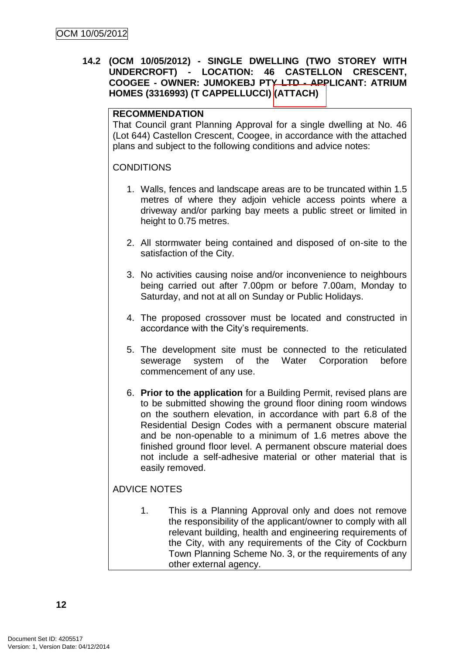## **14.2 (OCM 10/05/2012) - SINGLE DWELLING (TWO STOREY WITH UNDERCROFT) - LOCATION: 46 CASTELLON CRESCENT, COOGEE - OWNER: JUMOKEBJ PTY LTD - APPLICANT: ATRIUM HOMES (3316993) (T CAPPELLUCCI) (ATTACH)**

## **RECOMMENDATION**

That Council grant Planning Approval for a single dwelling at No. 46 (Lot 644) Castellon Crescent, Coogee, in accordance with the attached plans and subject to the following conditions and advice notes:

## **CONDITIONS**

- 1. Walls, fences and landscape areas are to be truncated within 1.5 metres of where they adjoin vehicle access points where a driveway and/or parking bay meets a public street or limited in height to 0.75 metres.
- 2. All stormwater being contained and disposed of on-site to the satisfaction of the City.
- 3. No activities causing noise and/or inconvenience to neighbours being carried out after 7.00pm or before 7.00am, Monday to Saturday, and not at all on Sunday or Public Holidays.
- 4. The proposed crossover must be located and constructed in accordance with the City"s requirements.
- 5. The development site must be connected to the reticulated sewerage system of the Water Corporation before commencement of any use.
- 6. **Prior to the application** for a Building Permit, revised plans are to be submitted showing the ground floor dining room windows on the southern elevation, in accordance with part 6.8 of the Residential Design Codes with a permanent obscure material and be non-openable to a minimum of 1.6 metres above the finished ground floor level. A permanent obscure material does not include a self-adhesive material or other material that is easily removed.

## ADVICE NOTES

1. This is a Planning Approval only and does not remove the responsibility of the applicant/owner to comply with all relevant building, health and engineering requirements of the City, with any requirements of the City of Cockburn Town Planning Scheme No. 3, or the requirements of any other external agency.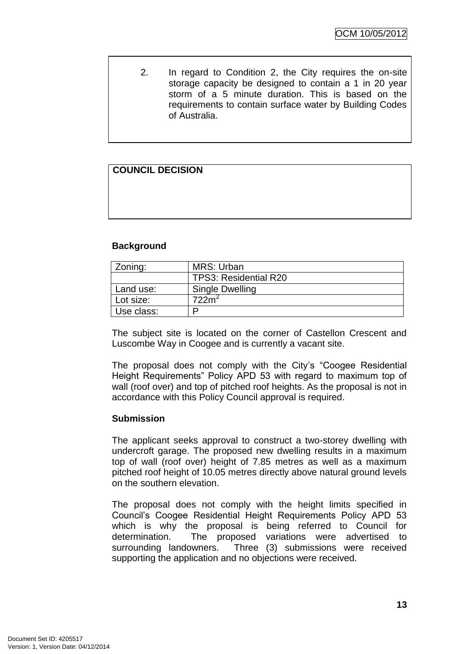2. In regard to Condition 2, the City requires the on-site storage capacity be designed to contain a 1 in 20 year storm of a 5 minute duration. This is based on the requirements to contain surface water by Building Codes of Australia.

## **COUNCIL DECISION**

## **Background**

| Zoning:    | MRS: Urban                   |
|------------|------------------------------|
|            | <b>TPS3: Residential R20</b> |
| Land use:  | Single Dwelling              |
| Lot size:  | 722m <sup>4</sup>            |
| Use class: |                              |

The subject site is located on the corner of Castellon Crescent and Luscombe Way in Coogee and is currently a vacant site.

The proposal does not comply with the City"s "Coogee Residential Height Requirements" Policy APD 53 with regard to maximum top of wall (roof over) and top of pitched roof heights. As the proposal is not in accordance with this Policy Council approval is required.

## **Submission**

The applicant seeks approval to construct a two-storey dwelling with undercroft garage. The proposed new dwelling results in a maximum top of wall (roof over) height of 7.85 metres as well as a maximum pitched roof height of 10.05 metres directly above natural ground levels on the southern elevation.

The proposal does not comply with the height limits specified in Council"s Coogee Residential Height Requirements Policy APD 53 which is why the proposal is being referred to Council for determination. The proposed variations were advertised to surrounding landowners. Three (3) submissions were received supporting the application and no objections were received.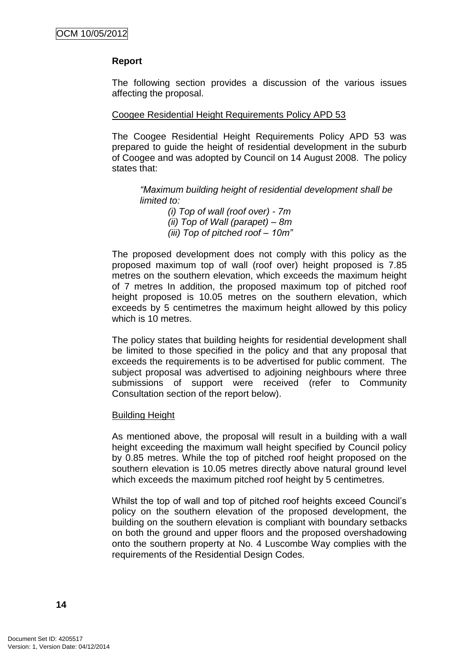## **Report**

The following section provides a discussion of the various issues affecting the proposal.

#### Coogee Residential Height Requirements Policy APD 53

The Coogee Residential Height Requirements Policy APD 53 was prepared to guide the height of residential development in the suburb of Coogee and was adopted by Council on 14 August 2008. The policy states that:

*―Maximum building height of residential development shall be limited to:*

> *(i) Top of wall (roof over) - 7m (ii) Top of Wall (parapet) – 8m (iii) Top of pitched roof – 10m‖*

The proposed development does not comply with this policy as the proposed maximum top of wall (roof over) height proposed is 7.85 metres on the southern elevation, which exceeds the maximum height of 7 metres In addition, the proposed maximum top of pitched roof height proposed is 10.05 metres on the southern elevation, which exceeds by 5 centimetres the maximum height allowed by this policy which is 10 metres.

The policy states that building heights for residential development shall be limited to those specified in the policy and that any proposal that exceeds the requirements is to be advertised for public comment. The subject proposal was advertised to adjoining neighbours where three submissions of support were received (refer to Community Consultation section of the report below).

#### Building Height

As mentioned above, the proposal will result in a building with a wall height exceeding the maximum wall height specified by Council policy by 0.85 metres. While the top of pitched roof height proposed on the southern elevation is 10.05 metres directly above natural ground level which exceeds the maximum pitched roof height by 5 centimetres.

Whilst the top of wall and top of pitched roof heights exceed Council"s policy on the southern elevation of the proposed development, the building on the southern elevation is compliant with boundary setbacks on both the ground and upper floors and the proposed overshadowing onto the southern property at No. 4 Luscombe Way complies with the requirements of the Residential Design Codes.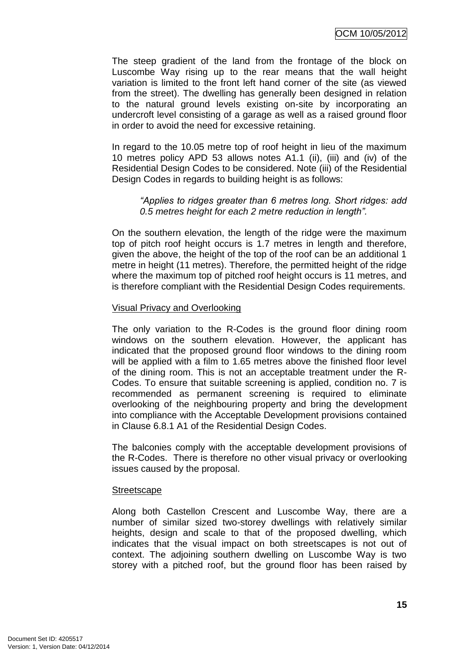The steep gradient of the land from the frontage of the block on Luscombe Way rising up to the rear means that the wall height variation is limited to the front left hand corner of the site (as viewed from the street). The dwelling has generally been designed in relation to the natural ground levels existing on-site by incorporating an undercroft level consisting of a garage as well as a raised ground floor in order to avoid the need for excessive retaining.

In regard to the 10.05 metre top of roof height in lieu of the maximum 10 metres policy APD 53 allows notes A1.1 (ii), (iii) and (iv) of the Residential Design Codes to be considered. Note (iii) of the Residential Design Codes in regards to building height is as follows:

#### *―Applies to ridges greater than 6 metres long. Short ridges: add 0.5 metres height for each 2 metre reduction in length‖.*

On the southern elevation, the length of the ridge were the maximum top of pitch roof height occurs is 1.7 metres in length and therefore, given the above, the height of the top of the roof can be an additional 1 metre in height (11 metres). Therefore, the permitted height of the ridge where the maximum top of pitched roof height occurs is 11 metres, and is therefore compliant with the Residential Design Codes requirements.

## Visual Privacy and Overlooking

The only variation to the R-Codes is the ground floor dining room windows on the southern elevation. However, the applicant has indicated that the proposed ground floor windows to the dining room will be applied with a film to 1.65 metres above the finished floor level of the dining room. This is not an acceptable treatment under the R-Codes. To ensure that suitable screening is applied, condition no. 7 is recommended as permanent screening is required to eliminate overlooking of the neighbouring property and bring the development into compliance with the Acceptable Development provisions contained in Clause 6.8.1 A1 of the Residential Design Codes.

The balconies comply with the acceptable development provisions of the R-Codes. There is therefore no other visual privacy or overlooking issues caused by the proposal.

#### **Streetscape**

Along both Castellon Crescent and Luscombe Way, there are a number of similar sized two-storey dwellings with relatively similar heights, design and scale to that of the proposed dwelling, which indicates that the visual impact on both streetscapes is not out of context. The adjoining southern dwelling on Luscombe Way is two storey with a pitched roof, but the ground floor has been raised by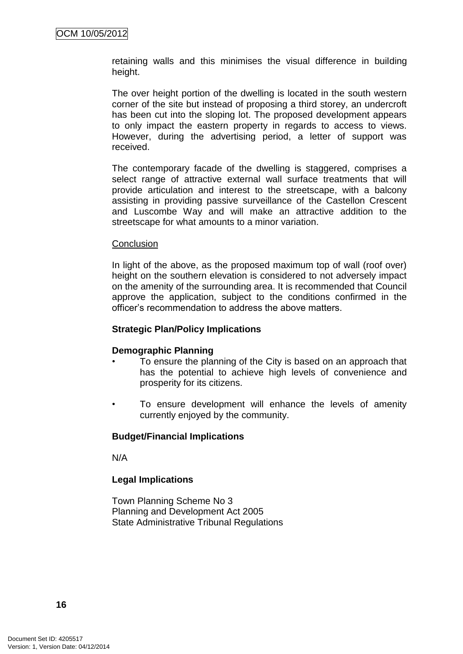retaining walls and this minimises the visual difference in building height.

The over height portion of the dwelling is located in the south western corner of the site but instead of proposing a third storey, an undercroft has been cut into the sloping lot. The proposed development appears to only impact the eastern property in regards to access to views. However, during the advertising period, a letter of support was received.

The contemporary facade of the dwelling is staggered, comprises a select range of attractive external wall surface treatments that will provide articulation and interest to the streetscape, with a balcony assisting in providing passive surveillance of the Castellon Crescent and Luscombe Way and will make an attractive addition to the streetscape for what amounts to a minor variation.

#### **Conclusion**

In light of the above, as the proposed maximum top of wall (roof over) height on the southern elevation is considered to not adversely impact on the amenity of the surrounding area. It is recommended that Council approve the application, subject to the conditions confirmed in the officer"s recommendation to address the above matters.

## **Strategic Plan/Policy Implications**

## **Demographic Planning**

- To ensure the planning of the City is based on an approach that has the potential to achieve high levels of convenience and prosperity for its citizens.
- To ensure development will enhance the levels of amenity currently enjoyed by the community.

## **Budget/Financial Implications**

N/A

## **Legal Implications**

Town Planning Scheme No 3 Planning and Development Act 2005 State Administrative Tribunal Regulations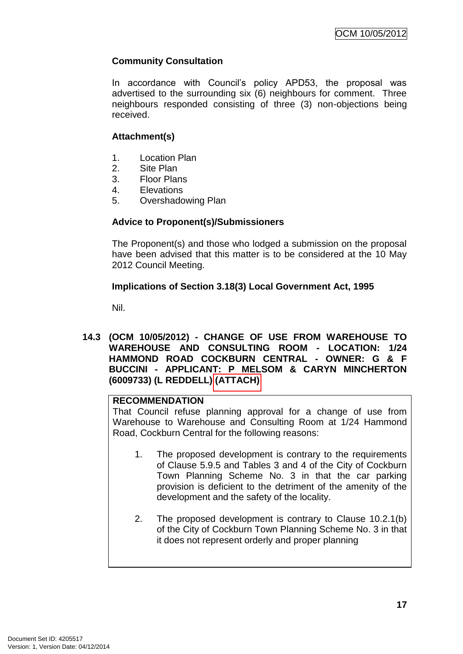## **Community Consultation**

In accordance with Council"s policy APD53, the proposal was advertised to the surrounding six (6) neighbours for comment. Three neighbours responded consisting of three (3) non-objections being received.

## **Attachment(s)**

- 1. Location Plan
- 2. Site Plan
- 3. Floor Plans
- 4. Elevations
- 5. Overshadowing Plan

## **Advice to Proponent(s)/Submissioners**

The Proponent(s) and those who lodged a submission on the proposal have been advised that this matter is to be considered at the 10 May 2012 Council Meeting.

## **Implications of Section 3.18(3) Local Government Act, 1995**

Nil.

**14.3 (OCM 10/05/2012) - CHANGE OF USE FROM WAREHOUSE TO WAREHOUSE AND CONSULTING ROOM - LOCATION: 1/24 HAMMOND ROAD COCKBURN CENTRAL - OWNER: G & F BUCCINI - APPLICANT: P MELSOM & CARYN MINCHERTON (6009733) (L REDDELL) (ATTACH)** 

## **RECOMMENDATION**

That Council refuse planning approval for a change of use from Warehouse to Warehouse and Consulting Room at 1/24 Hammond Road, Cockburn Central for the following reasons:

- 1. The proposed development is contrary to the requirements of Clause 5.9.5 and Tables 3 and 4 of the City of Cockburn Town Planning Scheme No. 3 in that the car parking provision is deficient to the detriment of the amenity of the development and the safety of the locality.
- 2. The proposed development is contrary to Clause 10.2.1(b) of the City of Cockburn Town Planning Scheme No. 3 in that it does not represent orderly and proper planning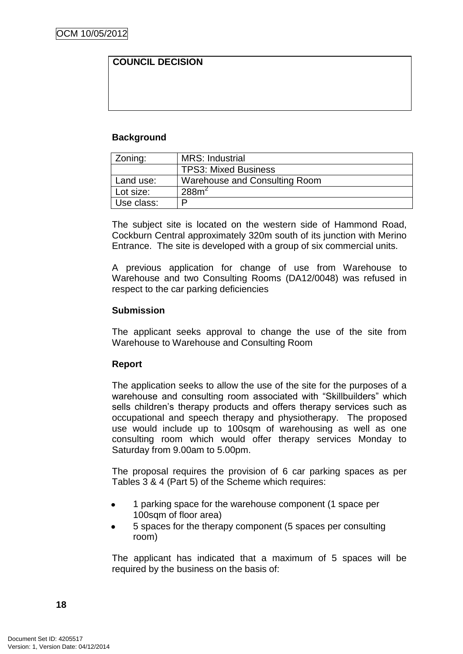## **COUNCIL DECISION**

## **Background**

| Zoning:    | <b>MRS: Industrial</b>        |
|------------|-------------------------------|
|            | <b>TPS3: Mixed Business</b>   |
| Land use:  | Warehouse and Consulting Room |
| Lot size:  | 288m <sup>2</sup>             |
| Use class: | ם                             |

The subject site is located on the western side of Hammond Road, Cockburn Central approximately 320m south of its junction with Merino Entrance. The site is developed with a group of six commercial units.

A previous application for change of use from Warehouse to Warehouse and two Consulting Rooms (DA12/0048) was refused in respect to the car parking deficiencies

#### **Submission**

The applicant seeks approval to change the use of the site from Warehouse to Warehouse and Consulting Room

## **Report**

The application seeks to allow the use of the site for the purposes of a warehouse and consulting room associated with "Skillbuilders" which sells children's therapy products and offers therapy services such as occupational and speech therapy and physiotherapy. The proposed use would include up to 100sqm of warehousing as well as one consulting room which would offer therapy services Monday to Saturday from 9.00am to 5.00pm.

The proposal requires the provision of 6 car parking spaces as per Tables 3 & 4 (Part 5) of the Scheme which requires:

- 1 parking space for the warehouse component (1 space per 100sqm of floor area)
- 5 spaces for the therapy component (5 spaces per consulting room)

The applicant has indicated that a maximum of 5 spaces will be required by the business on the basis of: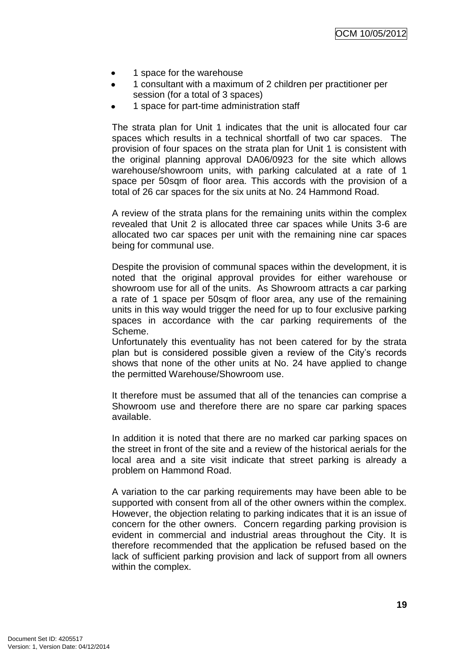- 1 space for the warehouse
- 1 consultant with a maximum of 2 children per practitioner per  $\bullet$ session (for a total of 3 spaces)
- 1 space for part-time administration staff

The strata plan for Unit 1 indicates that the unit is allocated four car spaces which results in a technical shortfall of two car spaces. The provision of four spaces on the strata plan for Unit 1 is consistent with the original planning approval DA06/0923 for the site which allows warehouse/showroom units, with parking calculated at a rate of 1 space per 50sqm of floor area. This accords with the provision of a total of 26 car spaces for the six units at No. 24 Hammond Road.

A review of the strata plans for the remaining units within the complex revealed that Unit 2 is allocated three car spaces while Units 3-6 are allocated two car spaces per unit with the remaining nine car spaces being for communal use.

Despite the provision of communal spaces within the development, it is noted that the original approval provides for either warehouse or showroom use for all of the units. As Showroom attracts a car parking a rate of 1 space per 50sqm of floor area, any use of the remaining units in this way would trigger the need for up to four exclusive parking spaces in accordance with the car parking requirements of the Scheme.

Unfortunately this eventuality has not been catered for by the strata plan but is considered possible given a review of the City"s records shows that none of the other units at No. 24 have applied to change the permitted Warehouse/Showroom use.

It therefore must be assumed that all of the tenancies can comprise a Showroom use and therefore there are no spare car parking spaces available.

In addition it is noted that there are no marked car parking spaces on the street in front of the site and a review of the historical aerials for the local area and a site visit indicate that street parking is already a problem on Hammond Road.

A variation to the car parking requirements may have been able to be supported with consent from all of the other owners within the complex. However, the objection relating to parking indicates that it is an issue of concern for the other owners. Concern regarding parking provision is evident in commercial and industrial areas throughout the City. It is therefore recommended that the application be refused based on the lack of sufficient parking provision and lack of support from all owners within the complex.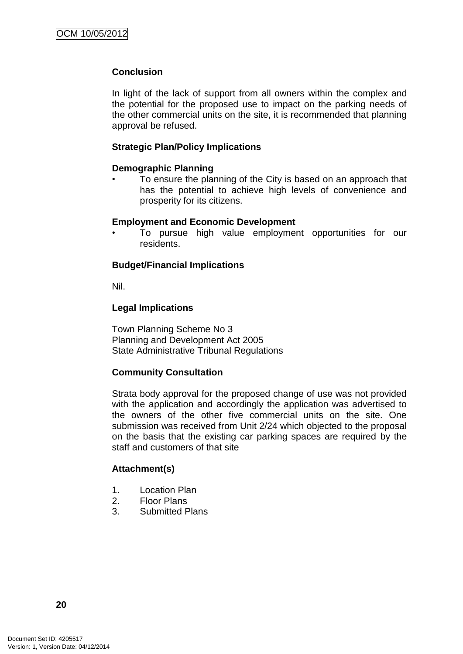## **Conclusion**

In light of the lack of support from all owners within the complex and the potential for the proposed use to impact on the parking needs of the other commercial units on the site, it is recommended that planning approval be refused.

## **Strategic Plan/Policy Implications**

## **Demographic Planning**

• To ensure the planning of the City is based on an approach that has the potential to achieve high levels of convenience and prosperity for its citizens.

## **Employment and Economic Development**

• To pursue high value employment opportunities for our residents.

## **Budget/Financial Implications**

Nil.

## **Legal Implications**

Town Planning Scheme No 3 Planning and Development Act 2005 State Administrative Tribunal Regulations

## **Community Consultation**

Strata body approval for the proposed change of use was not provided with the application and accordingly the application was advertised to the owners of the other five commercial units on the site. One submission was received from Unit 2/24 which objected to the proposal on the basis that the existing car parking spaces are required by the staff and customers of that site

## **Attachment(s)**

- 1. Location Plan
- 2. Floor Plans
- 3. Submitted Plans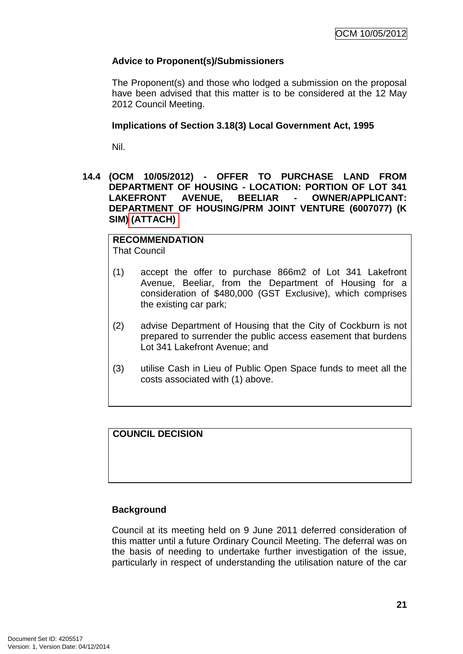## **Advice to Proponent(s)/Submissioners**

The Proponent(s) and those who lodged a submission on the proposal have been advised that this matter is to be considered at the 12 May 2012 Council Meeting.

## **Implications of Section 3.18(3) Local Government Act, 1995**

Nil.

## **14.4 (OCM 10/05/2012) - OFFER TO PURCHASE LAND FROM DEPARTMENT OF HOUSING - LOCATION: PORTION OF LOT 341 LAKEFRONT AVENUE, BEELIAR - OWNER/APPLICANT: DEPARTMENT OF HOUSING/PRM JOINT VENTURE (6007077) (K SIM) (ATTACH)**

**RECOMMENDATION** That Council

- (1) accept the offer to purchase 866m2 of Lot 341 Lakefront Avenue, Beeliar, from the Department of Housing for a consideration of \$480,000 (GST Exclusive), which comprises the existing car park;
- (2) advise Department of Housing that the City of Cockburn is not prepared to surrender the public access easement that burdens Lot 341 Lakefront Avenue; and
- (3) utilise Cash in Lieu of Public Open Space funds to meet all the costs associated with (1) above.

**COUNCIL DECISION**

## **Background**

Council at its meeting held on 9 June 2011 deferred consideration of this matter until a future Ordinary Council Meeting. The deferral was on the basis of needing to undertake further investigation of the issue, particularly in respect of understanding the utilisation nature of the car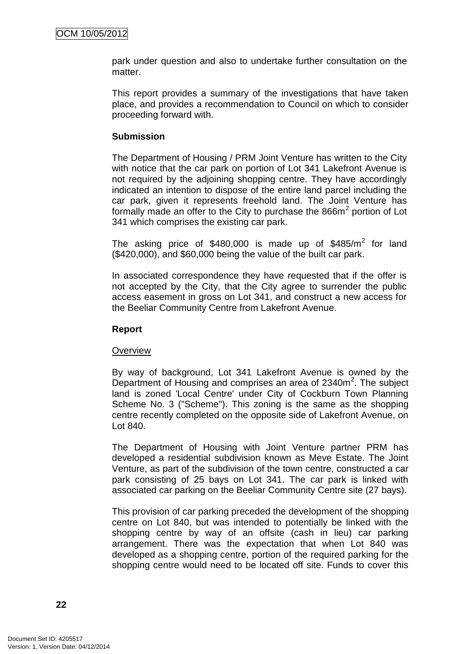park under question and also to undertake further consultation on the matter.

This report provides a summary of the investigations that have taken place, and provides a recommendation to Council on which to consider proceeding forward with.

## **Submission**

The Department of Housing / PRM Joint Venture has written to the City with notice that the car park on portion of Lot 341 Lakefront Avenue is not required by the adjoining shopping centre. They have accordingly indicated an intention to dispose of the entire land parcel including the car park, given it represents freehold land. The Joint Venture has formally made an offer to the City to purchase the  $866m<sup>2</sup>$  portion of Lot 341 which comprises the existing car park.

The asking price of \$480,000 is made up of \$485/ $m^2$  for land (\$420,000), and \$60,000 being the value of the built car park.

In associated correspondence they have requested that if the offer is not accepted by the City, that the City agree to surrender the public access easement in gross on Lot 341, and construct a new access for the Beeliar Community Centre from Lakefront Avenue.

## **Report**

## **Overview**

By way of background, Lot 341 Lakefront Avenue is owned by the Department of Housing and comprises an area of 2340m<sup>2</sup>. The subject land is zoned 'Local Centre' under City of Cockburn Town Planning Scheme No. 3 ("Scheme"). This zoning is the same as the shopping centre recently completed on the opposite side of Lakefront Avenue, on Lot 840.

The Department of Housing with Joint Venture partner PRM has developed a residential subdivision known as Meve Estate. The Joint Venture, as part of the subdivision of the town centre, constructed a car park consisting of 25 bays on Lot 341. The car park is linked with associated car parking on the Beeliar Community Centre site (27 bays).

This provision of car parking preceded the development of the shopping centre on Lot 840, but was intended to potentially be linked with the shopping centre by way of an offsite (cash in lieu) car parking arrangement. There was the expectation that when Lot 840 was developed as a shopping centre, portion of the required parking for the shopping centre would need to be located off site. Funds to cover this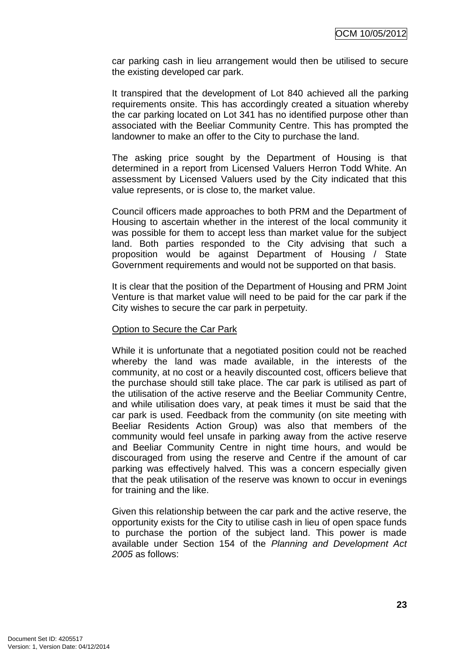car parking cash in lieu arrangement would then be utilised to secure the existing developed car park.

It transpired that the development of Lot 840 achieved all the parking requirements onsite. This has accordingly created a situation whereby the car parking located on Lot 341 has no identified purpose other than associated with the Beeliar Community Centre. This has prompted the landowner to make an offer to the City to purchase the land.

The asking price sought by the Department of Housing is that determined in a report from Licensed Valuers Herron Todd White. An assessment by Licensed Valuers used by the City indicated that this value represents, or is close to, the market value.

Council officers made approaches to both PRM and the Department of Housing to ascertain whether in the interest of the local community it was possible for them to accept less than market value for the subject land. Both parties responded to the City advising that such a proposition would be against Department of Housing / State Government requirements and would not be supported on that basis.

It is clear that the position of the Department of Housing and PRM Joint Venture is that market value will need to be paid for the car park if the City wishes to secure the car park in perpetuity.

#### Option to Secure the Car Park

While it is unfortunate that a negotiated position could not be reached whereby the land was made available, in the interests of the community, at no cost or a heavily discounted cost, officers believe that the purchase should still take place. The car park is utilised as part of the utilisation of the active reserve and the Beeliar Community Centre, and while utilisation does vary, at peak times it must be said that the car park is used. Feedback from the community (on site meeting with Beeliar Residents Action Group) was also that members of the community would feel unsafe in parking away from the active reserve and Beeliar Community Centre in night time hours, and would be discouraged from using the reserve and Centre if the amount of car parking was effectively halved. This was a concern especially given that the peak utilisation of the reserve was known to occur in evenings for training and the like.

Given this relationship between the car park and the active reserve, the opportunity exists for the City to utilise cash in lieu of open space funds to purchase the portion of the subject land. This power is made available under Section 154 of the *Planning and Development Act 2005* as follows: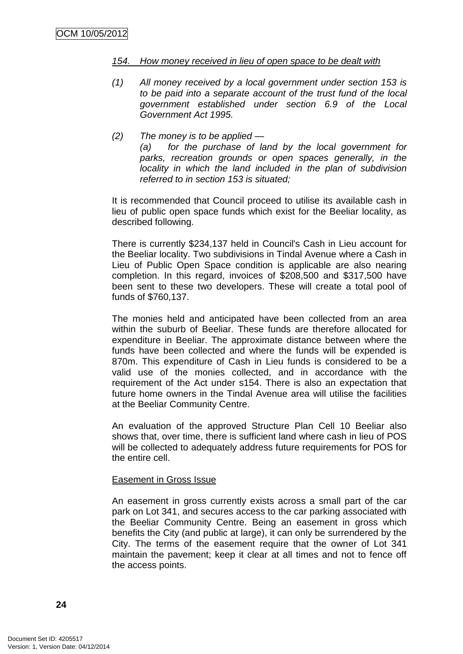#### *154. How money received in lieu of open space to be dealt with*

- *(1) All money received by a local government under section 153 is to be paid into a separate account of the trust fund of the local government established under section 6.9 of the Local Government Act 1995.*
- *(2) The money is to be applied — (a) for the purchase of land by the local government for parks, recreation grounds or open spaces generally, in the locality in which the land included in the plan of subdivision referred to in section 153 is situated;*

It is recommended that Council proceed to utilise its available cash in lieu of public open space funds which exist for the Beeliar locality, as described following.

There is currently \$234,137 held in Council's Cash in Lieu account for the Beeliar locality. Two subdivisions in Tindal Avenue where a Cash in Lieu of Public Open Space condition is applicable are also nearing completion. In this regard, invoices of \$208,500 and \$317,500 have been sent to these two developers. These will create a total pool of funds of \$760,137.

The monies held and anticipated have been collected from an area within the suburb of Beeliar. These funds are therefore allocated for expenditure in Beeliar. The approximate distance between where the funds have been collected and where the funds will be expended is 870m. This expenditure of Cash in Lieu funds is considered to be a valid use of the monies collected, and in accordance with the requirement of the Act under s154. There is also an expectation that future home owners in the Tindal Avenue area will utilise the facilities at the Beeliar Community Centre.

An evaluation of the approved Structure Plan Cell 10 Beeliar also shows that, over time, there is sufficient land where cash in lieu of POS will be collected to adequately address future requirements for POS for the entire cell.

#### Easement in Gross Issue

An easement in gross currently exists across a small part of the car park on Lot 341, and secures access to the car parking associated with the Beeliar Community Centre. Being an easement in gross which benefits the City (and public at large), it can only be surrendered by the City. The terms of the easement require that the owner of Lot 341 maintain the pavement; keep it clear at all times and not to fence off the access points.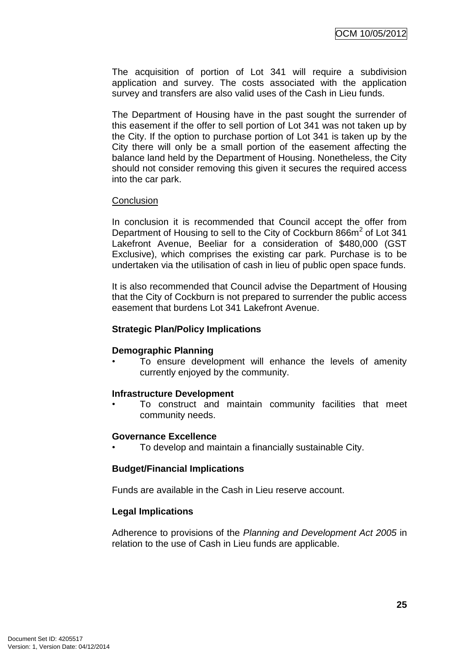The acquisition of portion of Lot 341 will require a subdivision application and survey. The costs associated with the application survey and transfers are also valid uses of the Cash in Lieu funds.

The Department of Housing have in the past sought the surrender of this easement if the offer to sell portion of Lot 341 was not taken up by the City. If the option to purchase portion of Lot 341 is taken up by the City there will only be a small portion of the easement affecting the balance land held by the Department of Housing. Nonetheless, the City should not consider removing this given it secures the required access into the car park.

#### **Conclusion**

In conclusion it is recommended that Council accept the offer from Department of Housing to sell to the City of Cockburn 866m<sup>2</sup> of Lot 341 Lakefront Avenue, Beeliar for a consideration of \$480,000 (GST Exclusive), which comprises the existing car park. Purchase is to be undertaken via the utilisation of cash in lieu of public open space funds.

It is also recommended that Council advise the Department of Housing that the City of Cockburn is not prepared to surrender the public access easement that burdens Lot 341 Lakefront Avenue.

## **Strategic Plan/Policy Implications**

## **Demographic Planning**

• To ensure development will enhance the levels of amenity currently enjoyed by the community.

#### **Infrastructure Development**

• To construct and maintain community facilities that meet community needs.

#### **Governance Excellence**

• To develop and maintain a financially sustainable City.

#### **Budget/Financial Implications**

Funds are available in the Cash in Lieu reserve account.

#### **Legal Implications**

Adherence to provisions of the *Planning and Development Act 2005* in relation to the use of Cash in Lieu funds are applicable.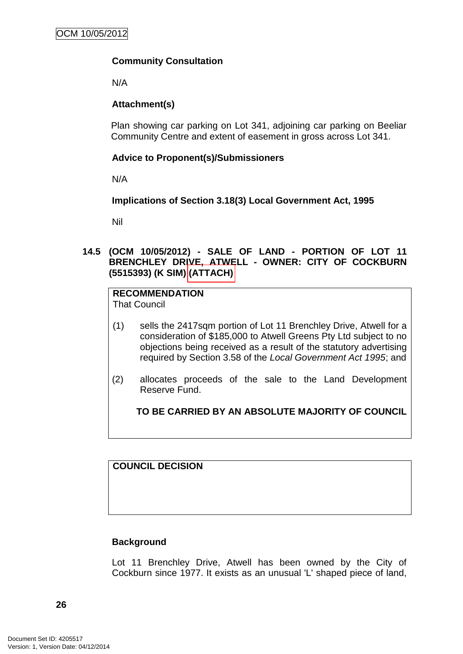## **Community Consultation**

N/A

## **Attachment(s)**

Plan showing car parking on Lot 341, adjoining car parking on Beeliar Community Centre and extent of easement in gross across Lot 341.

## **Advice to Proponent(s)/Submissioners**

N/A

**Implications of Section 3.18(3) Local Government Act, 1995**

Nil

**14.5 (OCM 10/05/2012) - SALE OF LAND - PORTION OF LOT 11 BRENCHLEY DRIVE, ATWELL - OWNER: CITY OF COCKBURN (5515393) (K SIM) (ATTACH)** 

# **RECOMMENDATION**

That Council

- (1) sells the 2417sqm portion of Lot 11 Brenchley Drive, Atwell for a consideration of \$185,000 to Atwell Greens Pty Ltd subject to no objections being received as a result of the statutory advertising required by Section 3.58 of the *Local Government Act 1995*; and
- (2) allocates proceeds of the sale to the Land Development Reserve Fund.

**TO BE CARRIED BY AN ABSOLUTE MAJORITY OF COUNCIL**

**COUNCIL DECISION**

## **Background**

Lot 11 Brenchley Drive, Atwell has been owned by the City of Cockburn since 1977. It exists as an unusual 'L' shaped piece of land,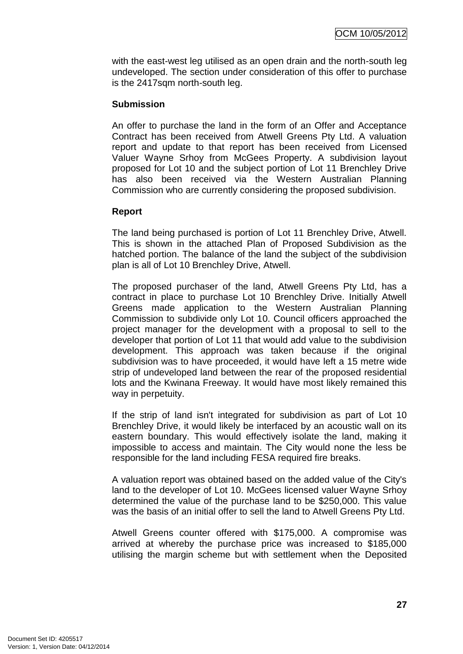with the east-west leg utilised as an open drain and the north-south leg undeveloped. The section under consideration of this offer to purchase is the 2417sqm north-south leg.

## **Submission**

An offer to purchase the land in the form of an Offer and Acceptance Contract has been received from Atwell Greens Pty Ltd. A valuation report and update to that report has been received from Licensed Valuer Wayne Srhoy from McGees Property. A subdivision layout proposed for Lot 10 and the subject portion of Lot 11 Brenchley Drive has also been received via the Western Australian Planning Commission who are currently considering the proposed subdivision.

#### **Report**

The land being purchased is portion of Lot 11 Brenchley Drive, Atwell. This is shown in the attached Plan of Proposed Subdivision as the hatched portion. The balance of the land the subject of the subdivision plan is all of Lot 10 Brenchley Drive, Atwell.

The proposed purchaser of the land, Atwell Greens Pty Ltd, has a contract in place to purchase Lot 10 Brenchley Drive. Initially Atwell Greens made application to the Western Australian Planning Commission to subdivide only Lot 10. Council officers approached the project manager for the development with a proposal to sell to the developer that portion of Lot 11 that would add value to the subdivision development. This approach was taken because if the original subdivision was to have proceeded, it would have left a 15 metre wide strip of undeveloped land between the rear of the proposed residential lots and the Kwinana Freeway. It would have most likely remained this way in perpetuity.

If the strip of land isn't integrated for subdivision as part of Lot 10 Brenchley Drive, it would likely be interfaced by an acoustic wall on its eastern boundary. This would effectively isolate the land, making it impossible to access and maintain. The City would none the less be responsible for the land including FESA required fire breaks.

A valuation report was obtained based on the added value of the City's land to the developer of Lot 10. McGees licensed valuer Wayne Srhoy determined the value of the purchase land to be \$250,000. This value was the basis of an initial offer to sell the land to Atwell Greens Pty Ltd.

Atwell Greens counter offered with \$175,000. A compromise was arrived at whereby the purchase price was increased to \$185,000 utilising the margin scheme but with settlement when the Deposited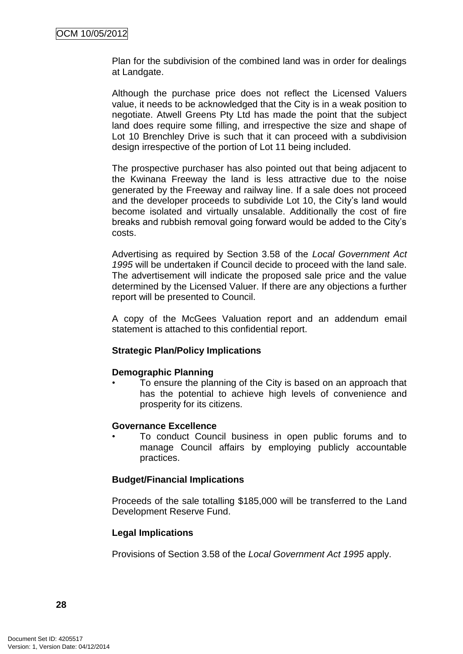Plan for the subdivision of the combined land was in order for dealings at Landgate.

Although the purchase price does not reflect the Licensed Valuers value, it needs to be acknowledged that the City is in a weak position to negotiate. Atwell Greens Pty Ltd has made the point that the subject land does require some filling, and irrespective the size and shape of Lot 10 Brenchley Drive is such that it can proceed with a subdivision design irrespective of the portion of Lot 11 being included.

The prospective purchaser has also pointed out that being adjacent to the Kwinana Freeway the land is less attractive due to the noise generated by the Freeway and railway line. If a sale does not proceed and the developer proceeds to subdivide Lot 10, the City"s land would become isolated and virtually unsalable. Additionally the cost of fire breaks and rubbish removal going forward would be added to the City"s costs.

Advertising as required by Section 3.58 of the *Local Government Act 1995* will be undertaken if Council decide to proceed with the land sale. The advertisement will indicate the proposed sale price and the value determined by the Licensed Valuer. If there are any objections a further report will be presented to Council.

A copy of the McGees Valuation report and an addendum email statement is attached to this confidential report.

## **Strategic Plan/Policy Implications**

## **Demographic Planning**

• To ensure the planning of the City is based on an approach that has the potential to achieve high levels of convenience and prosperity for its citizens.

## **Governance Excellence**

• To conduct Council business in open public forums and to manage Council affairs by employing publicly accountable practices.

## **Budget/Financial Implications**

Proceeds of the sale totalling \$185,000 will be transferred to the Land Development Reserve Fund.

## **Legal Implications**

Provisions of Section 3.58 of the *Local Government Act 1995* apply.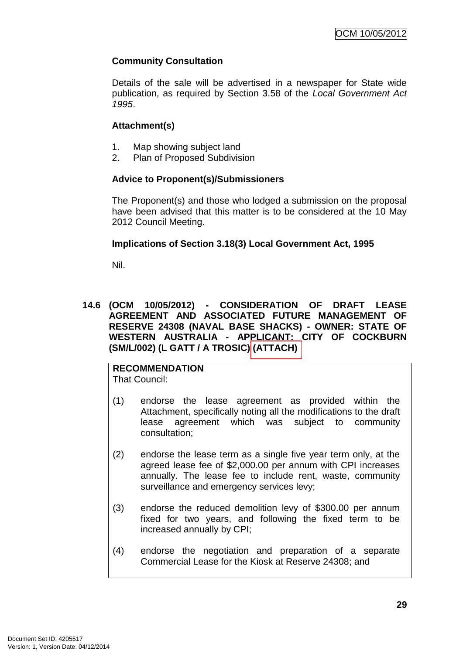## **Community Consultation**

Details of the sale will be advertised in a newspaper for State wide publication, as required by Section 3.58 of the *Local Government Act 1995*.

## **Attachment(s)**

- 1. Map showing subject land
- 2. Plan of Proposed Subdivision

## **Advice to Proponent(s)/Submissioners**

The Proponent(s) and those who lodged a submission on the proposal have been advised that this matter is to be considered at the 10 May 2012 Council Meeting.

## **Implications of Section 3.18(3) Local Government Act, 1995**

Nil.

## **14.6 (OCM 10/05/2012) - CONSIDERATION OF DRAFT LEASE AGREEMENT AND ASSOCIATED FUTURE MANAGEMENT OF RESERVE 24308 (NAVAL BASE SHACKS) - OWNER: STATE OF WESTERN AUSTRALIA - APPLICANT: CITY OF COCKBURN (SM/L/002) (L GATT / A TROSIC) (ATTACH)**

## **RECOMMENDATION**

That Council:

- (1) endorse the lease agreement as provided within the Attachment, specifically noting all the modifications to the draft lease agreement which was subject to community consultation;
- (2) endorse the lease term as a single five year term only, at the agreed lease fee of \$2,000.00 per annum with CPI increases annually. The lease fee to include rent, waste, community surveillance and emergency services levy;
- (3) endorse the reduced demolition levy of \$300.00 per annum fixed for two years, and following the fixed term to be increased annually by CPI;
- (4) endorse the negotiation and preparation of a separate Commercial Lease for the Kiosk at Reserve 24308; and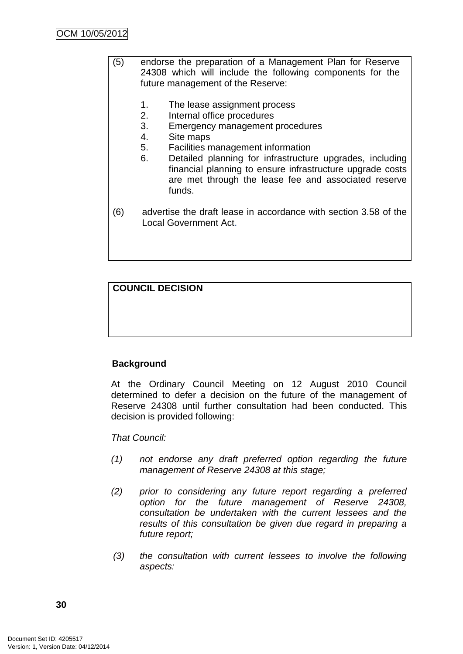- (5) endorse the preparation of a Management Plan for Reserve 24308 which will include the following components for the future management of the Reserve:
	- 1. The lease assignment process
	- 2. Internal office procedures
	- 3. Emergency management procedures
	- 4. Site maps
	- 5. Facilities management information
	- 6. Detailed planning for infrastructure upgrades, including financial planning to ensure infrastructure upgrade costs are met through the lease fee and associated reserve funds.
- (6) advertise the draft lease in accordance with section 3.58 of the Local Government Act.

## **COUNCIL DECISION**

## **Background**

At the Ordinary Council Meeting on 12 August 2010 Council determined to defer a decision on the future of the management of Reserve 24308 until further consultation had been conducted. This decision is provided following:

#### *That Council:*

- *(1) not endorse any draft preferred option regarding the future management of Reserve 24308 at this stage;*
- *(2) prior to considering any future report regarding a preferred option for the future management of Reserve 24308, consultation be undertaken with the current lessees and the results of this consultation be given due regard in preparing a future report;*
- *(3) the consultation with current lessees to involve the following aspects:*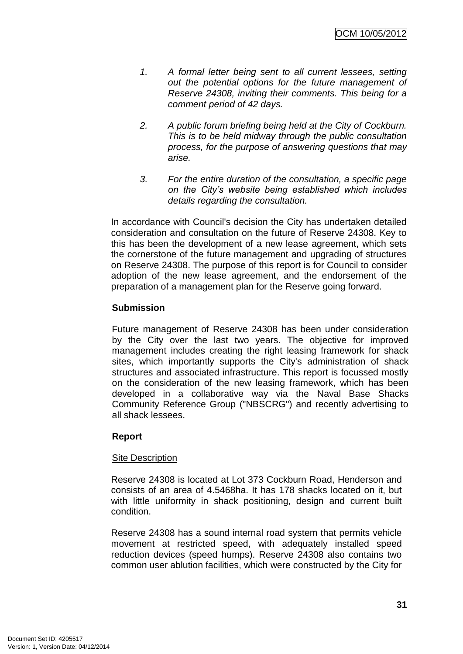- *1. A formal letter being sent to all current lessees, setting out the potential options for the future management of Reserve 24308, inviting their comments. This being for a comment period of 42 days.*
- *2. A public forum briefing being held at the City of Cockburn. This is to be held midway through the public consultation process, for the purpose of answering questions that may arise.*
- *3. For the entire duration of the consultation, a specific page on the City's website being established which includes details regarding the consultation.*

In accordance with Council's decision the City has undertaken detailed consideration and consultation on the future of Reserve 24308. Key to this has been the development of a new lease agreement, which sets the cornerstone of the future management and upgrading of structures on Reserve 24308. The purpose of this report is for Council to consider adoption of the new lease agreement, and the endorsement of the preparation of a management plan for the Reserve going forward.

## **Submission**

Future management of Reserve 24308 has been under consideration by the City over the last two years. The objective for improved management includes creating the right leasing framework for shack sites, which importantly supports the City's administration of shack structures and associated infrastructure. This report is focussed mostly on the consideration of the new leasing framework, which has been developed in a collaborative way via the Naval Base Shacks Community Reference Group ("NBSCRG") and recently advertising to all shack lessees.

## **Report**

## Site Description

Reserve 24308 is located at Lot 373 Cockburn Road, Henderson and consists of an area of 4.5468ha. It has 178 shacks located on it, but with little uniformity in shack positioning, design and current built condition.

Reserve 24308 has a sound internal road system that permits vehicle movement at restricted speed, with adequately installed speed reduction devices (speed humps). Reserve 24308 also contains two common user ablution facilities, which were constructed by the City for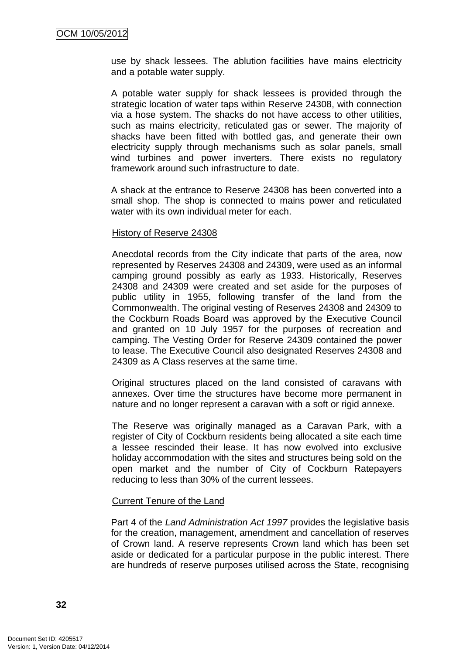use by shack lessees. The ablution facilities have mains electricity and a potable water supply.

A potable water supply for shack lessees is provided through the strategic location of water taps within Reserve 24308, with connection via a hose system. The shacks do not have access to other utilities, such as mains electricity, reticulated gas or sewer. The majority of shacks have been fitted with bottled gas, and generate their own electricity supply through mechanisms such as solar panels, small wind turbines and power inverters. There exists no regulatory framework around such infrastructure to date.

A shack at the entrance to Reserve 24308 has been converted into a small shop. The shop is connected to mains power and reticulated water with its own individual meter for each.

#### History of Reserve 24308

Anecdotal records from the City indicate that parts of the area, now represented by Reserves 24308 and 24309, were used as an informal camping ground possibly as early as 1933. Historically, Reserves 24308 and 24309 were created and set aside for the purposes of public utility in 1955, following transfer of the land from the Commonwealth. The original vesting of Reserves 24308 and 24309 to the Cockburn Roads Board was approved by the Executive Council and granted on 10 July 1957 for the purposes of recreation and camping. The Vesting Order for Reserve 24309 contained the power to lease. The Executive Council also designated Reserves 24308 and 24309 as A Class reserves at the same time.

Original structures placed on the land consisted of caravans with annexes. Over time the structures have become more permanent in nature and no longer represent a caravan with a soft or rigid annexe.

The Reserve was originally managed as a Caravan Park, with a register of City of Cockburn residents being allocated a site each time a lessee rescinded their lease. It has now evolved into exclusive holiday accommodation with the sites and structures being sold on the open market and the number of City of Cockburn Ratepayers reducing to less than 30% of the current lessees.

## Current Tenure of the Land

Part 4 of the *Land Administration Act 1997* provides the legislative basis for the creation, management, amendment and cancellation of reserves of Crown land. A reserve represents Crown land which has been set aside or dedicated for a particular purpose in the public interest. There are hundreds of reserve purposes utilised across the State, recognising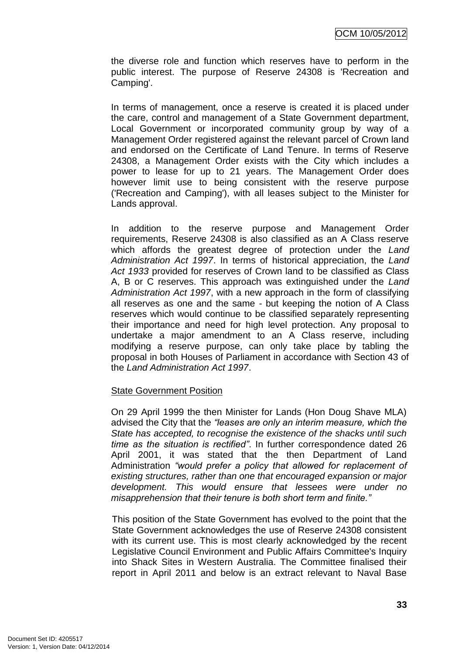the diverse role and function which reserves have to perform in the public interest. The purpose of Reserve 24308 is 'Recreation and Camping'.

In terms of management, once a reserve is created it is placed under the care, control and management of a State Government department, Local Government or incorporated community group by way of a Management Order registered against the relevant parcel of Crown land and endorsed on the Certificate of Land Tenure. In terms of Reserve 24308, a Management Order exists with the City which includes a power to lease for up to 21 years. The Management Order does however limit use to being consistent with the reserve purpose ('Recreation and Camping'), with all leases subject to the Minister for Lands approval.

In addition to the reserve purpose and Management Order requirements, Reserve 24308 is also classified as an A Class reserve which affords the greatest degree of protection under the *Land Administration Act 1997*. In terms of historical appreciation, the *Land Act 1933* provided for reserves of Crown land to be classified as Class A, B or C reserves. This approach was extinguished under the *Land Administration Act 1997*, with a new approach in the form of classifying all reserves as one and the same - but keeping the notion of A Class reserves which would continue to be classified separately representing their importance and need for high level protection. Any proposal to undertake a major amendment to an A Class reserve, including modifying a reserve purpose, can only take place by tabling the proposal in both Houses of Parliament in accordance with Section 43 of the *Land Administration Act 1997*.

### State Government Position

On 29 April 1999 the then Minister for Lands (Hon Doug Shave MLA) advised the City that the *"leases are only an interim measure, which the State has accepted, to recognise the existence of the shacks until such time as the situation is rectified‖*. In further correspondence dated 26 April 2001, it was stated that the then Department of Land Administration *"would prefer a policy that allowed for replacement of existing structures, rather than one that encouraged expansion or major development. This would ensure that lessees were under no misapprehension that their tenure is both short term and finite.‖*

This position of the State Government has evolved to the point that the State Government acknowledges the use of Reserve 24308 consistent with its current use. This is most clearly acknowledged by the recent Legislative Council Environment and Public Affairs Committee's Inquiry into Shack Sites in Western Australia. The Committee finalised their report in April 2011 and below is an extract relevant to Naval Base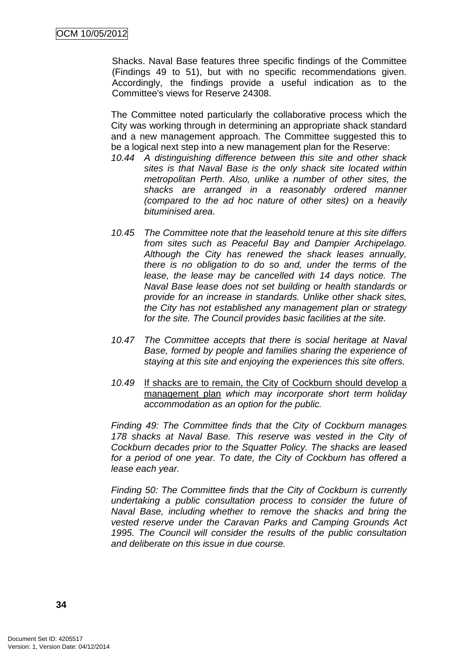Shacks. Naval Base features three specific findings of the Committee (Findings 49 to 51), but with no specific recommendations given. Accordingly, the findings provide a useful indication as to the Committee's views for Reserve 24308.

The Committee noted particularly the collaborative process which the City was working through in determining an appropriate shack standard and a new management approach. The Committee suggested this to be a logical next step into a new management plan for the Reserve:

- *10.44 A distinguishing difference between this site and other shack sites is that Naval Base is the only shack site located within metropolitan Perth. Also, unlike a number of other sites, the shacks are arranged in a reasonably ordered manner (compared to the ad hoc nature of other sites) on a heavily bituminised area.*
- *10.45 The Committee note that the leasehold tenure at this site differs from sites such as Peaceful Bay and Dampier Archipelago. Although the City has renewed the shack leases annually, there is no obligation to do so and, under the terms of the lease, the lease may be cancelled with 14 days notice. The Naval Base lease does not set building or health standards or provide for an increase in standards. Unlike other shack sites, the City has not established any management plan or strategy for the site. The Council provides basic facilities at the site.*
- *10.47 The Committee accepts that there is social heritage at Naval Base, formed by people and families sharing the experience of staying at this site and enjoying the experiences this site offers.*
- *10.49* If shacks are to remain, the City of Cockburn should develop a management plan *which may incorporate short term holiday accommodation as an option for the public.*

*Finding 49: The Committee finds that the City of Cockburn manages 178 shacks at Naval Base. This reserve was vested in the City of Cockburn decades prior to the Squatter Policy. The shacks are leased for a period of one year. To date, the City of Cockburn has offered a lease each year.*

*Finding 50: The Committee finds that the City of Cockburn is currently undertaking a public consultation process to consider the future of Naval Base, including whether to remove the shacks and bring the vested reserve under the Caravan Parks and Camping Grounds Act 1995. The Council will consider the results of the public consultation and deliberate on this issue in due course.*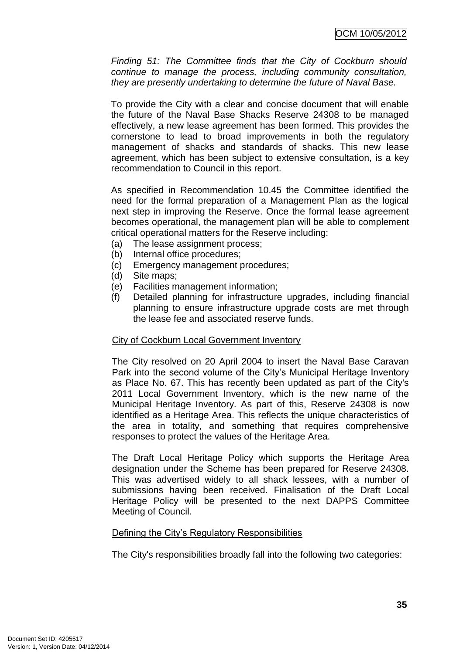*Finding 51: The Committee finds that the City of Cockburn should continue to manage the process, including community consultation, they are presently undertaking to determine the future of Naval Base.*

To provide the City with a clear and concise document that will enable the future of the Naval Base Shacks Reserve 24308 to be managed effectively, a new lease agreement has been formed. This provides the cornerstone to lead to broad improvements in both the regulatory management of shacks and standards of shacks. This new lease agreement, which has been subject to extensive consultation, is a key recommendation to Council in this report.

As specified in Recommendation 10.45 the Committee identified the need for the formal preparation of a Management Plan as the logical next step in improving the Reserve. Once the formal lease agreement becomes operational, the management plan will be able to complement critical operational matters for the Reserve including:

- (a) The lease assignment process;
- (b) Internal office procedures;
- (c) Emergency management procedures;
- (d) Site maps;
- (e) Facilities management information;
- (f) Detailed planning for infrastructure upgrades, including financial planning to ensure infrastructure upgrade costs are met through the lease fee and associated reserve funds.

### City of Cockburn Local Government Inventory

The City resolved on 20 April 2004 to insert the Naval Base Caravan Park into the second volume of the City"s Municipal Heritage Inventory as Place No. 67. This has recently been updated as part of the City's 2011 Local Government Inventory, which is the new name of the Municipal Heritage Inventory. As part of this, Reserve 24308 is now identified as a Heritage Area. This reflects the unique characteristics of the area in totality, and something that requires comprehensive responses to protect the values of the Heritage Area.

The Draft Local Heritage Policy which supports the Heritage Area designation under the Scheme has been prepared for Reserve 24308. This was advertised widely to all shack lessees, with a number of submissions having been received. Finalisation of the Draft Local Heritage Policy will be presented to the next DAPPS Committee Meeting of Council.

## Defining the City's Regulatory Responsibilities

The City's responsibilities broadly fall into the following two categories: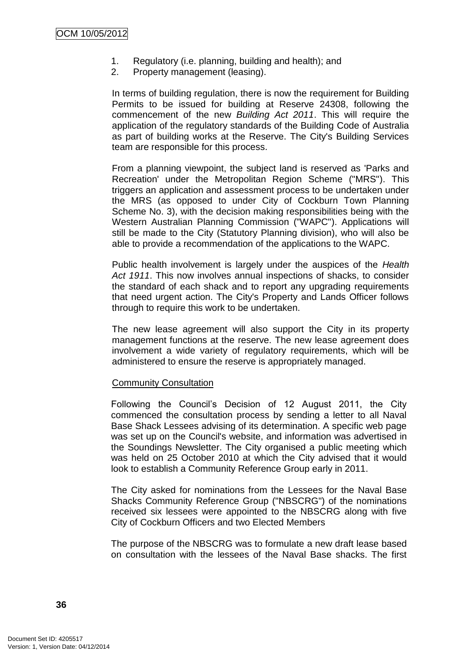- 1. Regulatory (i.e. planning, building and health); and
- 2. Property management (leasing).

In terms of building regulation, there is now the requirement for Building Permits to be issued for building at Reserve 24308, following the commencement of the new *Building Act 2011*. This will require the application of the regulatory standards of the Building Code of Australia as part of building works at the Reserve. The City's Building Services team are responsible for this process.

From a planning viewpoint, the subject land is reserved as 'Parks and Recreation' under the Metropolitan Region Scheme ("MRS"). This triggers an application and assessment process to be undertaken under the MRS (as opposed to under City of Cockburn Town Planning Scheme No. 3), with the decision making responsibilities being with the Western Australian Planning Commission ("WAPC"). Applications will still be made to the City (Statutory Planning division), who will also be able to provide a recommendation of the applications to the WAPC.

Public health involvement is largely under the auspices of the *Health Act 1911*. This now involves annual inspections of shacks, to consider the standard of each shack and to report any upgrading requirements that need urgent action. The City's Property and Lands Officer follows through to require this work to be undertaken.

The new lease agreement will also support the City in its property management functions at the reserve. The new lease agreement does involvement a wide variety of regulatory requirements, which will be administered to ensure the reserve is appropriately managed.

### Community Consultation

Following the Council"s Decision of 12 August 2011, the City commenced the consultation process by sending a letter to all Naval Base Shack Lessees advising of its determination. A specific web page was set up on the Council's website, and information was advertised in the Soundings Newsletter. The City organised a public meeting which was held on 25 October 2010 at which the City advised that it would look to establish a Community Reference Group early in 2011.

The City asked for nominations from the Lessees for the Naval Base Shacks Community Reference Group ("NBSCRG") of the nominations received six lessees were appointed to the NBSCRG along with five City of Cockburn Officers and two Elected Members

The purpose of the NBSCRG was to formulate a new draft lease based on consultation with the lessees of the Naval Base shacks. The first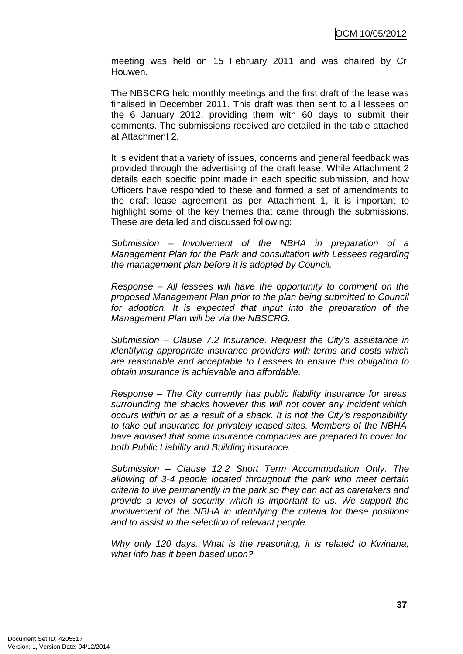meeting was held on 15 February 2011 and was chaired by Cr Houwen.

The NBSCRG held monthly meetings and the first draft of the lease was finalised in December 2011. This draft was then sent to all lessees on the 6 January 2012, providing them with 60 days to submit their comments. The submissions received are detailed in the table attached at Attachment 2.

It is evident that a variety of issues, concerns and general feedback was provided through the advertising of the draft lease. While Attachment 2 details each specific point made in each specific submission, and how Officers have responded to these and formed a set of amendments to the draft lease agreement as per Attachment 1, it is important to highlight some of the key themes that came through the submissions. These are detailed and discussed following:

*Submission – Involvement of the NBHA in preparation of a Management Plan for the Park and consultation with Lessees regarding the management plan before it is adopted by Council.*

*Response – All lessees will have the opportunity to comment on the proposed Management Plan prior to the plan being submitted to Council for adoption. It is expected that input into the preparation of the Management Plan will be via the NBSCRG.*

*Submission – Clause 7.2 Insurance. Request the City's assistance in identifying appropriate insurance providers with terms and costs which are reasonable and acceptable to Lessees to ensure this obligation to obtain insurance is achievable and affordable.*

*Response – The City currently has public liability insurance for areas surrounding the shacks however this will not cover any incident which occurs within or as a result of a shack. It is not the City's responsibility to take out insurance for privately leased sites. Members of the NBHA have advised that some insurance companies are prepared to cover for both Public Liability and Building insurance.*

*Submission – Clause 12.2 Short Term Accommodation Only. The allowing of 3-4 people located throughout the park who meet certain criteria to live permanently in the park so they can act as caretakers and provide a level of security which is important to us. We support the involvement of the NBHA in identifying the criteria for these positions and to assist in the selection of relevant people.*

*Why only 120 days. What is the reasoning, it is related to Kwinana, what info has it been based upon?*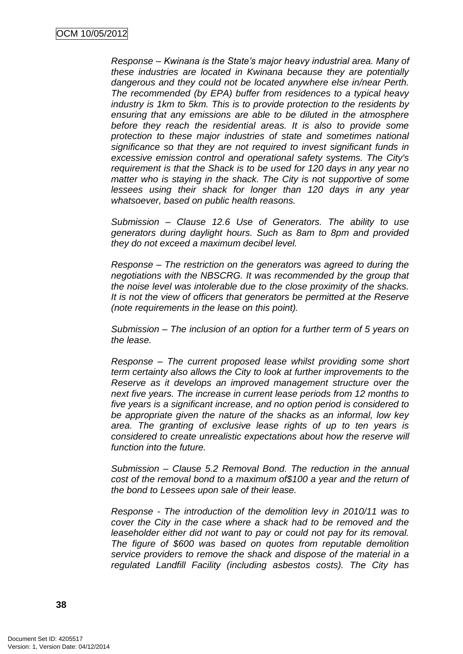*Response – Kwinana is the State's major heavy industrial area. Many of these industries are located in Kwinana because they are potentially dangerous and they could not be located anywhere else in/near Perth. The recommended (by EPA) buffer from residences to a typical heavy industry is 1km to 5km. This is to provide protection to the residents by ensuring that any emissions are able to be diluted in the atmosphere before they reach the residential areas. It is also to provide some protection to these major industries of state and sometimes national significance so that they are not required to invest significant funds in excessive emission control and operational safety systems. The City's requirement is that the Shack is to be used for 120 days in any year no matter who is staying in the shack. The City is not supportive of some lessees using their shack for longer than 120 days in any year whatsoever, based on public health reasons.*

*Submission – Clause 12.6 Use of Generators. The ability to use generators during daylight hours. Such as 8am to 8pm and provided they do not exceed a maximum decibel level.*

*Response – The restriction on the generators was agreed to during the negotiations with the NBSCRG. It was recommended by the group that the noise level was intolerable due to the close proximity of the shacks. It is not the view of officers that generators be permitted at the Reserve (note requirements in the lease on this point).*

*Submission – The inclusion of an option for a further term of 5 years on the lease.*

*Response – The current proposed lease whilst providing some short term certainty also allows the City to look at further improvements to the Reserve as it develops an improved management structure over the next five years. The increase in current lease periods from 12 months to five years is a significant increase, and no option period is considered to be appropriate given the nature of the shacks as an informal, low key area. The granting of exclusive lease rights of up to ten years is considered to create unrealistic expectations about how the reserve will function into the future.*

*Submission – Clause 5.2 Removal Bond. The reduction in the annual cost of the removal bond to a maximum of\$100 a year and the return of the bond to Lessees upon sale of their lease.*

*Response - The introduction of the demolition levy in 2010/11 was to cover the City in the case where a shack had to be removed and the leaseholder either did not want to pay or could not pay for its removal. The figure of \$600 was based on quotes from reputable demolition service providers to remove the shack and dispose of the material in a regulated Landfill Facility (including asbestos costs). The City has*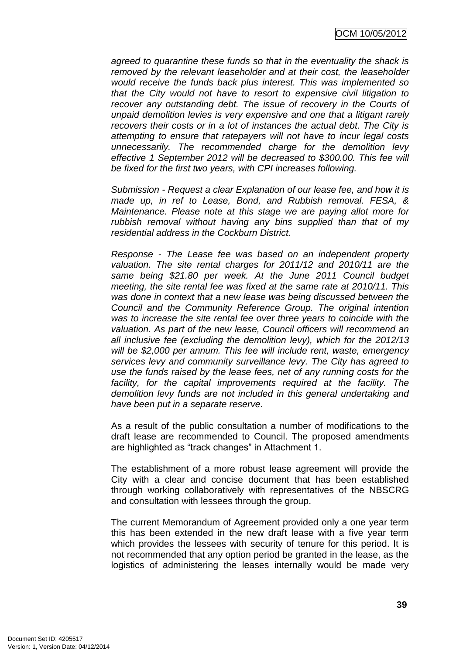*agreed to quarantine these funds so that in the eventuality the shack is removed by the relevant leaseholder and at their cost, the leaseholder would receive the funds back plus interest. This was implemented so that the City would not have to resort to expensive civil litigation to recover any outstanding debt. The issue of recovery in the Courts of unpaid demolition levies is very expensive and one that a litigant rarely recovers their costs or in a lot of instances the actual debt. The City is attempting to ensure that ratepayers will not have to incur legal costs unnecessarily. The recommended charge for the demolition levy effective 1 September 2012 will be decreased to \$300.00. This fee will be fixed for the first two years, with CPI increases following.*

*Submission - Request a clear Explanation of our lease fee, and how it is made up, in ref to Lease, Bond, and Rubbish removal. FESA, & Maintenance. Please note at this stage we are paying allot more for rubbish removal without having any bins supplied than that of my residential address in the Cockburn District.*

*Response - The Lease fee was based on an independent property valuation. The site rental charges for 2011/12 and 2010/11 are the same being \$21.80 per week. At the June 2011 Council budget meeting, the site rental fee was fixed at the same rate at 2010/11. This was done in context that a new lease was being discussed between the Council and the Community Reference Group. The original intention was to increase the site rental fee over three years to coincide with the valuation. As part of the new lease, Council officers will recommend an all inclusive fee (excluding the demolition levy), which for the 2012/13 will be \$2,000 per annum. This fee will include rent, waste, emergency services levy and community surveillance levy. The City has agreed to use the funds raised by the lease fees, net of any running costs for the*  facility, for the capital improvements required at the facility. The *demolition levy funds are not included in this general undertaking and have been put in a separate reserve.*

As a result of the public consultation a number of modifications to the draft lease are recommended to Council. The proposed amendments are highlighted as "track changes" in Attachment 1.

The establishment of a more robust lease agreement will provide the City with a clear and concise document that has been established through working collaboratively with representatives of the NBSCRG and consultation with lessees through the group.

The current Memorandum of Agreement provided only a one year term this has been extended in the new draft lease with a five year term which provides the lessees with security of tenure for this period. It is not recommended that any option period be granted in the lease, as the logistics of administering the leases internally would be made very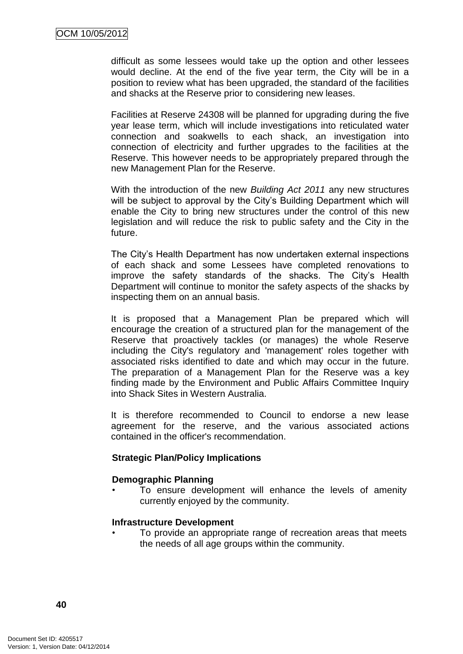difficult as some lessees would take up the option and other lessees would decline. At the end of the five year term, the City will be in a position to review what has been upgraded, the standard of the facilities and shacks at the Reserve prior to considering new leases.

Facilities at Reserve 24308 will be planned for upgrading during the five year lease term, which will include investigations into reticulated water connection and soakwells to each shack, an investigation into connection of electricity and further upgrades to the facilities at the Reserve. This however needs to be appropriately prepared through the new Management Plan for the Reserve.

With the introduction of the new *Building Act 2011* any new structures will be subject to approval by the City's Building Department which will enable the City to bring new structures under the control of this new legislation and will reduce the risk to public safety and the City in the future.

The City"s Health Department has now undertaken external inspections of each shack and some Lessees have completed renovations to improve the safety standards of the shacks. The City"s Health Department will continue to monitor the safety aspects of the shacks by inspecting them on an annual basis.

It is proposed that a Management Plan be prepared which will encourage the creation of a structured plan for the management of the Reserve that proactively tackles (or manages) the whole Reserve including the City's regulatory and 'management' roles together with associated risks identified to date and which may occur in the future. The preparation of a Management Plan for the Reserve was a key finding made by the Environment and Public Affairs Committee Inquiry into Shack Sites in Western Australia.

It is therefore recommended to Council to endorse a new lease agreement for the reserve, and the various associated actions contained in the officer's recommendation.

### **Strategic Plan/Policy Implications**

#### **Demographic Planning**

• To ensure development will enhance the levels of amenity currently enjoyed by the community.

#### **Infrastructure Development**

• To provide an appropriate range of recreation areas that meets the needs of all age groups within the community.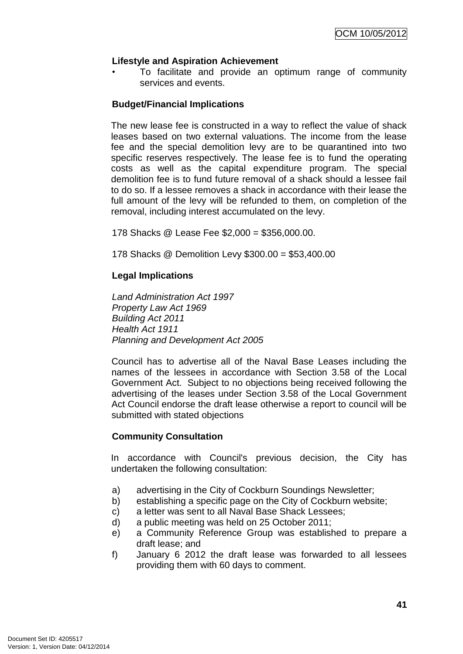## **Lifestyle and Aspiration Achievement**

• To facilitate and provide an optimum range of community services and events.

### **Budget/Financial Implications**

The new lease fee is constructed in a way to reflect the value of shack leases based on two external valuations. The income from the lease fee and the special demolition levy are to be quarantined into two specific reserves respectively. The lease fee is to fund the operating costs as well as the capital expenditure program. The special demolition fee is to fund future removal of a shack should a lessee fail to do so. If a lessee removes a shack in accordance with their lease the full amount of the levy will be refunded to them, on completion of the removal, including interest accumulated on the levy.

178 Shacks @ Lease Fee \$2,000 = \$356,000.00.

178 Shacks @ Demolition Levy \$300.00 = \$53,400.00

## **Legal Implications**

*Land Administration Act 1997 Property Law Act 1969 Building Act 2011 Health Act 1911 Planning and Development Act 2005*

Council has to advertise all of the Naval Base Leases including the names of the lessees in accordance with Section 3.58 of the Local Government Act. Subject to no objections being received following the advertising of the leases under Section 3.58 of the Local Government Act Council endorse the draft lease otherwise a report to council will be submitted with stated objections

### **Community Consultation**

In accordance with Council's previous decision, the City has undertaken the following consultation:

- a) advertising in the City of Cockburn Soundings Newsletter;
- b) establishing a specific page on the City of Cockburn website;
- c) a letter was sent to all Naval Base Shack Lessees;
- d) a public meeting was held on 25 October 2011;
- e) a Community Reference Group was established to prepare a draft lease; and
- f) January 6 2012 the draft lease was forwarded to all lessees providing them with 60 days to comment.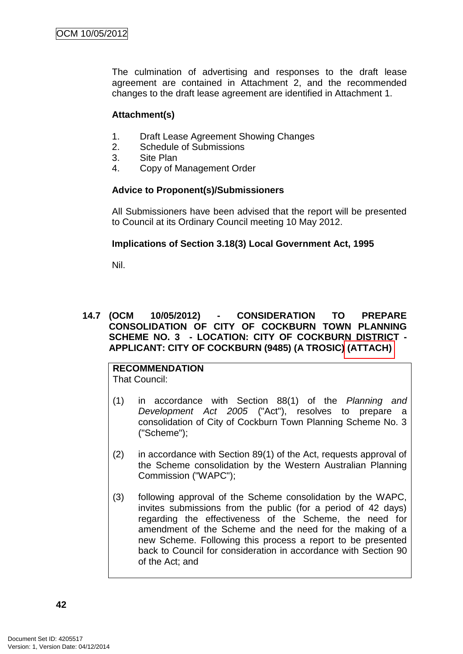The culmination of advertising and responses to the draft lease agreement are contained in Attachment 2, and the recommended changes to the draft lease agreement are identified in Attachment 1.

## **Attachment(s)**

- 1. Draft Lease Agreement Showing Changes
- 2. Schedule of Submissions
- 3. Site Plan
- 4. Copy of Management Order

## **Advice to Proponent(s)/Submissioners**

All Submissioners have been advised that the report will be presented to Council at its Ordinary Council meeting 10 May 2012.

## **Implications of Section 3.18(3) Local Government Act, 1995**

Nil.

### **14.7 (OCM 10/05/2012) - CONSIDERATION TO PREPARE CONSOLIDATION OF CITY OF COCKBURN TOWN PLANNING SCHEME NO. 3 - LOCATION: CITY OF COCKBURN DISTRICT - APPLICANT: CITY OF COCKBURN (9485) (A TROSIC) (ATTACH)**

#### **RECOMMENDATION** That Council:

- (1) in accordance with Section 88(1) of the *Planning and Development Act 2005* ("Act"), resolves to prepare a consolidation of City of Cockburn Town Planning Scheme No. 3 ("Scheme");
- (2) in accordance with Section 89(1) of the Act, requests approval of the Scheme consolidation by the Western Australian Planning Commission ("WAPC");
- (3) following approval of the Scheme consolidation by the WAPC, invites submissions from the public (for a period of 42 days) regarding the effectiveness of the Scheme, the need for amendment of the Scheme and the need for the making of a new Scheme. Following this process a report to be presented back to Council for consideration in accordance with Section 90 of the Act; and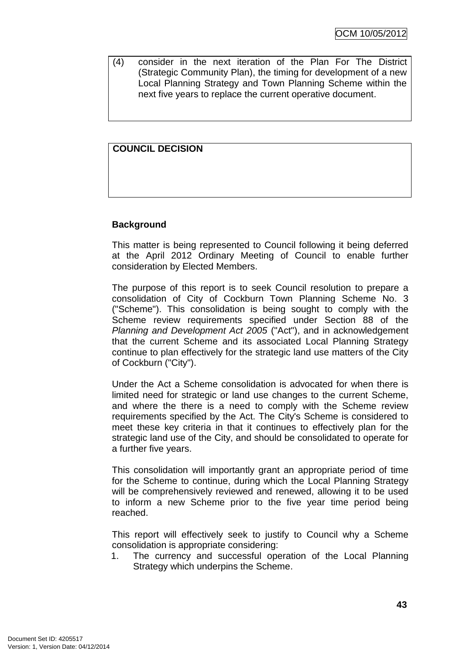(4) consider in the next iteration of the Plan For The District (Strategic Community Plan), the timing for development of a new Local Planning Strategy and Town Planning Scheme within the next five years to replace the current operative document.

# **COUNCIL DECISION**

## **Background**

This matter is being represented to Council following it being deferred at the April 2012 Ordinary Meeting of Council to enable further consideration by Elected Members.

The purpose of this report is to seek Council resolution to prepare a consolidation of City of Cockburn Town Planning Scheme No. 3 ("Scheme"). This consolidation is being sought to comply with the Scheme review requirements specified under Section 88 of the *Planning and Development Act 2005* ("Act"), and in acknowledgement that the current Scheme and its associated Local Planning Strategy continue to plan effectively for the strategic land use matters of the City of Cockburn ("City").

Under the Act a Scheme consolidation is advocated for when there is limited need for strategic or land use changes to the current Scheme, and where the there is a need to comply with the Scheme review requirements specified by the Act. The City's Scheme is considered to meet these key criteria in that it continues to effectively plan for the strategic land use of the City, and should be consolidated to operate for a further five years.

This consolidation will importantly grant an appropriate period of time for the Scheme to continue, during which the Local Planning Strategy will be comprehensively reviewed and renewed, allowing it to be used to inform a new Scheme prior to the five year time period being reached.

This report will effectively seek to justify to Council why a Scheme consolidation is appropriate considering:

1. The currency and successful operation of the Local Planning Strategy which underpins the Scheme.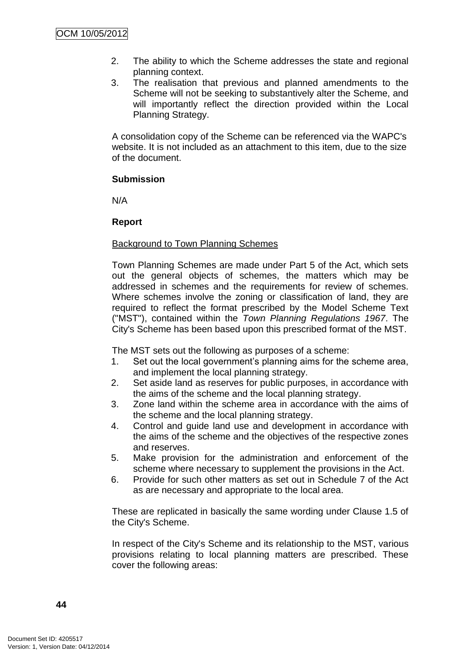- 2. The ability to which the Scheme addresses the state and regional planning context.
- 3. The realisation that previous and planned amendments to the Scheme will not be seeking to substantively alter the Scheme, and will importantly reflect the direction provided within the Local Planning Strategy.

A consolidation copy of the Scheme can be referenced via the WAPC's website. It is not included as an attachment to this item, due to the size of the document.

### **Submission**

N/A

### **Report**

### Background to Town Planning Schemes

Town Planning Schemes are made under Part 5 of the Act, which sets out the general objects of schemes, the matters which may be addressed in schemes and the requirements for review of schemes. Where schemes involve the zoning or classification of land, they are required to reflect the format prescribed by the Model Scheme Text ("MST"), contained within the *Town Planning Regulations 1967*. The City's Scheme has been based upon this prescribed format of the MST.

The MST sets out the following as purposes of a scheme:

- 1. Set out the local government"s planning aims for the scheme area, and implement the local planning strategy.
- 2. Set aside land as reserves for public purposes, in accordance with the aims of the scheme and the local planning strategy.
- 3. Zone land within the scheme area in accordance with the aims of the scheme and the local planning strategy.
- 4. Control and guide land use and development in accordance with the aims of the scheme and the objectives of the respective zones and reserves.
- 5. Make provision for the administration and enforcement of the scheme where necessary to supplement the provisions in the Act.
- 6. Provide for such other matters as set out in Schedule 7 of the Act as are necessary and appropriate to the local area.

These are replicated in basically the same wording under Clause 1.5 of the City's Scheme.

In respect of the City's Scheme and its relationship to the MST, various provisions relating to local planning matters are prescribed. These cover the following areas: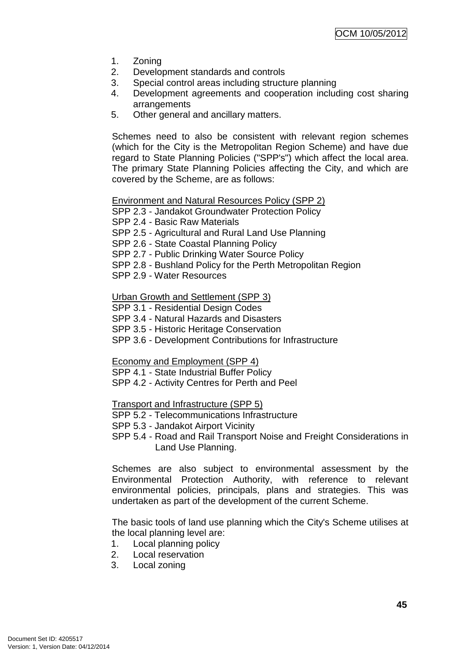- 1. Zoning
- 2. Development standards and controls
- 3. Special control areas including structure planning
- 4. Development agreements and cooperation including cost sharing arrangements
- 5. Other general and ancillary matters.

Schemes need to also be consistent with relevant region schemes (which for the City is the Metropolitan Region Scheme) and have due regard to State Planning Policies ("SPP's") which affect the local area. The primary State Planning Policies affecting the City, and which are covered by the Scheme, are as follows:

Environment and Natural Resources Policy (SPP 2)

SPP 2.3 - Jandakot Groundwater Protection Policy

SPP 2.4 - Basic Raw Materials

SPP 2.5 - Agricultural and Rural Land Use Planning

SPP 2.6 - State Coastal Planning Policy

SPP 2.7 - Public Drinking Water Source Policy

SPP 2.8 - Bushland Policy for the Perth Metropolitan Region

SPP 2.9 - Water Resources

Urban Growth and Settlement (SPP 3)

SPP 3.1 - Residential Design Codes

SPP 3.4 - Natural Hazards and Disasters

SPP 3.5 - Historic Heritage Conservation

SPP 3.6 - Development Contributions for Infrastructure

Economy and Employment (SPP 4)

SPP 4.1 - State Industrial Buffer Policy

SPP 4.2 - Activity Centres for Perth and Peel

Transport and Infrastructure (SPP 5)

- SPP 5.2 Telecommunications Infrastructure
- SPP 5.3 Jandakot Airport Vicinity
- SPP 5.4 Road and Rail Transport Noise and Freight Considerations in Land Use Planning.

Schemes are also subject to environmental assessment by the Environmental Protection Authority, with reference to relevant environmental policies, principals, plans and strategies. This was undertaken as part of the development of the current Scheme.

The basic tools of land use planning which the City's Scheme utilises at the local planning level are:

- 1. Local planning policy
- 2. Local reservation
- 3. Local zoning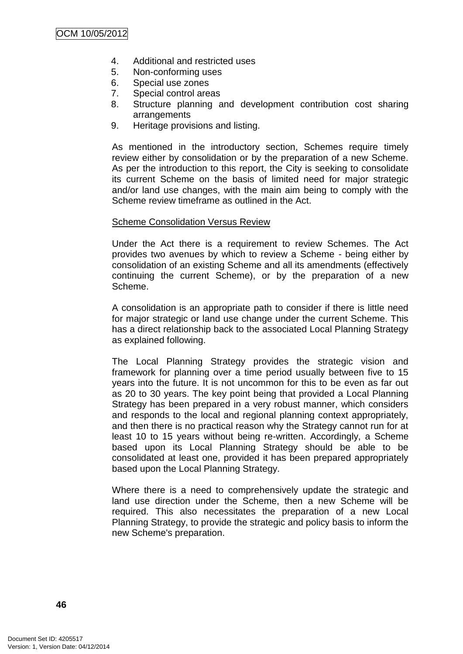- 4. Additional and restricted uses
- 5. Non-conforming uses
- 6. Special use zones
- 7. Special control areas
- 8. Structure planning and development contribution cost sharing arrangements
- 9. Heritage provisions and listing.

As mentioned in the introductory section, Schemes require timely review either by consolidation or by the preparation of a new Scheme. As per the introduction to this report, the City is seeking to consolidate its current Scheme on the basis of limited need for major strategic and/or land use changes, with the main aim being to comply with the Scheme review timeframe as outlined in the Act.

### Scheme Consolidation Versus Review

Under the Act there is a requirement to review Schemes. The Act provides two avenues by which to review a Scheme - being either by consolidation of an existing Scheme and all its amendments (effectively continuing the current Scheme), or by the preparation of a new Scheme.

A consolidation is an appropriate path to consider if there is little need for major strategic or land use change under the current Scheme. This has a direct relationship back to the associated Local Planning Strategy as explained following.

The Local Planning Strategy provides the strategic vision and framework for planning over a time period usually between five to 15 years into the future. It is not uncommon for this to be even as far out as 20 to 30 years. The key point being that provided a Local Planning Strategy has been prepared in a very robust manner, which considers and responds to the local and regional planning context appropriately, and then there is no practical reason why the Strategy cannot run for at least 10 to 15 years without being re-written. Accordingly, a Scheme based upon its Local Planning Strategy should be able to be consolidated at least one, provided it has been prepared appropriately based upon the Local Planning Strategy.

Where there is a need to comprehensively update the strategic and land use direction under the Scheme, then a new Scheme will be required. This also necessitates the preparation of a new Local Planning Strategy, to provide the strategic and policy basis to inform the new Scheme's preparation.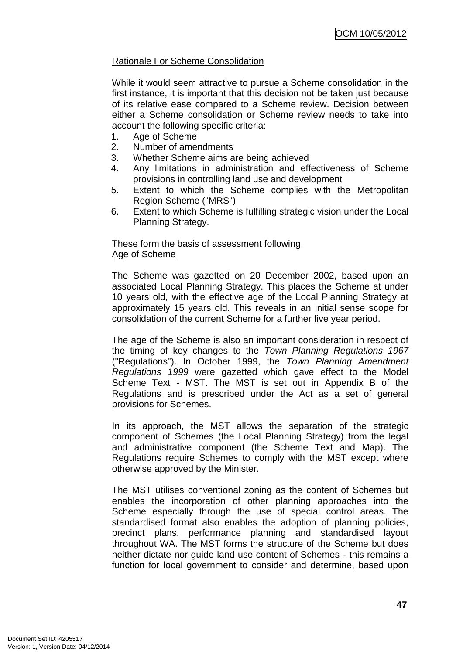## Rationale For Scheme Consolidation

While it would seem attractive to pursue a Scheme consolidation in the first instance, it is important that this decision not be taken just because of its relative ease compared to a Scheme review. Decision between either a Scheme consolidation or Scheme review needs to take into account the following specific criteria:

- 1. Age of Scheme
- 2. Number of amendments
- 3. Whether Scheme aims are being achieved
- 4. Any limitations in administration and effectiveness of Scheme provisions in controlling land use and development
- 5. Extent to which the Scheme complies with the Metropolitan Region Scheme ("MRS")
- 6. Extent to which Scheme is fulfilling strategic vision under the Local Planning Strategy.

These form the basis of assessment following. Age of Scheme

The Scheme was gazetted on 20 December 2002, based upon an associated Local Planning Strategy. This places the Scheme at under 10 years old, with the effective age of the Local Planning Strategy at approximately 15 years old. This reveals in an initial sense scope for consolidation of the current Scheme for a further five year period.

The age of the Scheme is also an important consideration in respect of the timing of key changes to the *Town Planning Regulations 1967*  ("Regulations"). In October 1999, the *Town Planning Amendment Regulations 1999* were gazetted which gave effect to the Model Scheme Text - MST. The MST is set out in Appendix B of the Regulations and is prescribed under the Act as a set of general provisions for Schemes.

In its approach, the MST allows the separation of the strategic component of Schemes (the Local Planning Strategy) from the legal and administrative component (the Scheme Text and Map). The Regulations require Schemes to comply with the MST except where otherwise approved by the Minister.

The MST utilises conventional zoning as the content of Schemes but enables the incorporation of other planning approaches into the Scheme especially through the use of special control areas. The standardised format also enables the adoption of planning policies, precinct plans, performance planning and standardised layout throughout WA. The MST forms the structure of the Scheme but does neither dictate nor guide land use content of Schemes - this remains a function for local government to consider and determine, based upon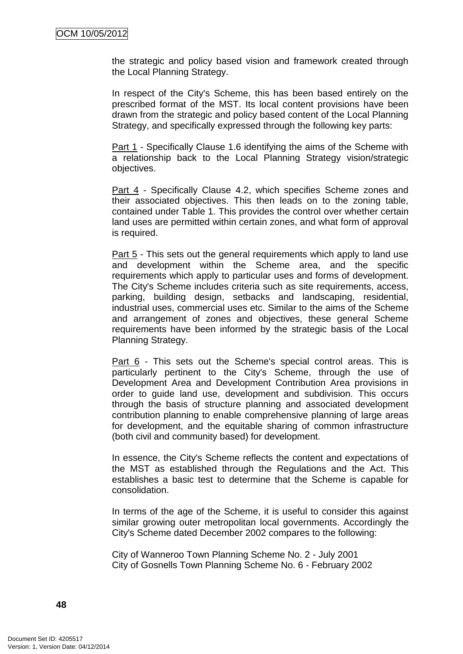the strategic and policy based vision and framework created through the Local Planning Strategy.

In respect of the City's Scheme, this has been based entirely on the prescribed format of the MST. Its local content provisions have been drawn from the strategic and policy based content of the Local Planning Strategy, and specifically expressed through the following key parts:

Part 1 - Specifically Clause 1.6 identifying the aims of the Scheme with a relationship back to the Local Planning Strategy vision/strategic objectives.

Part 4 - Specifically Clause 4.2, which specifies Scheme zones and their associated objectives. This then leads on to the zoning table, contained under Table 1. This provides the control over whether certain land uses are permitted within certain zones, and what form of approval is required.

Part 5 - This sets out the general requirements which apply to land use and development within the Scheme area, and the specific requirements which apply to particular uses and forms of development. The City's Scheme includes criteria such as site requirements, access, parking, building design, setbacks and landscaping, residential, industrial uses, commercial uses etc. Similar to the aims of the Scheme and arrangement of zones and objectives, these general Scheme requirements have been informed by the strategic basis of the Local Planning Strategy.

Part 6 - This sets out the Scheme's special control areas. This is particularly pertinent to the City's Scheme, through the use of Development Area and Development Contribution Area provisions in order to guide land use, development and subdivision. This occurs through the basis of structure planning and associated development contribution planning to enable comprehensive planning of large areas for development, and the equitable sharing of common infrastructure (both civil and community based) for development.

In essence, the City's Scheme reflects the content and expectations of the MST as established through the Regulations and the Act. This establishes a basic test to determine that the Scheme is capable for consolidation.

In terms of the age of the Scheme, it is useful to consider this against similar growing outer metropolitan local governments. Accordingly the City's Scheme dated December 2002 compares to the following:

City of Wanneroo Town Planning Scheme No. 2 - July 2001 City of Gosnells Town Planning Scheme No. 6 - February 2002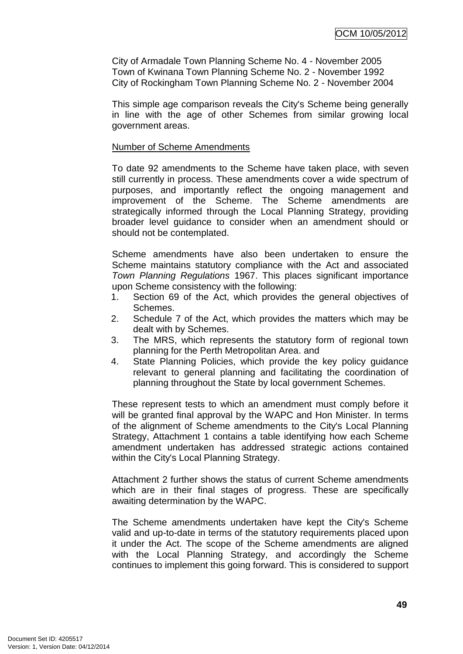City of Armadale Town Planning Scheme No. 4 - November 2005 Town of Kwinana Town Planning Scheme No. 2 - November 1992 City of Rockingham Town Planning Scheme No. 2 - November 2004

This simple age comparison reveals the City's Scheme being generally in line with the age of other Schemes from similar growing local government areas.

#### Number of Scheme Amendments

To date 92 amendments to the Scheme have taken place, with seven still currently in process. These amendments cover a wide spectrum of purposes, and importantly reflect the ongoing management and improvement of the Scheme. The Scheme amendments are strategically informed through the Local Planning Strategy, providing broader level guidance to consider when an amendment should or should not be contemplated.

Scheme amendments have also been undertaken to ensure the Scheme maintains statutory compliance with the Act and associated *Town Planning Regulations* 1967. This places significant importance upon Scheme consistency with the following:

- 1. Section 69 of the Act, which provides the general objectives of Schemes.
- 2. Schedule 7 of the Act, which provides the matters which may be dealt with by Schemes.
- 3. The MRS, which represents the statutory form of regional town planning for the Perth Metropolitan Area. and
- 4. State Planning Policies, which provide the key policy guidance relevant to general planning and facilitating the coordination of planning throughout the State by local government Schemes.

These represent tests to which an amendment must comply before it will be granted final approval by the WAPC and Hon Minister. In terms of the alignment of Scheme amendments to the City's Local Planning Strategy, Attachment 1 contains a table identifying how each Scheme amendment undertaken has addressed strategic actions contained within the City's Local Planning Strategy.

Attachment 2 further shows the status of current Scheme amendments which are in their final stages of progress. These are specifically awaiting determination by the WAPC.

The Scheme amendments undertaken have kept the City's Scheme valid and up-to-date in terms of the statutory requirements placed upon it under the Act. The scope of the Scheme amendments are aligned with the Local Planning Strategy, and accordingly the Scheme continues to implement this going forward. This is considered to support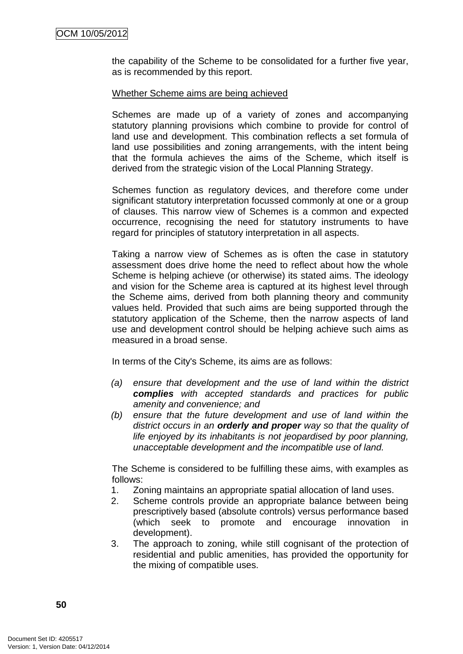the capability of the Scheme to be consolidated for a further five year, as is recommended by this report.

#### Whether Scheme aims are being achieved

Schemes are made up of a variety of zones and accompanying statutory planning provisions which combine to provide for control of land use and development. This combination reflects a set formula of land use possibilities and zoning arrangements, with the intent being that the formula achieves the aims of the Scheme, which itself is derived from the strategic vision of the Local Planning Strategy.

Schemes function as regulatory devices, and therefore come under significant statutory interpretation focussed commonly at one or a group of clauses. This narrow view of Schemes is a common and expected occurrence, recognising the need for statutory instruments to have regard for principles of statutory interpretation in all aspects.

Taking a narrow view of Schemes as is often the case in statutory assessment does drive home the need to reflect about how the whole Scheme is helping achieve (or otherwise) its stated aims. The ideology and vision for the Scheme area is captured at its highest level through the Scheme aims, derived from both planning theory and community values held. Provided that such aims are being supported through the statutory application of the Scheme, then the narrow aspects of land use and development control should be helping achieve such aims as measured in a broad sense.

In terms of the City's Scheme, its aims are as follows:

- *(a) ensure that development and the use of land within the district complies with accepted standards and practices for public amenity and convenience; and*
- *(b) ensure that the future development and use of land within the district occurs in an orderly and proper way so that the quality of life enjoyed by its inhabitants is not jeopardised by poor planning, unacceptable development and the incompatible use of land.*

The Scheme is considered to be fulfilling these aims, with examples as follows:

- 1. Zoning maintains an appropriate spatial allocation of land uses.
- 2. Scheme controls provide an appropriate balance between being prescriptively based (absolute controls) versus performance based (which seek to promote and encourage innovation in development).
- 3. The approach to zoning, while still cognisant of the protection of residential and public amenities, has provided the opportunity for the mixing of compatible uses.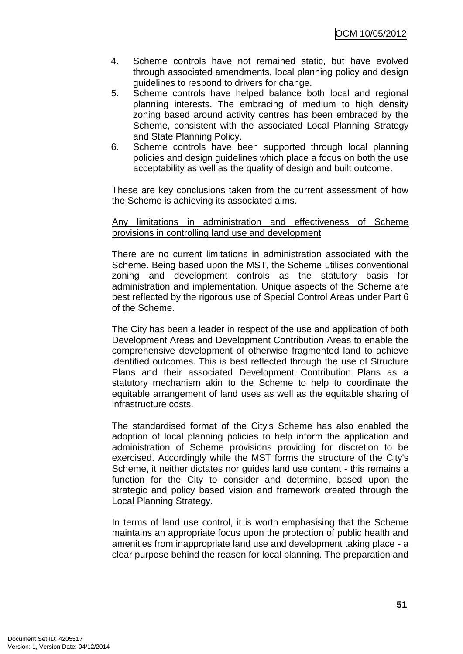OCM 10/05/2012

- 4. Scheme controls have not remained static, but have evolved through associated amendments, local planning policy and design guidelines to respond to drivers for change.
- 5. Scheme controls have helped balance both local and regional planning interests. The embracing of medium to high density zoning based around activity centres has been embraced by the Scheme, consistent with the associated Local Planning Strategy and State Planning Policy.
- 6. Scheme controls have been supported through local planning policies and design guidelines which place a focus on both the use acceptability as well as the quality of design and built outcome.

These are key conclusions taken from the current assessment of how the Scheme is achieving its associated aims.

#### Any limitations in administration and effectiveness of Scheme provisions in controlling land use and development

There are no current limitations in administration associated with the Scheme. Being based upon the MST, the Scheme utilises conventional zoning and development controls as the statutory basis for administration and implementation. Unique aspects of the Scheme are best reflected by the rigorous use of Special Control Areas under Part 6 of the Scheme.

The City has been a leader in respect of the use and application of both Development Areas and Development Contribution Areas to enable the comprehensive development of otherwise fragmented land to achieve identified outcomes. This is best reflected through the use of Structure Plans and their associated Development Contribution Plans as a statutory mechanism akin to the Scheme to help to coordinate the equitable arrangement of land uses as well as the equitable sharing of infrastructure costs.

The standardised format of the City's Scheme has also enabled the adoption of local planning policies to help inform the application and administration of Scheme provisions providing for discretion to be exercised. Accordingly while the MST forms the structure of the City's Scheme, it neither dictates nor guides land use content - this remains a function for the City to consider and determine, based upon the strategic and policy based vision and framework created through the Local Planning Strategy.

In terms of land use control, it is worth emphasising that the Scheme maintains an appropriate focus upon the protection of public health and amenities from inappropriate land use and development taking place - a clear purpose behind the reason for local planning. The preparation and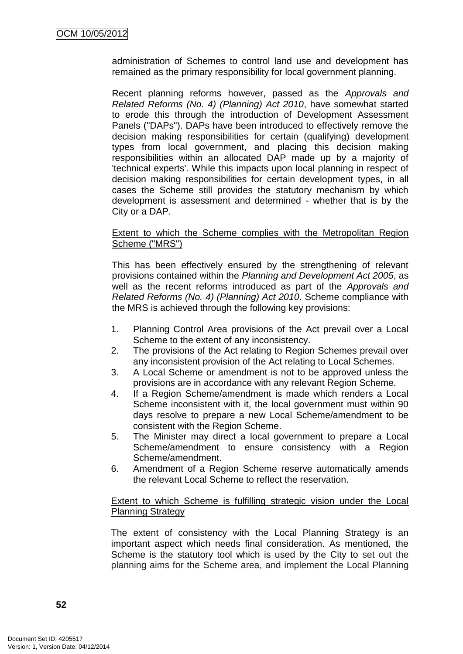administration of Schemes to control land use and development has remained as the primary responsibility for local government planning.

Recent planning reforms however, passed as the *Approvals and Related Reforms (No. 4) (Planning) Act 2010*, have somewhat started to erode this through the introduction of Development Assessment Panels ("DAPs"). DAPs have been introduced to effectively remove the decision making responsibilities for certain (qualifying) development types from local government, and placing this decision making responsibilities within an allocated DAP made up by a majority of 'technical experts'. While this impacts upon local planning in respect of decision making responsibilities for certain development types, in all cases the Scheme still provides the statutory mechanism by which development is assessment and determined - whether that is by the City or a DAP.

#### Extent to which the Scheme complies with the Metropolitan Region Scheme ("MRS")

This has been effectively ensured by the strengthening of relevant provisions contained within the *Planning and Development Act 2005*, as well as the recent reforms introduced as part of the *Approvals and Related Reforms (No. 4) (Planning) Act 2010*. Scheme compliance with the MRS is achieved through the following key provisions:

- 1. Planning Control Area provisions of the Act prevail over a Local Scheme to the extent of any inconsistency.
- 2. The provisions of the Act relating to Region Schemes prevail over any inconsistent provision of the Act relating to Local Schemes.
- 3. A Local Scheme or amendment is not to be approved unless the provisions are in accordance with any relevant Region Scheme.
- 4. If a Region Scheme/amendment is made which renders a Local Scheme inconsistent with it, the local government must within 90 days resolve to prepare a new Local Scheme/amendment to be consistent with the Region Scheme.
- 5. The Minister may direct a local government to prepare a Local Scheme/amendment to ensure consistency with a Region Scheme/amendment.
- 6. Amendment of a Region Scheme reserve automatically amends the relevant Local Scheme to reflect the reservation.

### Extent to which Scheme is fulfilling strategic vision under the Local Planning Strategy

The extent of consistency with the Local Planning Strategy is an important aspect which needs final consideration. As mentioned, the Scheme is the statutory tool which is used by the City to set out the planning aims for the Scheme area, and implement the Local Planning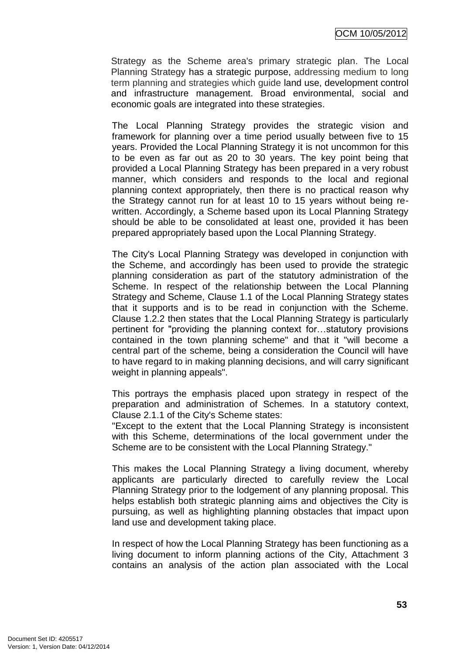Strategy as the Scheme area's primary strategic plan. The Local Planning Strategy has a strategic purpose, addressing medium to long term planning and strategies which guide land use, development control and infrastructure management. Broad environmental, social and economic goals are integrated into these strategies.

The Local Planning Strategy provides the strategic vision and framework for planning over a time period usually between five to 15 years. Provided the Local Planning Strategy it is not uncommon for this to be even as far out as 20 to 30 years. The key point being that provided a Local Planning Strategy has been prepared in a very robust manner, which considers and responds to the local and regional planning context appropriately, then there is no practical reason why the Strategy cannot run for at least 10 to 15 years without being rewritten. Accordingly, a Scheme based upon its Local Planning Strategy should be able to be consolidated at least one, provided it has been prepared appropriately based upon the Local Planning Strategy.

The City's Local Planning Strategy was developed in conjunction with the Scheme, and accordingly has been used to provide the strategic planning consideration as part of the statutory administration of the Scheme. In respect of the relationship between the Local Planning Strategy and Scheme, Clause 1.1 of the Local Planning Strategy states that it supports and is to be read in conjunction with the Scheme. Clause 1.2.2 then states that the Local Planning Strategy is particularly pertinent for "providing the planning context for…statutory provisions contained in the town planning scheme" and that it "will become a central part of the scheme, being a consideration the Council will have to have regard to in making planning decisions, and will carry significant weight in planning appeals".

This portrays the emphasis placed upon strategy in respect of the preparation and administration of Schemes. In a statutory context, Clause 2.1.1 of the City's Scheme states:

"Except to the extent that the Local Planning Strategy is inconsistent with this Scheme, determinations of the local government under the Scheme are to be consistent with the Local Planning Strategy."

This makes the Local Planning Strategy a living document, whereby applicants are particularly directed to carefully review the Local Planning Strategy prior to the lodgement of any planning proposal. This helps establish both strategic planning aims and objectives the City is pursuing, as well as highlighting planning obstacles that impact upon land use and development taking place.

In respect of how the Local Planning Strategy has been functioning as a living document to inform planning actions of the City, Attachment 3 contains an analysis of the action plan associated with the Local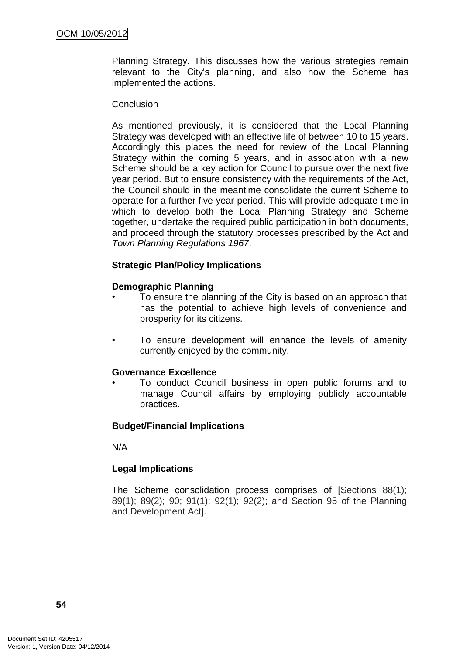Planning Strategy. This discusses how the various strategies remain relevant to the City's planning, and also how the Scheme has implemented the actions.

#### **Conclusion**

As mentioned previously, it is considered that the Local Planning Strategy was developed with an effective life of between 10 to 15 years. Accordingly this places the need for review of the Local Planning Strategy within the coming 5 years, and in association with a new Scheme should be a key action for Council to pursue over the next five year period. But to ensure consistency with the requirements of the Act, the Council should in the meantime consolidate the current Scheme to operate for a further five year period. This will provide adequate time in which to develop both the Local Planning Strategy and Scheme together, undertake the required public participation in both documents, and proceed through the statutory processes prescribed by the Act and *Town Planning Regulations 1967*.

### **Strategic Plan/Policy Implications**

### **Demographic Planning**

- To ensure the planning of the City is based on an approach that has the potential to achieve high levels of convenience and prosperity for its citizens.
- To ensure development will enhance the levels of amenity currently enjoyed by the community.

### **Governance Excellence**

• To conduct Council business in open public forums and to manage Council affairs by employing publicly accountable practices.

### **Budget/Financial Implications**

N/A

# **Legal Implications**

The Scheme consolidation process comprises of [Sections 88(1); 89(1); 89(2); 90; 91(1); 92(1); 92(2); and Section 95 of the Planning and Development Act].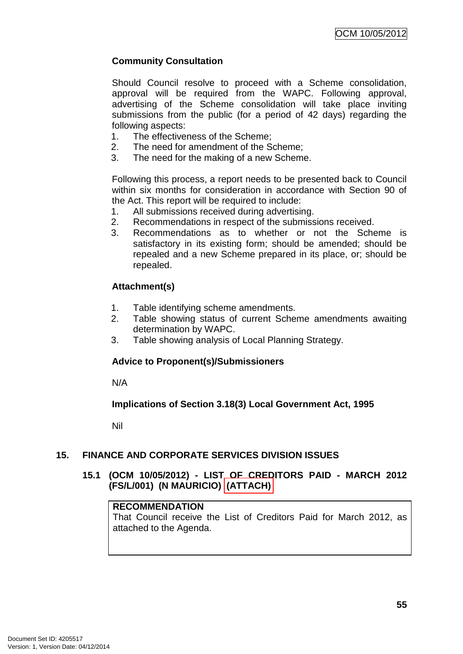# **Community Consultation**

Should Council resolve to proceed with a Scheme consolidation, approval will be required from the WAPC. Following approval, advertising of the Scheme consolidation will take place inviting submissions from the public (for a period of 42 days) regarding the following aspects:

- 1. The effectiveness of the Scheme;
- 2. The need for amendment of the Scheme;
- 3. The need for the making of a new Scheme.

Following this process, a report needs to be presented back to Council within six months for consideration in accordance with Section 90 of the Act. This report will be required to include:

- 1. All submissions received during advertising.
- 2. Recommendations in respect of the submissions received.
- 3. Recommendations as to whether or not the Scheme is satisfactory in its existing form; should be amended; should be repealed and a new Scheme prepared in its place, or; should be repealed.

# **Attachment(s)**

- 1. Table identifying scheme amendments.
- 2. Table showing status of current Scheme amendments awaiting determination by WAPC.
- 3. Table showing analysis of Local Planning Strategy.

# **Advice to Proponent(s)/Submissioners**

N/A

# **Implications of Section 3.18(3) Local Government Act, 1995**

Nil

# **15. FINANCE AND CORPORATE SERVICES DIVISION ISSUES**

## **15.1 (OCM 10/05/2012) - LIST OF CREDITORS PAID - MARCH 2012 (FS/L/001) (N MAURICIO) (ATTACH)**

#### **RECOMMENDATION**

That Council receive the List of Creditors Paid for March 2012, as attached to the Agenda.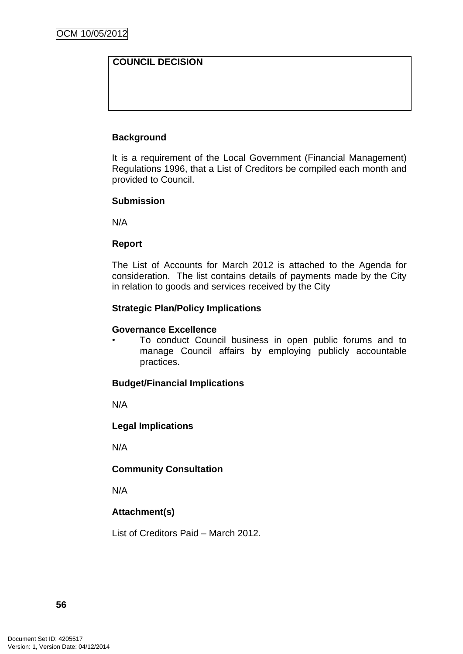# **COUNCIL DECISION**

### **Background**

It is a requirement of the Local Government (Financial Management) Regulations 1996, that a List of Creditors be compiled each month and provided to Council.

#### **Submission**

N/A

#### **Report**

The List of Accounts for March 2012 is attached to the Agenda for consideration. The list contains details of payments made by the City in relation to goods and services received by the City

### **Strategic Plan/Policy Implications**

#### **Governance Excellence**

• To conduct Council business in open public forums and to manage Council affairs by employing publicly accountable practices.

#### **Budget/Financial Implications**

N/A

### **Legal Implications**

N/A

### **Community Consultation**

N/A

### **Attachment(s)**

List of Creditors Paid – March 2012.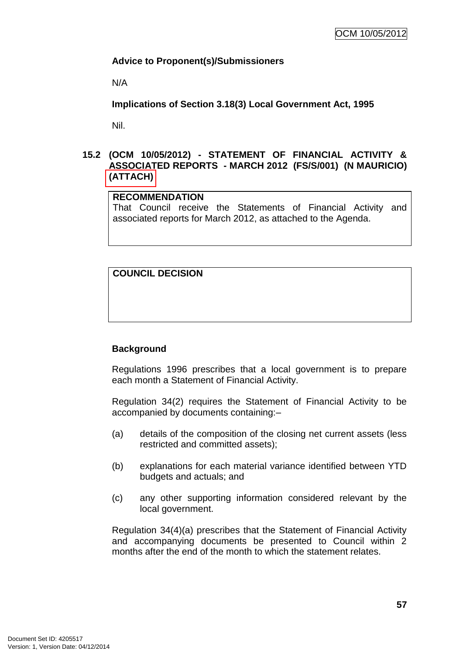## **Advice to Proponent(s)/Submissioners**

N/A

**Implications of Section 3.18(3) Local Government Act, 1995**

Nil.

### **15.2 (OCM 10/05/2012) - STATEMENT OF FINANCIAL ACTIVITY & ASSOCIATED REPORTS - MARCH 2012 (FS/S/001) (N MAURICIO) (ATTACH)**

### **RECOMMENDATION**

That Council receive the Statements of Financial Activity and associated reports for March 2012, as attached to the Agenda.

## **COUNCIL DECISION**

### **Background**

Regulations 1996 prescribes that a local government is to prepare each month a Statement of Financial Activity.

Regulation 34(2) requires the Statement of Financial Activity to be accompanied by documents containing:–

- (a) details of the composition of the closing net current assets (less restricted and committed assets);
- (b) explanations for each material variance identified between YTD budgets and actuals; and
- (c) any other supporting information considered relevant by the local government.

Regulation 34(4)(a) prescribes that the Statement of Financial Activity and accompanying documents be presented to Council within 2 months after the end of the month to which the statement relates.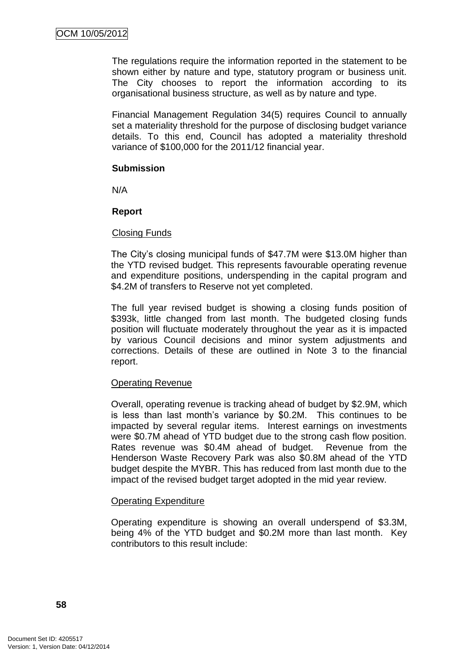The regulations require the information reported in the statement to be shown either by nature and type, statutory program or business unit. The City chooses to report the information according to its organisational business structure, as well as by nature and type.

Financial Management Regulation 34(5) requires Council to annually set a materiality threshold for the purpose of disclosing budget variance details. To this end, Council has adopted a materiality threshold variance of \$100,000 for the 2011/12 financial year.

#### **Submission**

N/A

### **Report**

### Closing Funds

The City"s closing municipal funds of \$47.7M were \$13.0M higher than the YTD revised budget. This represents favourable operating revenue and expenditure positions, underspending in the capital program and \$4.2M of transfers to Reserve not yet completed.

The full year revised budget is showing a closing funds position of \$393k, little changed from last month. The budgeted closing funds position will fluctuate moderately throughout the year as it is impacted by various Council decisions and minor system adjustments and corrections. Details of these are outlined in Note 3 to the financial report.

### Operating Revenue

Overall, operating revenue is tracking ahead of budget by \$2.9M, which is less than last month's variance by \$0.2M. This continues to be impacted by several regular items. Interest earnings on investments were \$0.7M ahead of YTD budget due to the strong cash flow position. Rates revenue was \$0.4M ahead of budget. Revenue from the Henderson Waste Recovery Park was also \$0.8M ahead of the YTD budget despite the MYBR. This has reduced from last month due to the impact of the revised budget target adopted in the mid year review.

### Operating Expenditure

Operating expenditure is showing an overall underspend of \$3.3M, being 4% of the YTD budget and \$0.2M more than last month. Key contributors to this result include: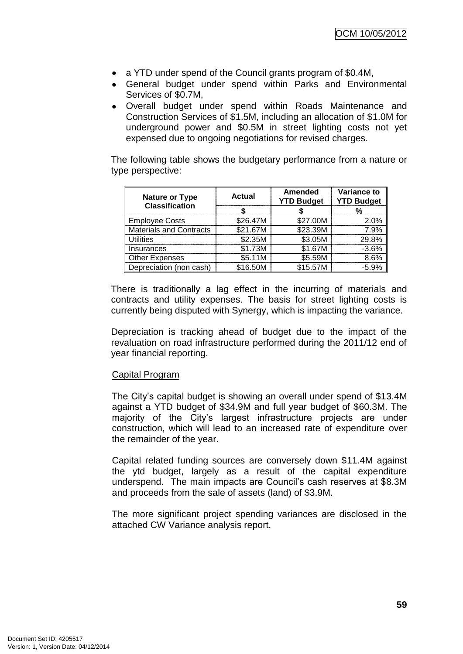- a YTD under spend of the Council grants program of \$0.4M,
- General budget under spend within Parks and Environmental Services of \$0.7M,
- Overall budget under spend within Roads Maintenance and Construction Services of \$1.5M, including an allocation of \$1.0M for underground power and \$0.5M in street lighting costs not yet expensed due to ongoing negotiations for revised charges.

The following table shows the budgetary performance from a nature or type perspective:

| <b>Nature or Type</b><br><b>Classification</b> | <b>Actual</b> | <b>Amended</b><br><b>YTD Budget</b> | Variance to<br><b>YTD Budget</b> |
|------------------------------------------------|---------------|-------------------------------------|----------------------------------|
|                                                |               |                                     | %                                |
| <b>Employee Costs</b>                          | \$26.47M      | \$27.00M                            | 2.0%                             |
| <b>Materials and Contracts</b>                 | \$21.67M      | \$23.39M                            | 7.9%                             |
| <b>Utilities</b>                               | \$2.35M       | \$3.05M                             | 29.8%                            |
| Insurances                                     | \$1.73M       | \$1.67M                             | $-3.6%$                          |
| <b>Other Expenses</b>                          | \$5.11M       | \$5.59M                             | 8.6%                             |
| Depreciation (non cash)                        | \$16.50M      | \$15.57M                            | $-5.9%$                          |

There is traditionally a lag effect in the incurring of materials and contracts and utility expenses. The basis for street lighting costs is currently being disputed with Synergy, which is impacting the variance.

Depreciation is tracking ahead of budget due to the impact of the revaluation on road infrastructure performed during the 2011/12 end of year financial reporting.

### Capital Program

The City"s capital budget is showing an overall under spend of \$13.4M against a YTD budget of \$34.9M and full year budget of \$60.3M. The majority of the City"s largest infrastructure projects are under construction, which will lead to an increased rate of expenditure over the remainder of the year.

Capital related funding sources are conversely down \$11.4M against the ytd budget, largely as a result of the capital expenditure underspend. The main impacts are Council"s cash reserves at \$8.3M and proceeds from the sale of assets (land) of \$3.9M.

The more significant project spending variances are disclosed in the attached CW Variance analysis report.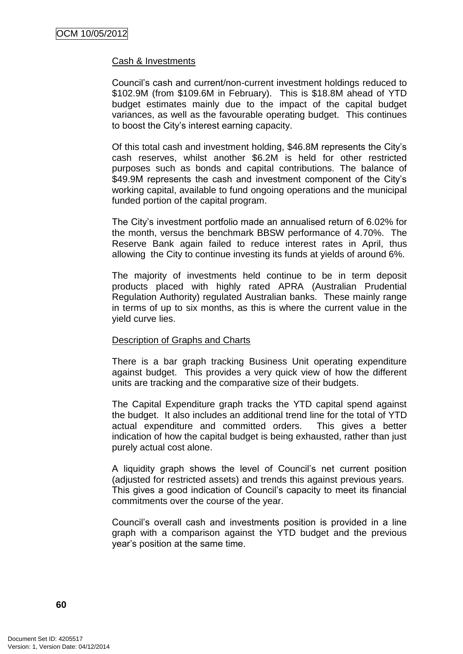#### Cash & Investments

Council"s cash and current/non-current investment holdings reduced to \$102.9M (from \$109.6M in February). This is \$18.8M ahead of YTD budget estimates mainly due to the impact of the capital budget variances, as well as the favourable operating budget. This continues to boost the City"s interest earning capacity.

Of this total cash and investment holding, \$46.8M represents the City"s cash reserves, whilst another \$6.2M is held for other restricted purposes such as bonds and capital contributions. The balance of \$49.9M represents the cash and investment component of the City's working capital, available to fund ongoing operations and the municipal funded portion of the capital program.

The City"s investment portfolio made an annualised return of 6.02% for the month, versus the benchmark BBSW performance of 4.70%. The Reserve Bank again failed to reduce interest rates in April, thus allowing the City to continue investing its funds at yields of around 6%.

The majority of investments held continue to be in term deposit products placed with highly rated APRA (Australian Prudential Regulation Authority) regulated Australian banks. These mainly range in terms of up to six months, as this is where the current value in the yield curve lies.

#### Description of Graphs and Charts

There is a bar graph tracking Business Unit operating expenditure against budget. This provides a very quick view of how the different units are tracking and the comparative size of their budgets.

The Capital Expenditure graph tracks the YTD capital spend against the budget. It also includes an additional trend line for the total of YTD actual expenditure and committed orders. This gives a better indication of how the capital budget is being exhausted, rather than just purely actual cost alone.

A liquidity graph shows the level of Council"s net current position (adjusted for restricted assets) and trends this against previous years. This gives a good indication of Council"s capacity to meet its financial commitments over the course of the year.

Council"s overall cash and investments position is provided in a line graph with a comparison against the YTD budget and the previous year"s position at the same time.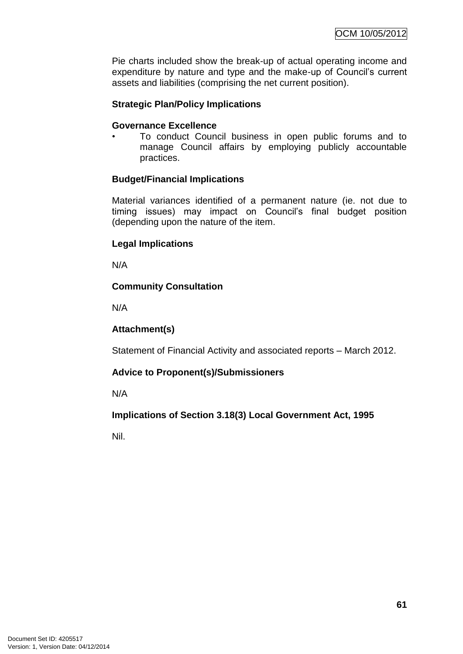Pie charts included show the break-up of actual operating income and expenditure by nature and type and the make-up of Council"s current assets and liabilities (comprising the net current position).

### **Strategic Plan/Policy Implications**

#### **Governance Excellence**

• To conduct Council business in open public forums and to manage Council affairs by employing publicly accountable practices.

## **Budget/Financial Implications**

Material variances identified of a permanent nature (ie. not due to timing issues) may impact on Council"s final budget position (depending upon the nature of the item.

## **Legal Implications**

N/A

## **Community Consultation**

N/A

### **Attachment(s)**

Statement of Financial Activity and associated reports – March 2012.

### **Advice to Proponent(s)/Submissioners**

N/A

# **Implications of Section 3.18(3) Local Government Act, 1995**

Nil.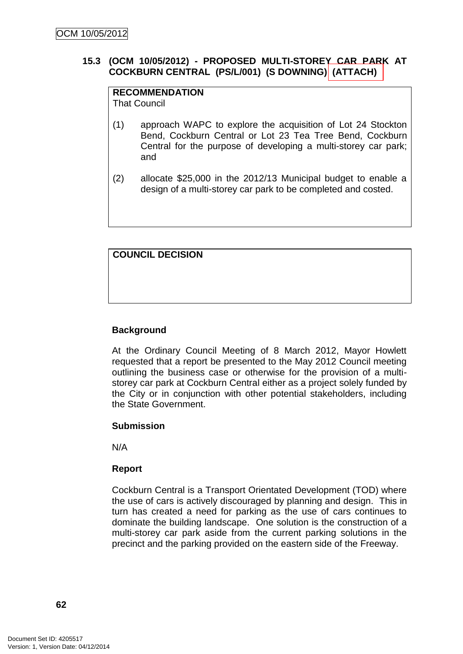## **15.3 (OCM 10/05/2012) - PROPOSED MULTI-STOREY CAR PARK AT COCKBURN CENTRAL (PS/L/001) (S DOWNING) (ATTACH)**

# **RECOMMENDATION**

That Council

- (1) approach WAPC to explore the acquisition of Lot 24 Stockton Bend, Cockburn Central or Lot 23 Tea Tree Bend, Cockburn Central for the purpose of developing a multi-storey car park; and
- (2) allocate \$25,000 in the 2012/13 Municipal budget to enable a design of a multi-storey car park to be completed and costed.

# **COUNCIL DECISION**

# **Background**

At the Ordinary Council Meeting of 8 March 2012, Mayor Howlett requested that a report be presented to the May 2012 Council meeting outlining the business case or otherwise for the provision of a multistorey car park at Cockburn Central either as a project solely funded by the City or in conjunction with other potential stakeholders, including the State Government.

### **Submission**

N/A

# **Report**

Cockburn Central is a Transport Orientated Development (TOD) where the use of cars is actively discouraged by planning and design. This in turn has created a need for parking as the use of cars continues to dominate the building landscape. One solution is the construction of a multi-storey car park aside from the current parking solutions in the precinct and the parking provided on the eastern side of the Freeway.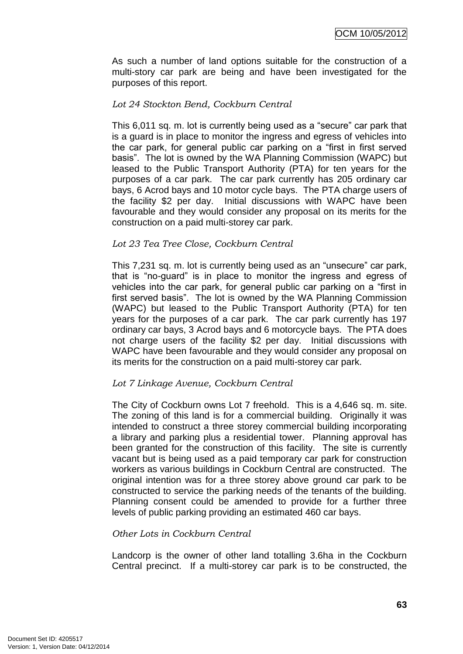As such a number of land options suitable for the construction of a multi-story car park are being and have been investigated for the purposes of this report.

### *Lot 24 Stockton Bend, Cockburn Central*

This 6,011 sq. m. lot is currently being used as a "secure" car park that is a guard is in place to monitor the ingress and egress of vehicles into the car park, for general public car parking on a "first in first served basis". The lot is owned by the WA Planning Commission (WAPC) but leased to the Public Transport Authority (PTA) for ten years for the purposes of a car park. The car park currently has 205 ordinary car bays, 6 Acrod bays and 10 motor cycle bays. The PTA charge users of the facility \$2 per day. Initial discussions with WAPC have been favourable and they would consider any proposal on its merits for the construction on a paid multi-storey car park.

### *Lot 23 Tea Tree Close, Cockburn Central*

This 7,231 sq. m. lot is currently being used as an "unsecure" car park, that is "no-guard" is in place to monitor the ingress and egress of vehicles into the car park, for general public car parking on a "first in first served basis". The lot is owned by the WA Planning Commission (WAPC) but leased to the Public Transport Authority (PTA) for ten years for the purposes of a car park. The car park currently has 197 ordinary car bays, 3 Acrod bays and 6 motorcycle bays. The PTA does not charge users of the facility \$2 per day. Initial discussions with WAPC have been favourable and they would consider any proposal on its merits for the construction on a paid multi-storey car park.

### *Lot 7 Linkage Avenue, Cockburn Central*

The City of Cockburn owns Lot 7 freehold. This is a 4,646 sq. m. site. The zoning of this land is for a commercial building. Originally it was intended to construct a three storey commercial building incorporating a library and parking plus a residential tower. Planning approval has been granted for the construction of this facility. The site is currently vacant but is being used as a paid temporary car park for construction workers as various buildings in Cockburn Central are constructed. The original intention was for a three storey above ground car park to be constructed to service the parking needs of the tenants of the building. Planning consent could be amended to provide for a further three levels of public parking providing an estimated 460 car bays.

### *Other Lots in Cockburn Central*

Landcorp is the owner of other land totalling 3.6ha in the Cockburn Central precinct. If a multi-storey car park is to be constructed, the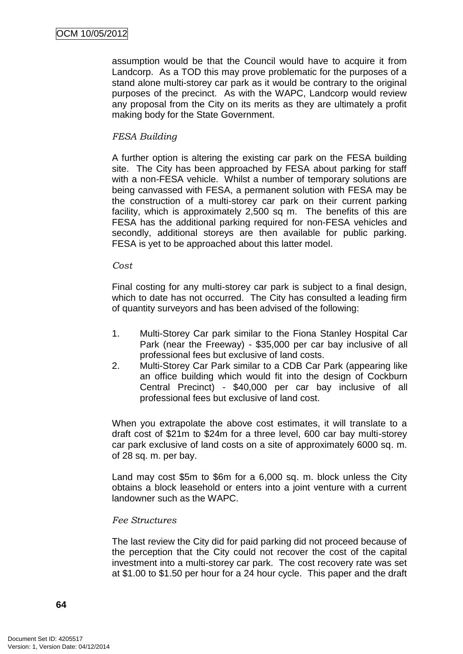assumption would be that the Council would have to acquire it from Landcorp. As a TOD this may prove problematic for the purposes of a stand alone multi-storey car park as it would be contrary to the original purposes of the precinct. As with the WAPC, Landcorp would review any proposal from the City on its merits as they are ultimately a profit making body for the State Government.

### *FESA Building*

A further option is altering the existing car park on the FESA building site. The City has been approached by FESA about parking for staff with a non-FESA vehicle. Whilst a number of temporary solutions are being canvassed with FESA, a permanent solution with FESA may be the construction of a multi-storey car park on their current parking facility, which is approximately 2,500 sq m. The benefits of this are FESA has the additional parking required for non-FESA vehicles and secondly, additional storeys are then available for public parking. FESA is yet to be approached about this latter model.

#### *Cost*

Final costing for any multi-storey car park is subject to a final design, which to date has not occurred. The City has consulted a leading firm of quantity surveyors and has been advised of the following:

- 1. Multi-Storey Car park similar to the Fiona Stanley Hospital Car Park (near the Freeway) - \$35,000 per car bay inclusive of all professional fees but exclusive of land costs.
- 2. Multi-Storey Car Park similar to a CDB Car Park (appearing like an office building which would fit into the design of Cockburn Central Precinct) - \$40,000 per car bay inclusive of all professional fees but exclusive of land cost.

When you extrapolate the above cost estimates, it will translate to a draft cost of \$21m to \$24m for a three level, 600 car bay multi-storey car park exclusive of land costs on a site of approximately 6000 sq. m. of 28 sq. m. per bay.

Land may cost \$5m to \$6m for a 6,000 sq. m. block unless the City obtains a block leasehold or enters into a joint venture with a current landowner such as the WAPC.

#### *Fee Structures*

The last review the City did for paid parking did not proceed because of the perception that the City could not recover the cost of the capital investment into a multi-storey car park. The cost recovery rate was set at \$1.00 to \$1.50 per hour for a 24 hour cycle. This paper and the draft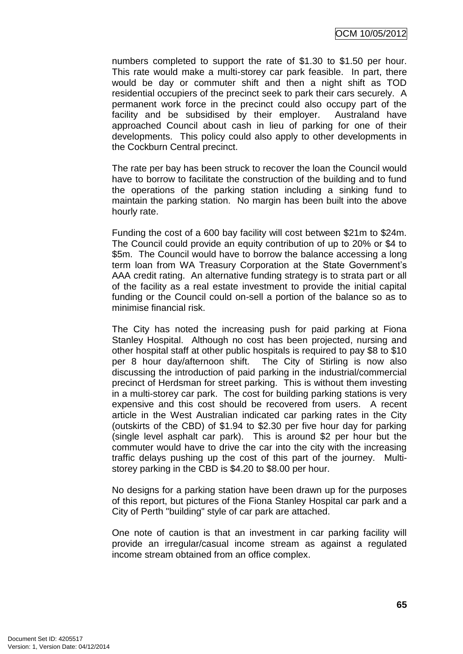OCM 10/05/2012

numbers completed to support the rate of \$1.30 to \$1.50 per hour. This rate would make a multi-storey car park feasible. In part, there would be day or commuter shift and then a night shift as TOD residential occupiers of the precinct seek to park their cars securely. A permanent work force in the precinct could also occupy part of the facility and be subsidised by their employer. Australand have approached Council about cash in lieu of parking for one of their developments. This policy could also apply to other developments in the Cockburn Central precinct.

The rate per bay has been struck to recover the loan the Council would have to borrow to facilitate the construction of the building and to fund the operations of the parking station including a sinking fund to maintain the parking station. No margin has been built into the above hourly rate.

Funding the cost of a 600 bay facility will cost between \$21m to \$24m. The Council could provide an equity contribution of up to 20% or \$4 to \$5m. The Council would have to borrow the balance accessing a long term loan from WA Treasury Corporation at the State Government"s AAA credit rating. An alternative funding strategy is to strata part or all of the facility as a real estate investment to provide the initial capital funding or the Council could on-sell a portion of the balance so as to minimise financial risk.

The City has noted the increasing push for paid parking at Fiona Stanley Hospital. Although no cost has been projected, nursing and other hospital staff at other public hospitals is required to pay \$8 to \$10 per 8 hour day/afternoon shift. The City of Stirling is now also discussing the introduction of paid parking in the industrial/commercial precinct of Herdsman for street parking. This is without them investing in a multi-storey car park. The cost for building parking stations is very expensive and this cost should be recovered from users. A recent article in the West Australian indicated car parking rates in the City (outskirts of the CBD) of \$1.94 to \$2.30 per five hour day for parking (single level asphalt car park). This is around \$2 per hour but the commuter would have to drive the car into the city with the increasing traffic delays pushing up the cost of this part of the journey. Multistorey parking in the CBD is \$4.20 to \$8.00 per hour.

No designs for a parking station have been drawn up for the purposes of this report, but pictures of the Fiona Stanley Hospital car park and a City of Perth "building" style of car park are attached.

One note of caution is that an investment in car parking facility will provide an irregular/casual income stream as against a regulated income stream obtained from an office complex.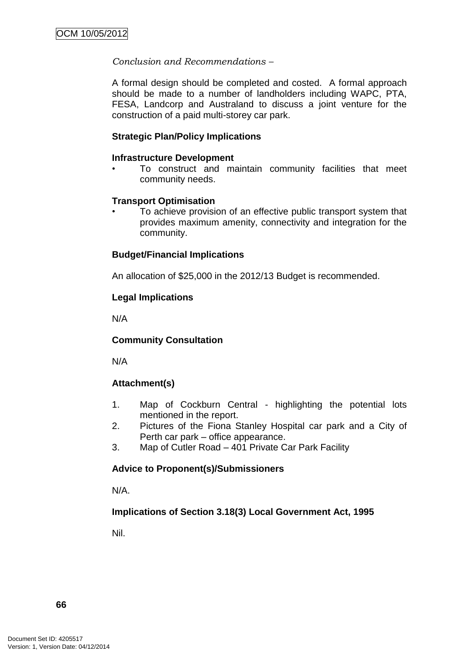## *Conclusion and Recommendations –*

A formal design should be completed and costed. A formal approach should be made to a number of landholders including WAPC, PTA, FESA, Landcorp and Australand to discuss a joint venture for the construction of a paid multi-storey car park.

### **Strategic Plan/Policy Implications**

### **Infrastructure Development**

• To construct and maintain community facilities that meet community needs.

## **Transport Optimisation**

• To achieve provision of an effective public transport system that provides maximum amenity, connectivity and integration for the community.

## **Budget/Financial Implications**

An allocation of \$25,000 in the 2012/13 Budget is recommended.

## **Legal Implications**

N/A

# **Community Consultation**

N/A

# **Attachment(s)**

- 1. Map of Cockburn Central highlighting the potential lots mentioned in the report.
- 2. Pictures of the Fiona Stanley Hospital car park and a City of Perth car park – office appearance.
- 3. Map of Cutler Road 401 Private Car Park Facility

# **Advice to Proponent(s)/Submissioners**

N/A.

# **Implications of Section 3.18(3) Local Government Act, 1995**

Nil.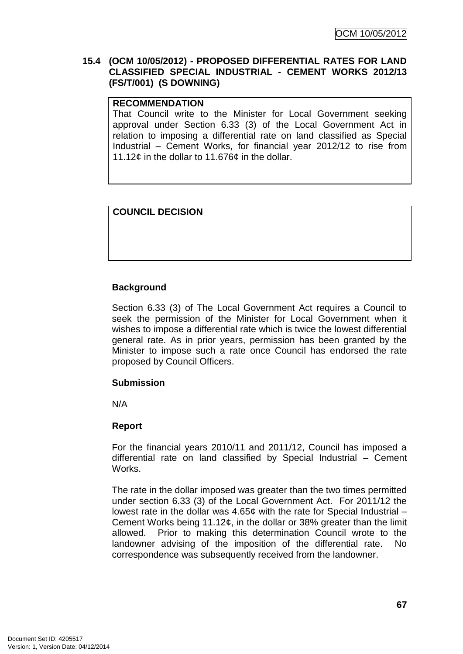### **15.4 (OCM 10/05/2012) - PROPOSED DIFFERENTIAL RATES FOR LAND CLASSIFIED SPECIAL INDUSTRIAL - CEMENT WORKS 2012/13 (FS/T/001) (S DOWNING)**

### **RECOMMENDATION**

That Council write to the Minister for Local Government seeking approval under Section 6.33 (3) of the Local Government Act in relation to imposing a differential rate on land classified as Special Industrial – Cement Works, for financial year 2012/12 to rise from 11.12¢ in the dollar to 11.676¢ in the dollar.

## **COUNCIL DECISION**

## **Background**

Section 6.33 (3) of The Local Government Act requires a Council to seek the permission of the Minister for Local Government when it wishes to impose a differential rate which is twice the lowest differential general rate. As in prior years, permission has been granted by the Minister to impose such a rate once Council has endorsed the rate proposed by Council Officers.

### **Submission**

N/A

### **Report**

For the financial years 2010/11 and 2011/12, Council has imposed a differential rate on land classified by Special Industrial – Cement Works.

The rate in the dollar imposed was greater than the two times permitted under section 6.33 (3) of the Local Government Act. For 2011/12 the lowest rate in the dollar was 4.65¢ with the rate for Special Industrial – Cement Works being 11.12¢, in the dollar or 38% greater than the limit allowed. Prior to making this determination Council wrote to the landowner advising of the imposition of the differential rate. No correspondence was subsequently received from the landowner.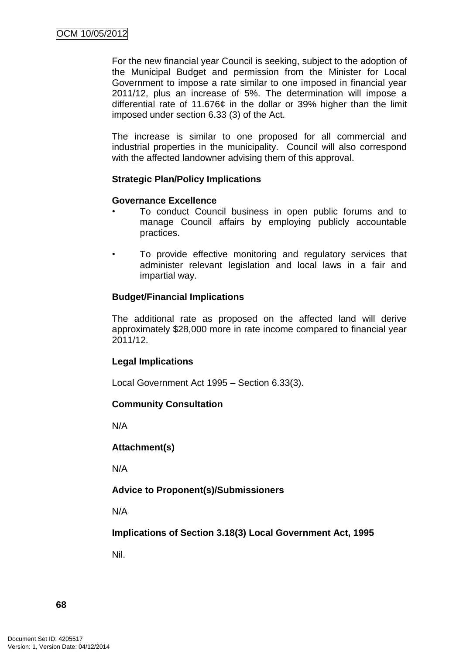For the new financial year Council is seeking, subject to the adoption of the Municipal Budget and permission from the Minister for Local Government to impose a rate similar to one imposed in financial year 2011/12, plus an increase of 5%. The determination will impose a differential rate of 11.676¢ in the dollar or 39% higher than the limit imposed under section 6.33 (3) of the Act.

The increase is similar to one proposed for all commercial and industrial properties in the municipality. Council will also correspond with the affected landowner advising them of this approval.

## **Strategic Plan/Policy Implications**

## **Governance Excellence**

- To conduct Council business in open public forums and to manage Council affairs by employing publicly accountable practices.
- To provide effective monitoring and regulatory services that administer relevant legislation and local laws in a fair and impartial way.

## **Budget/Financial Implications**

The additional rate as proposed on the affected land will derive approximately \$28,000 more in rate income compared to financial year 2011/12.

### **Legal Implications**

Local Government Act 1995 – Section 6.33(3).

### **Community Consultation**

N/A

### **Attachment(s)**

N/A

# **Advice to Proponent(s)/Submissioners**

N/A

**Implications of Section 3.18(3) Local Government Act, 1995**

Nil.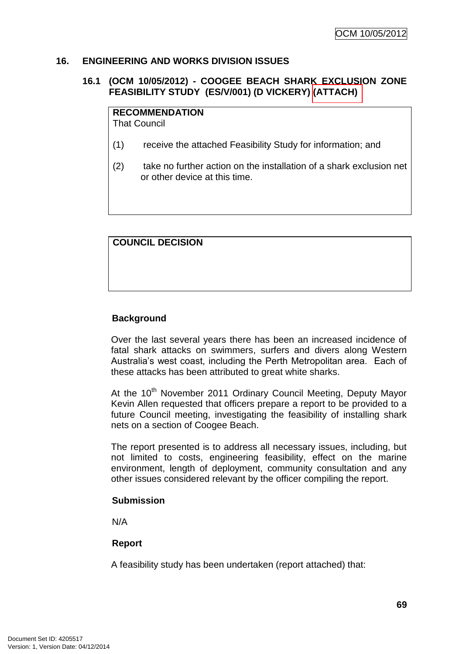#### **16. ENGINEERING AND WORKS DIVISION ISSUES**

# **16.1 (OCM 10/05/2012) - COOGEE BEACH SHARK EXCLUSION ZONE FEASIBILITY STUDY (ES/V/001) (D VICKERY) (ATTACH)**

# **RECOMMENDATION**

That Council

- (1) receive the attached Feasibility Study for information; and
- (2) take no further action on the installation of a shark exclusion net or other device at this time.

# **COUNCIL DECISION**

# **Background**

Over the last several years there has been an increased incidence of fatal shark attacks on swimmers, surfers and divers along Western Australia"s west coast, including the Perth Metropolitan area. Each of these attacks has been attributed to great white sharks.

At the 10<sup>th</sup> November 2011 Ordinary Council Meeting, Deputy Mayor Kevin Allen requested that officers prepare a report to be provided to a future Council meeting, investigating the feasibility of installing shark nets on a section of Coogee Beach.

The report presented is to address all necessary issues, including, but not limited to costs, engineering feasibility, effect on the marine environment, length of deployment, community consultation and any other issues considered relevant by the officer compiling the report.

#### **Submission**

N/A

# **Report**

A feasibility study has been undertaken (report attached) that: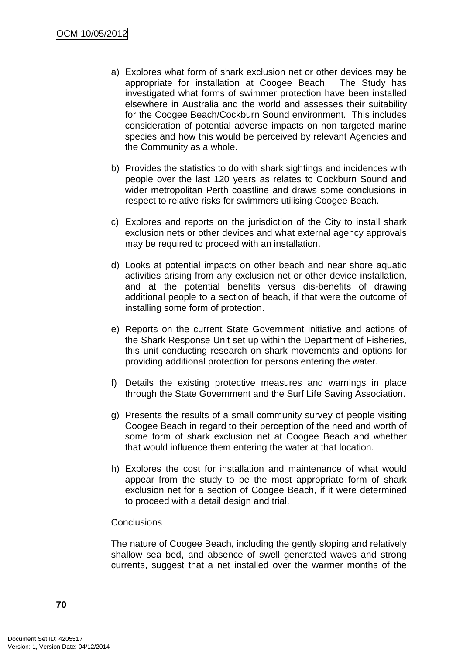- a) Explores what form of shark exclusion net or other devices may be appropriate for installation at Coogee Beach. The Study has investigated what forms of swimmer protection have been installed elsewhere in Australia and the world and assesses their suitability for the Coogee Beach/Cockburn Sound environment. This includes consideration of potential adverse impacts on non targeted marine species and how this would be perceived by relevant Agencies and the Community as a whole.
- b) Provides the statistics to do with shark sightings and incidences with people over the last 120 years as relates to Cockburn Sound and wider metropolitan Perth coastline and draws some conclusions in respect to relative risks for swimmers utilising Coogee Beach.
- c) Explores and reports on the jurisdiction of the City to install shark exclusion nets or other devices and what external agency approvals may be required to proceed with an installation.
- d) Looks at potential impacts on other beach and near shore aquatic activities arising from any exclusion net or other device installation, and at the potential benefits versus dis-benefits of drawing additional people to a section of beach, if that were the outcome of installing some form of protection.
- e) Reports on the current State Government initiative and actions of the Shark Response Unit set up within the Department of Fisheries, this unit conducting research on shark movements and options for providing additional protection for persons entering the water.
- f) Details the existing protective measures and warnings in place through the State Government and the Surf Life Saving Association.
- g) Presents the results of a small community survey of people visiting Coogee Beach in regard to their perception of the need and worth of some form of shark exclusion net at Coogee Beach and whether that would influence them entering the water at that location.
- h) Explores the cost for installation and maintenance of what would appear from the study to be the most appropriate form of shark exclusion net for a section of Coogee Beach, if it were determined to proceed with a detail design and trial.

#### **Conclusions**

The nature of Coogee Beach, including the gently sloping and relatively shallow sea bed, and absence of swell generated waves and strong currents, suggest that a net installed over the warmer months of the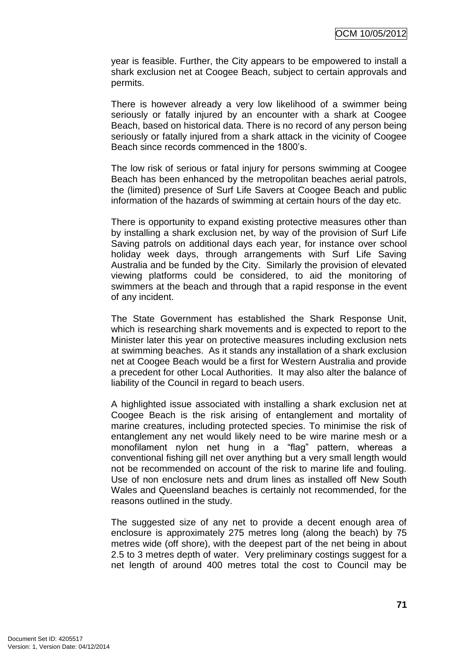year is feasible. Further, the City appears to be empowered to install a shark exclusion net at Coogee Beach, subject to certain approvals and permits.

There is however already a very low likelihood of a swimmer being seriously or fatally injured by an encounter with a shark at Coogee Beach, based on historical data. There is no record of any person being seriously or fatally injured from a shark attack in the vicinity of Coogee Beach since records commenced in the 1800"s.

The low risk of serious or fatal injury for persons swimming at Coogee Beach has been enhanced by the metropolitan beaches aerial patrols, the (limited) presence of Surf Life Savers at Coogee Beach and public information of the hazards of swimming at certain hours of the day etc.

There is opportunity to expand existing protective measures other than by installing a shark exclusion net, by way of the provision of Surf Life Saving patrols on additional days each year, for instance over school holiday week days, through arrangements with Surf Life Saving Australia and be funded by the City. Similarly the provision of elevated viewing platforms could be considered, to aid the monitoring of swimmers at the beach and through that a rapid response in the event of any incident.

The State Government has established the Shark Response Unit, which is researching shark movements and is expected to report to the Minister later this year on protective measures including exclusion nets at swimming beaches. As it stands any installation of a shark exclusion net at Coogee Beach would be a first for Western Australia and provide a precedent for other Local Authorities. It may also alter the balance of liability of the Council in regard to beach users.

A highlighted issue associated with installing a shark exclusion net at Coogee Beach is the risk arising of entanglement and mortality of marine creatures, including protected species. To minimise the risk of entanglement any net would likely need to be wire marine mesh or a monofilament nylon net hung in a "flag" pattern, whereas a conventional fishing gill net over anything but a very small length would not be recommended on account of the risk to marine life and fouling. Use of non enclosure nets and drum lines as installed off New South Wales and Queensland beaches is certainly not recommended, for the reasons outlined in the study.

The suggested size of any net to provide a decent enough area of enclosure is approximately 275 metres long (along the beach) by 75 metres wide (off shore), with the deepest part of the net being in about 2.5 to 3 metres depth of water. Very preliminary costings suggest for a net length of around 400 metres total the cost to Council may be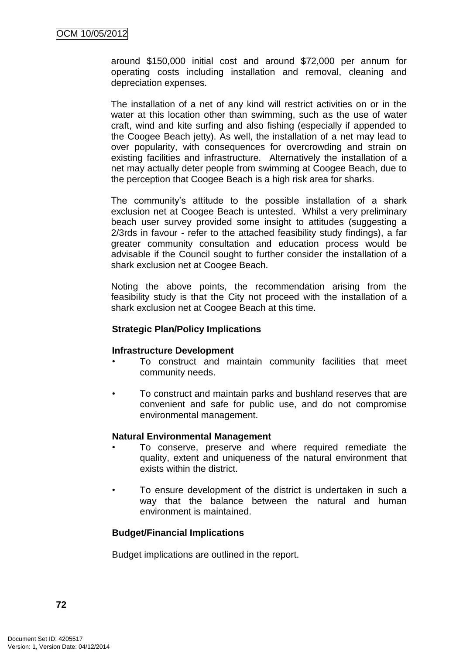around \$150,000 initial cost and around \$72,000 per annum for operating costs including installation and removal, cleaning and depreciation expenses.

The installation of a net of any kind will restrict activities on or in the water at this location other than swimming, such as the use of water craft, wind and kite surfing and also fishing (especially if appended to the Coogee Beach jetty). As well, the installation of a net may lead to over popularity, with consequences for overcrowding and strain on existing facilities and infrastructure. Alternatively the installation of a net may actually deter people from swimming at Coogee Beach, due to the perception that Coogee Beach is a high risk area for sharks.

The community's attitude to the possible installation of a shark exclusion net at Coogee Beach is untested. Whilst a very preliminary beach user survey provided some insight to attitudes (suggesting a 2/3rds in favour - refer to the attached feasibility study findings), a far greater community consultation and education process would be advisable if the Council sought to further consider the installation of a shark exclusion net at Coogee Beach.

Noting the above points, the recommendation arising from the feasibility study is that the City not proceed with the installation of a shark exclusion net at Coogee Beach at this time.

# **Strategic Plan/Policy Implications**

# **Infrastructure Development**

- To construct and maintain community facilities that meet community needs.
- To construct and maintain parks and bushland reserves that are convenient and safe for public use, and do not compromise environmental management.

#### **Natural Environmental Management**

- To conserve, preserve and where required remediate the quality, extent and uniqueness of the natural environment that exists within the district.
- To ensure development of the district is undertaken in such a way that the balance between the natural and human environment is maintained.

# **Budget/Financial Implications**

Budget implications are outlined in the report.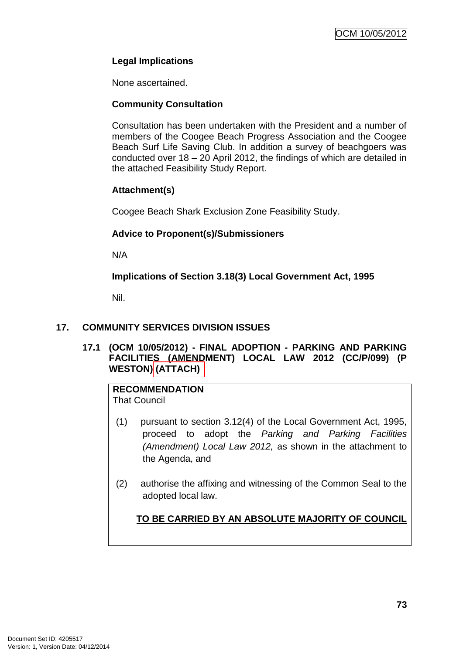# **Legal Implications**

None ascertained.

# **Community Consultation**

Consultation has been undertaken with the President and a number of members of the Coogee Beach Progress Association and the Coogee Beach Surf Life Saving Club. In addition a survey of beachgoers was conducted over 18 – 20 April 2012, the findings of which are detailed in the attached Feasibility Study Report.

# **Attachment(s)**

Coogee Beach Shark Exclusion Zone Feasibility Study.

# **Advice to Proponent(s)/Submissioners**

N/A

**Implications of Section 3.18(3) Local Government Act, 1995**

Nil.

# **17. COMMUNITY SERVICES DIVISION ISSUES**

# **17.1 (OCM 10/05/2012) - FINAL ADOPTION - PARKING AND PARKING FACILITIES (AMENDMENT) LOCAL LAW 2012 (CC/P/099) (P WESTON) (ATTACH)**

# **RECOMMENDATION**

That Council

- (1) pursuant to section 3.12(4) of the Local Government Act, 1995, proceed to adopt the *Parking and Parking Facilities (Amendment) Local Law 2012,* as shown in the attachment to the Agenda, and
- (2) authorise the affixing and witnessing of the Common Seal to the adopted local law.

**TO BE CARRIED BY AN ABSOLUTE MAJORITY OF COUNCIL**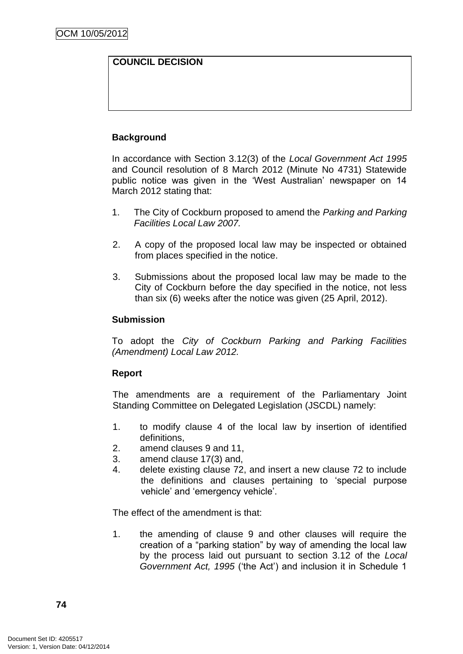# **COUNCIL DECISION**

# **Background**

In accordance with Section 3.12(3) of the *Local Government Act 1995* and Council resolution of 8 March 2012 (Minute No 4731) Statewide public notice was given in the "West Australian" newspaper on 14 March 2012 stating that:

- 1. The City of Cockburn proposed to amend the *Parking and Parking Facilities Local Law 2007.*
- 2. A copy of the proposed local law may be inspected or obtained from places specified in the notice.
- 3. Submissions about the proposed local law may be made to the City of Cockburn before the day specified in the notice, not less than six (6) weeks after the notice was given (25 April, 2012).

# **Submission**

To adopt the *City of Cockburn Parking and Parking Facilities (Amendment) Local Law 2012.*

# **Report**

The amendments are a requirement of the Parliamentary Joint Standing Committee on Delegated Legislation (JSCDL) namely:

- 1. to modify clause 4 of the local law by insertion of identified definitions,
- 2. amend clauses 9 and 11,
- 3. amend clause 17(3) and,
- 4. delete existing clause 72, and insert a new clause 72 to include the definitions and clauses pertaining to "special purpose vehicle" and "emergency vehicle".

The effect of the amendment is that:

1. the amending of clause 9 and other clauses will require the creation of a "parking station" by way of amending the local law by the process laid out pursuant to section 3.12 of the *Local Government Act, 1995* ("the Act") and inclusion it in Schedule 1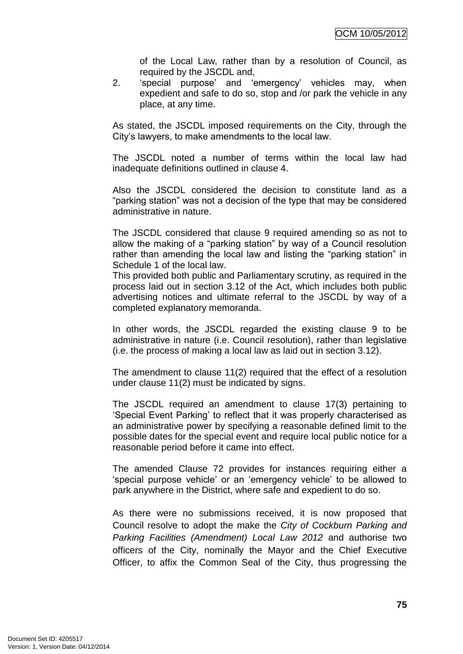of the Local Law, rather than by a resolution of Council, as required by the JSCDL and,

2. "special purpose" and "emergency" vehicles may, when expedient and safe to do so, stop and /or park the vehicle in any place, at any time.

As stated, the JSCDL imposed requirements on the City, through the City"s lawyers, to make amendments to the local law.

The JSCDL noted a number of terms within the local law had inadequate definitions outlined in clause 4.

Also the JSCDL considered the decision to constitute land as a "parking station" was not a decision of the type that may be considered administrative in nature.

The JSCDL considered that clause 9 required amending so as not to allow the making of a "parking station" by way of a Council resolution rather than amending the local law and listing the "parking station" in Schedule 1 of the local law.

This provided both public and Parliamentary scrutiny, as required in the process laid out in section 3.12 of the Act, which includes both public advertising notices and ultimate referral to the JSCDL by way of a completed explanatory memoranda.

In other words, the JSCDL regarded the existing clause 9 to be administrative in nature (i.e. Council resolution), rather than legislative (i.e. the process of making a local law as laid out in section 3.12).

The amendment to clause 11(2) required that the effect of a resolution under clause 11(2) must be indicated by signs.

The JSCDL required an amendment to clause 17(3) pertaining to "Special Event Parking" to reflect that it was properly characterised as an administrative power by specifying a reasonable defined limit to the possible dates for the special event and require local public notice for a reasonable period before it came into effect.

The amended Clause 72 provides for instances requiring either a "special purpose vehicle" or an "emergency vehicle" to be allowed to park anywhere in the District, where safe and expedient to do so.

As there were no submissions received, it is now proposed that Council resolve to adopt the make the *City of Cockburn Parking and Parking Facilities (Amendment) Local Law 2012* and authorise two officers of the City, nominally the Mayor and the Chief Executive Officer, to affix the Common Seal of the City, thus progressing the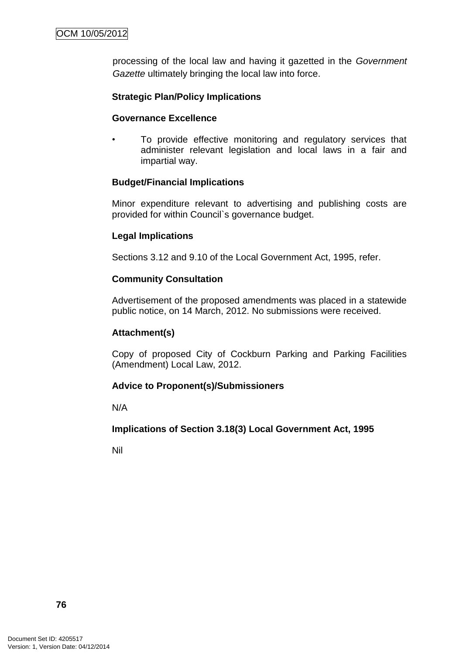processing of the local law and having it gazetted in the *Government Gazette* ultimately bringing the local law into force.

# **Strategic Plan/Policy Implications**

# **Governance Excellence**

To provide effective monitoring and regulatory services that administer relevant legislation and local laws in a fair and impartial way.

# **Budget/Financial Implications**

Minor expenditure relevant to advertising and publishing costs are provided for within Council`s governance budget.

# **Legal Implications**

Sections 3.12 and 9.10 of the Local Government Act, 1995, refer.

#### **Community Consultation**

Advertisement of the proposed amendments was placed in a statewide public notice, on 14 March, 2012. No submissions were received.

# **Attachment(s)**

Copy of proposed City of Cockburn Parking and Parking Facilities (Amendment) Local Law, 2012.

# **Advice to Proponent(s)/Submissioners**

N/A

# **Implications of Section 3.18(3) Local Government Act, 1995**

Nil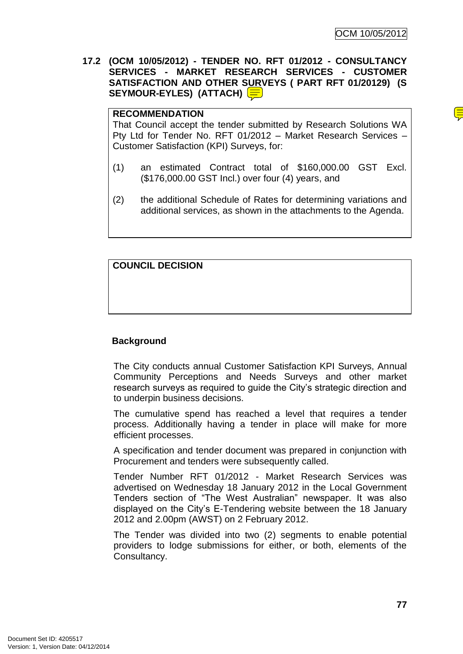**17.2 (OCM 10/05/2012) - TENDER NO. RFT 01/2012 - CONSULTANCY SERVICES - MARKET RESEARCH SERVICES - CUSTOMER SATISFACTION AND OTHER SURVEYS ( PART RFT 01/20129) (S SEYMOUR-EYLES) (ATTACH)**

## **RECOMMENDATION**

That Council accept the tender submitted by Research Solutions WA Pty Ltd for Tender No. RFT 01/2012 – Market Research Services – Customer Satisfaction (KPI) Surveys, for:

- (1) an estimated Contract total of \$160,000.00 GST Excl. (\$176,000.00 GST Incl.) over four (4) years, and
- (2) the additional Schedule of Rates for determining variations and additional services, as shown in the attachments to the Agenda.

# **COUNCIL DECISION**

# **Background**

The City conducts annual Customer Satisfaction KPI Surveys, Annual Community Perceptions and Needs Surveys and other market research surveys as required to guide the City"s strategic direction and to underpin business decisions.

The cumulative spend has reached a level that requires a tender process. Additionally having a tender in place will make for more efficient processes.

A specification and tender document was prepared in conjunction with Procurement and tenders were subsequently called.

Tender Number RFT 01/2012 - Market Research Services was advertised on Wednesday 18 January 2012 in the Local Government Tenders section of "The West Australian" newspaper. It was also displayed on the City"s E-Tendering website between the 18 January 2012 and 2.00pm (AWST) on 2 February 2012.

The Tender was divided into two (2) segments to enable potential providers to lodge submissions for either, or both, elements of the Consultancy.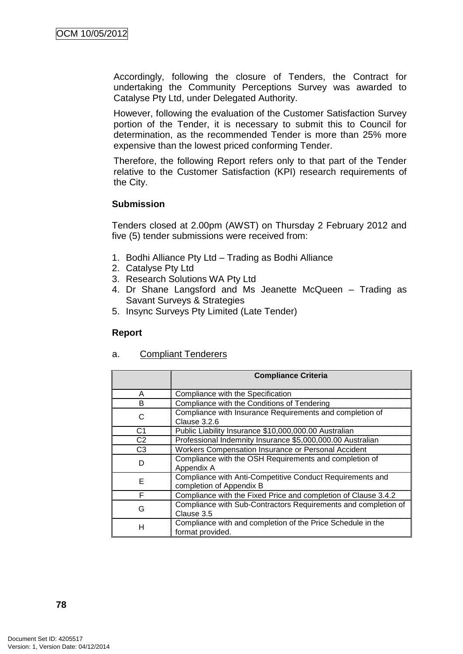Accordingly, following the closure of Tenders, the Contract for undertaking the Community Perceptions Survey was awarded to Catalyse Pty Ltd, under Delegated Authority.

However, following the evaluation of the Customer Satisfaction Survey portion of the Tender, it is necessary to submit this to Council for determination, as the recommended Tender is more than 25% more expensive than the lowest priced conforming Tender.

Therefore, the following Report refers only to that part of the Tender relative to the Customer Satisfaction (KPI) research requirements of the City.

# **Submission**

Tenders closed at 2.00pm (AWST) on Thursday 2 February 2012 and five (5) tender submissions were received from:

- 1. Bodhi Alliance Pty Ltd Trading as Bodhi Alliance
- 2. Catalyse Pty Ltd
- 3. Research Solutions WA Pty Ltd
- 4. Dr Shane Langsford and Ms Jeanette McQueen Trading as Savant Surveys & Strategies
- 5. Insync Surveys Pty Limited (Late Tender)

# **Report**

# a. Compliant Tenderers

|                | <b>Compliance Criteria</b>                                                            |
|----------------|---------------------------------------------------------------------------------------|
| A              | Compliance with the Specification                                                     |
| B              | Compliance with the Conditions of Tendering                                           |
| C              | Compliance with Insurance Requirements and completion of<br>Clause 3.2.6              |
| C1             | Public Liability Insurance \$10,000,000.00 Australian                                 |
| C <sub>2</sub> | Professional Indemnity Insurance \$5,000,000.00 Australian                            |
| C3             | Workers Compensation Insurance or Personal Accident                                   |
| D              | Compliance with the OSH Requirements and completion of<br>Appendix A                  |
| F.             | Compliance with Anti-Competitive Conduct Requirements and<br>completion of Appendix B |
| F              | Compliance with the Fixed Price and completion of Clause 3.4.2                        |
| G              | Compliance with Sub-Contractors Requirements and completion of<br>Clause 3.5          |
| н              | Compliance with and completion of the Price Schedule in the<br>format provided.       |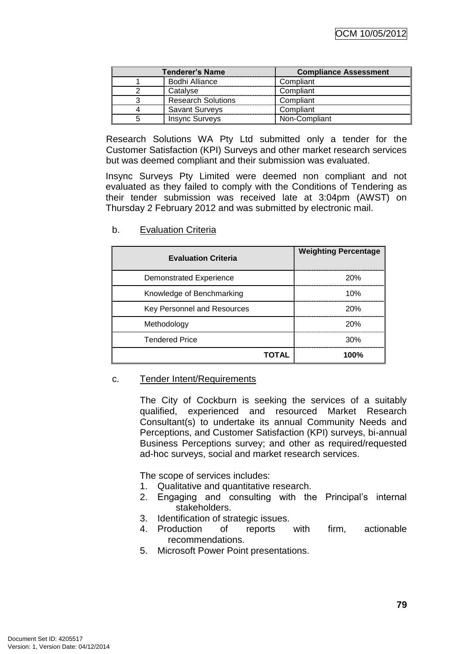| <b>Tenderer's Name</b> |                           | <b>Compliance Assessment</b> |
|------------------------|---------------------------|------------------------------|
|                        | Bodhi Alliance            | Compliant                    |
|                        | Catalyse                  | Compliant                    |
|                        | <b>Research Solutions</b> | Compliant                    |
|                        | <b>Savant Surveys</b>     | Compliant                    |
|                        | <b>Insync Surveys</b>     | Non-Compliant                |

Research Solutions WA Pty Ltd submitted only a tender for the Customer Satisfaction (KPI) Surveys and other market research services but was deemed compliant and their submission was evaluated.

Insync Surveys Pty Limited were deemed non compliant and not evaluated as they failed to comply with the Conditions of Tendering as their tender submission was received late at 3:04pm (AWST) on Thursday 2 February 2012 and was submitted by electronic mail.

| <b>Evaluation Criteria</b>  | <b>Weighting Percentage</b> |
|-----------------------------|-----------------------------|
| Demonstrated Experience     | 20%                         |
| Knowledge of Benchmarking   | 10%                         |
| Key Personnel and Resources | 20%                         |
| Methodology                 | 20%                         |
| <b>Tendered Price</b>       | 30%                         |
| ΤΟΤΑL                       | 100%                        |

b. Evaluation Criteria

#### c. Tender Intent/Requirements

The City of Cockburn is seeking the services of a suitably qualified, experienced and resourced Market Research Consultant(s) to undertake its annual Community Needs and Perceptions, and Customer Satisfaction (KPI) surveys, bi-annual Business Perceptions survey; and other as required/requested ad-hoc surveys, social and market research services.

The scope of services includes:

- 1. Qualitative and quantitative research.
- 2. Engaging and consulting with the Principal"s internal stakeholders.
- 3. Identification of strategic issues.
- 4. Production of reports with firm, actionable recommendations.
- 5. Microsoft Power Point presentations.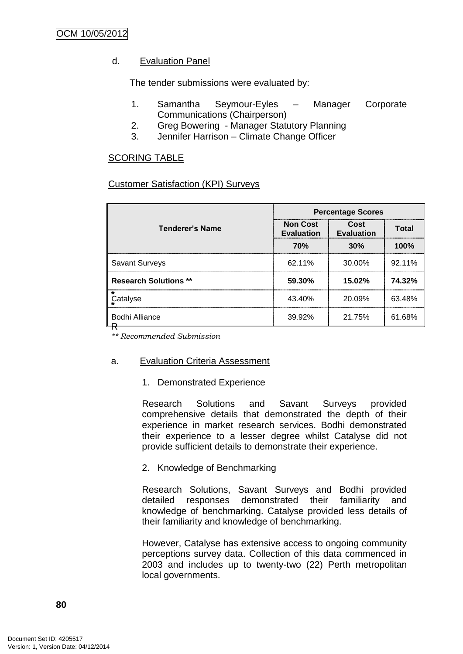# d. Evaluation Panel

The tender submissions were evaluated by:

- 1. Samantha Seymour-Eyles Manager Corporate Communications (Chairperson)
- 2. Greg Bowering Manager Statutory Planning
- 3. Jennifer Harrison Climate Change Officer

# SCORING TABLE

# Customer Satisfaction (KPI) Surveys

|                              | <b>Percentage Scores</b>             |                    |              |
|------------------------------|--------------------------------------|--------------------|--------------|
| <b>Tenderer's Name</b>       | <b>Non Cost</b><br><b>Evaluation</b> | Cost<br>Evaluation | <b>Total</b> |
|                              | 70%                                  | 30%                | 100%         |
| <b>Savant Surveys</b>        | 62.11%                               | 30.00%             | 92.11%       |
| <b>Research Solutions **</b> | 59.30%                               | 15.02%             | 74.32%       |
| Catalyse                     | 43.40%                               | 20.09%             | 63.48%       |
| <b>Bodhi Alliance</b>        | 39.92%                               | 21.75%             | 61.68%       |

*\*\* Recommended Submission*

# a. Evaluation Criteria Assessment

1. Demonstrated Experience

Research Solutions and Savant Surveys provided comprehensive details that demonstrated the depth of their experience in market research services. Bodhi demonstrated their experience to a lesser degree whilst Catalyse did not provide sufficient details to demonstrate their experience.

2. Knowledge of Benchmarking

Research Solutions, Savant Surveys and Bodhi provided detailed responses demonstrated their familiarity and knowledge of benchmarking. Catalyse provided less details of their familiarity and knowledge of benchmarking.

However, Catalyse has extensive access to ongoing community perceptions survey data. Collection of this data commenced in 2003 and includes up to twenty-two (22) Perth metropolitan local governments.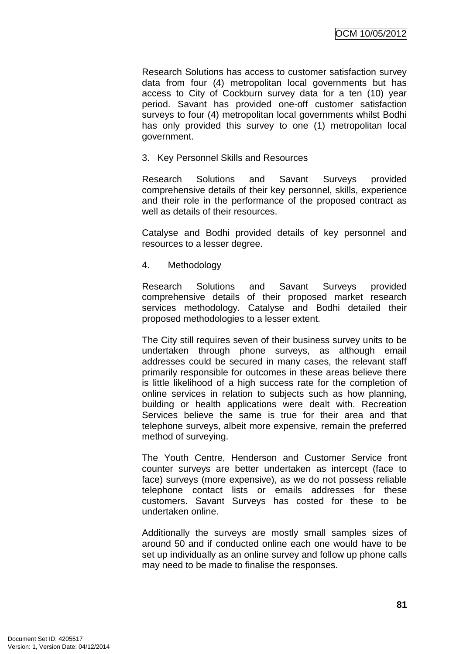Research Solutions has access to customer satisfaction survey data from four (4) metropolitan local governments but has access to City of Cockburn survey data for a ten (10) year period. Savant has provided one-off customer satisfaction surveys to four (4) metropolitan local governments whilst Bodhi has only provided this survey to one (1) metropolitan local government.

3. Key Personnel Skills and Resources

Research Solutions and Savant Surveys provided comprehensive details of their key personnel, skills, experience and their role in the performance of the proposed contract as well as details of their resources.

Catalyse and Bodhi provided details of key personnel and resources to a lesser degree.

4. Methodology

Research Solutions and Savant Surveys provided comprehensive details of their proposed market research services methodology. Catalyse and Bodhi detailed their proposed methodologies to a lesser extent.

The City still requires seven of their business survey units to be undertaken through phone surveys, as although email addresses could be secured in many cases, the relevant staff primarily responsible for outcomes in these areas believe there is little likelihood of a high success rate for the completion of online services in relation to subjects such as how planning, building or health applications were dealt with. Recreation Services believe the same is true for their area and that telephone surveys, albeit more expensive, remain the preferred method of surveying.

The Youth Centre, Henderson and Customer Service front counter surveys are better undertaken as intercept (face to face) surveys (more expensive), as we do not possess reliable telephone contact lists or emails addresses for these customers. Savant Surveys has costed for these to be undertaken online.

Additionally the surveys are mostly small samples sizes of around 50 and if conducted online each one would have to be set up individually as an online survey and follow up phone calls may need to be made to finalise the responses.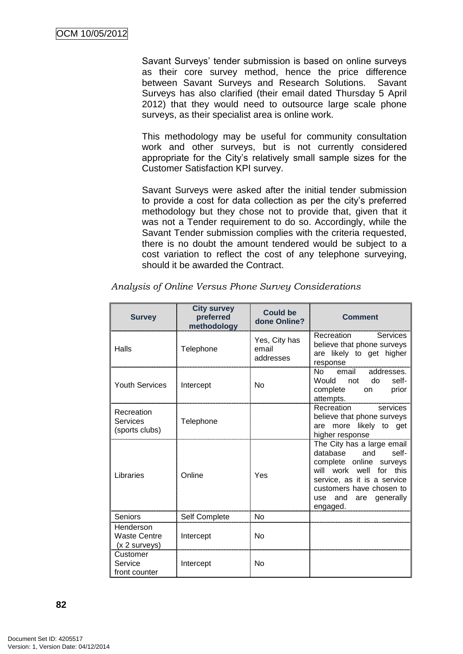Savant Surveys" tender submission is based on online surveys as their core survey method, hence the price difference between Savant Surveys and Research Solutions. Savant Surveys has also clarified (their email dated Thursday 5 April 2012) that they would need to outsource large scale phone surveys, as their specialist area is online work.

This methodology may be useful for community consultation work and other surveys, but is not currently considered appropriate for the City"s relatively small sample sizes for the Customer Satisfaction KPI survey.

Savant Surveys were asked after the initial tender submission to provide a cost for data collection as per the city"s preferred methodology but they chose not to provide that, given that it was not a Tender requirement to do so. Accordingly, while the Savant Tender submission complies with the criteria requested, there is no doubt the amount tendered would be subject to a cost variation to reflect the cost of any telephone surveying, should it be awarded the Contract.

| <b>Survey</b>                                       | <b>City survey</b><br>preferred<br>methodology | <b>Could be</b><br>done Online?     | <b>Comment</b>                                                                                                                                                                                               |
|-----------------------------------------------------|------------------------------------------------|-------------------------------------|--------------------------------------------------------------------------------------------------------------------------------------------------------------------------------------------------------------|
| Halls                                               | Telephone                                      | Yes, City has<br>email<br>addresses | Services<br>Recreation<br>believe that phone surveys<br>are likely to get higher<br>response                                                                                                                 |
| <b>Youth Services</b>                               | Intercept                                      | <b>No</b>                           | No email addresses.<br>do<br>self-<br>Would not<br>complete<br>prior<br>on<br>attempts.                                                                                                                      |
| Recreation<br>Services<br>(sports clubs)            | Telephone                                      |                                     | Recreation<br>services<br>believe that phone surveys<br>are more likely to get<br>higher response                                                                                                            |
| Libraries                                           | Online                                         | Yes                                 | The City has a large email<br>database<br>and<br>self-<br>complete online surveys<br>will work well for this<br>service, as it is a service<br>customers have chosen to<br>use and are generally<br>engaged. |
| Seniors                                             | Self Complete                                  | <b>No</b>                           |                                                                                                                                                                                                              |
| Henderson<br><b>Waste Centre</b><br>$(x 2$ surveys) | Intercept                                      | <b>No</b>                           |                                                                                                                                                                                                              |
| Customer<br>Service<br>front counter                | Intercept                                      | <b>No</b>                           |                                                                                                                                                                                                              |

*Analysis of Online Versus Phone Survey Considerations*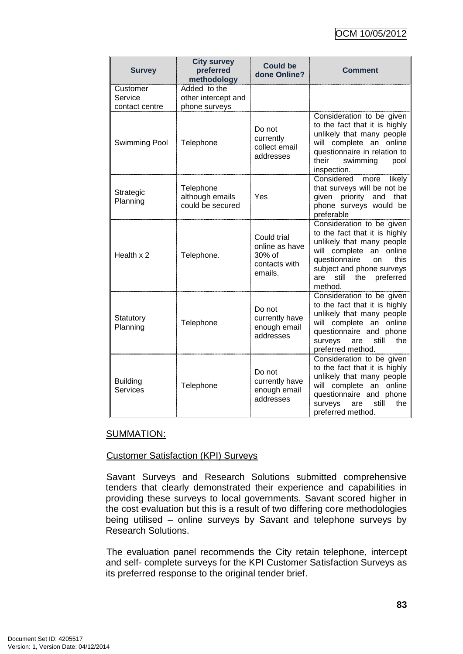| <b>Survey</b>                         | <b>City survey</b><br>preferred<br>methodology       | <b>Could be</b><br>done Online?                                        | <b>Comment</b>                                                                                                                                                                                                                       |
|---------------------------------------|------------------------------------------------------|------------------------------------------------------------------------|--------------------------------------------------------------------------------------------------------------------------------------------------------------------------------------------------------------------------------------|
| Customer<br>Service<br>contact centre | Added to the<br>other intercept and<br>phone surveys |                                                                        |                                                                                                                                                                                                                                      |
| Swimming Pool                         | Telephone                                            | Do not<br>currently<br>collect email<br>addresses                      | Consideration to be given<br>to the fact that it is highly<br>unlikely that many people<br>will complete an online<br>questionnaire in relation to<br>their<br>swimming<br>pool<br>inspection.                                       |
| Strategic<br>Planning                 | Telephone<br>although emails<br>could be secured     | Yes                                                                    | Considered<br>more<br>likely<br>that surveys will be not be<br>given priority<br>and<br>that<br>phone surveys would be<br>preferable                                                                                                 |
| Health x 2                            | Telephone.                                           | Could trial<br>online as have<br>$30\%$ of<br>contacts with<br>emails. | Consideration to be given<br>to the fact that it is highly<br>unlikely that many people<br>will complete an online<br>questionnaire<br>this<br><b>on</b><br>subject and phone surveys<br>the<br>preferred<br>are<br>still<br>method. |
| Statutory<br>Planning                 | Telephone                                            | Do not<br>currently have<br>enough email<br>addresses                  | Consideration to be given<br>to the fact that it is highly<br>unlikely that many people<br>will complete an online<br>questionnaire and phone<br>the<br>surveys<br>still<br>are<br>preferred method.                                 |
| <b>Building</b><br>Services           | Telephone                                            | Do not<br>currently have<br>enough email<br>addresses                  | Consideration to be given<br>to the fact that it is highly<br>unlikely that many people<br>will complete an online<br>questionnaire and phone<br>surveys<br>still<br>the<br>are<br>preferred method.                                 |

#### SUMMATION:

#### Customer Satisfaction (KPI) Surveys

Savant Surveys and Research Solutions submitted comprehensive tenders that clearly demonstrated their experience and capabilities in providing these surveys to local governments. Savant scored higher in the cost evaluation but this is a result of two differing core methodologies being utilised – online surveys by Savant and telephone surveys by Research Solutions.

The evaluation panel recommends the City retain telephone, intercept and self- complete surveys for the KPI Customer Satisfaction Surveys as its preferred response to the original tender brief.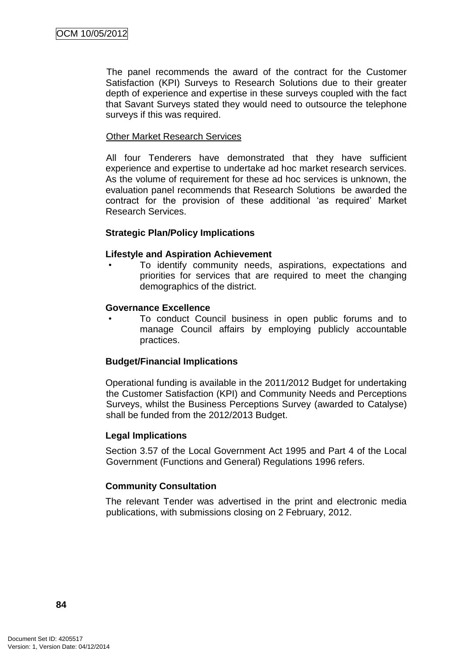The panel recommends the award of the contract for the Customer Satisfaction (KPI) Surveys to Research Solutions due to their greater depth of experience and expertise in these surveys coupled with the fact that Savant Surveys stated they would need to outsource the telephone surveys if this was required.

#### Other Market Research Services

All four Tenderers have demonstrated that they have sufficient experience and expertise to undertake ad hoc market research services. As the volume of requirement for these ad hoc services is unknown, the evaluation panel recommends that Research Solutions be awarded the contract for the provision of these additional "as required" Market Research Services.

#### **Strategic Plan/Policy Implications**

#### **Lifestyle and Aspiration Achievement**

To identify community needs, aspirations, expectations and priorities for services that are required to meet the changing demographics of the district.

#### **Governance Excellence**

• To conduct Council business in open public forums and to manage Council affairs by employing publicly accountable practices.

# **Budget/Financial Implications**

Operational funding is available in the 2011/2012 Budget for undertaking the Customer Satisfaction (KPI) and Community Needs and Perceptions Surveys, whilst the Business Perceptions Survey (awarded to Catalyse) shall be funded from the 2012/2013 Budget.

#### **Legal Implications**

Section 3.57 of the Local Government Act 1995 and Part 4 of the Local Government (Functions and General) Regulations 1996 refers.

# **Community Consultation**

The relevant Tender was advertised in the print and electronic media publications, with submissions closing on 2 February, 2012.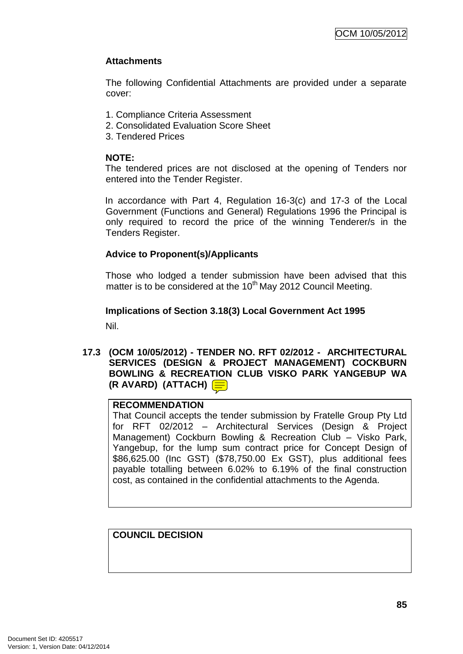# **Attachments**

The following Confidential Attachments are provided under a separate cover:

- 1. Compliance Criteria Assessment
- 2. Consolidated Evaluation Score Sheet
- 3. Tendered Prices

# **NOTE:**

The tendered prices are not disclosed at the opening of Tenders nor entered into the Tender Register.

In accordance with Part 4, Regulation 16-3(c) and 17-3 of the Local Government (Functions and General) Regulations 1996 the Principal is only required to record the price of the winning Tenderer/s in the Tenders Register.

# **Advice to Proponent(s)/Applicants**

Those who lodged a tender submission have been advised that this matter is to be considered at the  $10<sup>th</sup>$  May 2012 Council Meeting.

# **Implications of Section 3.18(3) Local Government Act 1995** Nil.

**17.3 (OCM 10/05/2012) - TENDER NO. RFT 02/2012 - ARCHITECTURAL SERVICES (DESIGN & PROJECT MANAGEMENT) COCKBURN BOWLING & RECREATION CLUB VISKO PARK YANGEBUP WA (R AVARD) (ATTACH)**

# **RECOMMENDATION**

That Council accepts the tender submission by Fratelle Group Pty Ltd for RFT 02/2012 – Architectural Services (Design & Project Management) Cockburn Bowling & Recreation Club – Visko Park, Yangebup, for the lump sum contract price for Concept Design of \$86,625.00 (Inc GST) (\$78,750.00 Ex GST), plus additional fees payable totalling between 6.02% to 6.19% of the final construction cost, as contained in the confidential attachments to the Agenda.

# **COUNCIL DECISION**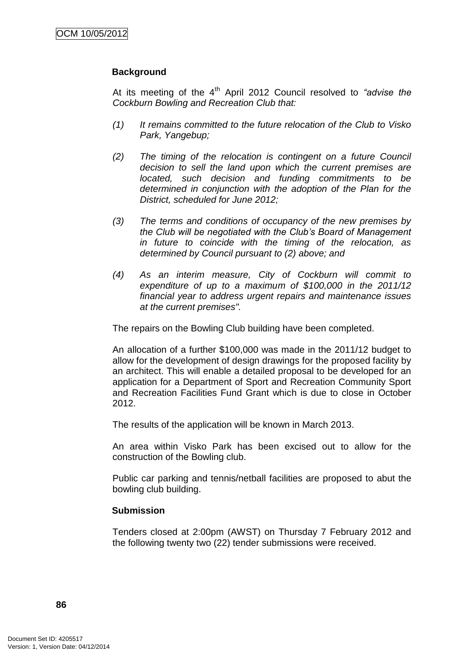# **Background**

At its meeting of the 4<sup>th</sup> April 2012 Council resolved to "advise the *Cockburn Bowling and Recreation Club that:*

- *(1) It remains committed to the future relocation of the Club to Visko Park, Yangebup;*
- *(2) The timing of the relocation is contingent on a future Council decision to sell the land upon which the current premises are located, such decision and funding commitments to be determined in conjunction with the adoption of the Plan for the District, scheduled for June 2012;*
- *(3) The terms and conditions of occupancy of the new premises by the Club will be negotiated with the Club's Board of Management in future to coincide with the timing of the relocation, as determined by Council pursuant to (2) above; and*
- *(4) As an interim measure, City of Cockburn will commit to expenditure of up to a maximum of \$100,000 in the 2011/12 financial year to address urgent repairs and maintenance issues at the current premises".*

The repairs on the Bowling Club building have been completed.

An allocation of a further \$100,000 was made in the 2011/12 budget to allow for the development of design drawings for the proposed facility by an architect. This will enable a detailed proposal to be developed for an application for a Department of Sport and Recreation Community Sport and Recreation Facilities Fund Grant which is due to close in October 2012.

The results of the application will be known in March 2013.

An area within Visko Park has been excised out to allow for the construction of the Bowling club.

Public car parking and tennis/netball facilities are proposed to abut the bowling club building.

# **Submission**

Tenders closed at 2:00pm (AWST) on Thursday 7 February 2012 and the following twenty two (22) tender submissions were received.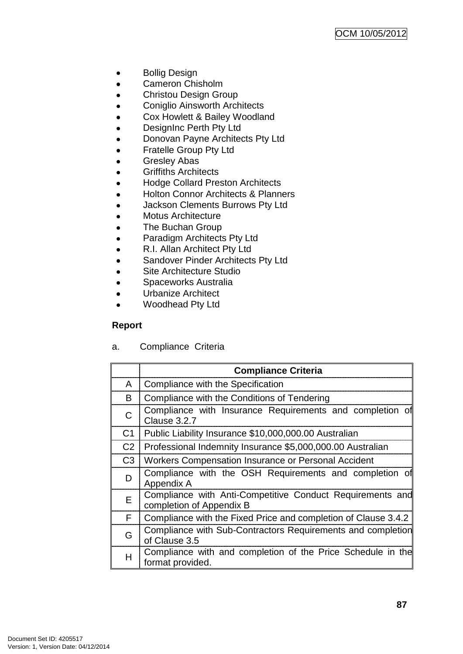- Bollig Design  $\bullet$
- Cameron Chisholm  $\bullet$
- Christou Design Group  $\bullet$
- Coniglio Ainsworth Architects  $\bullet$
- Cox Howlett & Bailey Woodland  $\bullet$
- DesignInc Perth Pty Ltd  $\bullet$
- Donovan Payne Architects Pty Ltd  $\bullet$
- Fratelle Group Pty Ltd  $\bullet$
- Gresley Abas  $\bullet$
- Griffiths Architects  $\bullet$
- Hodge Collard Preston Architects  $\bullet$
- Holton Connor Architects & Planners  $\bullet$
- Jackson Clements Burrows Pty Ltd  $\bullet$
- $\bullet$ Motus Architecture
- The Buchan Group  $\bullet$
- Paradigm Architects Pty Ltd  $\bullet$
- R.I. Allan Architect Pty Ltd  $\bullet$
- $\bullet$ Sandover Pinder Architects Pty Ltd
- Site Architecture Studio  $\bullet$
- Spaceworks Australia  $\bullet$
- Urbanize Architect  $\bullet$
- Woodhead Pty Ltd  $\bullet$

# **Report**

a. Compliance Criteria

|                | <b>Compliance Criteria</b>                                                            |
|----------------|---------------------------------------------------------------------------------------|
| A              | Compliance with the Specification                                                     |
| В              | Compliance with the Conditions of Tendering                                           |
| С              | Compliance with Insurance Requirements and completion of<br>Clause 3.2.7              |
| C <sub>1</sub> | Public Liability Insurance \$10,000,000.00 Australian                                 |
| C <sub>2</sub> | Professional Indemnity Insurance \$5,000,000.00 Australian                            |
| C3             | Workers Compensation Insurance or Personal Accident                                   |
| D              | Compliance with the OSH Requirements and completion of<br>Appendix A                  |
| Е              | Compliance with Anti-Competitive Conduct Requirements and<br>completion of Appendix B |
| F              | Compliance with the Fixed Price and completion of Clause 3.4.2                        |
| G              | Compliance with Sub-Contractors Requirements and completion<br>of Clause 3.5          |
| H              | Compliance with and completion of the Price Schedule in the<br>format provided.       |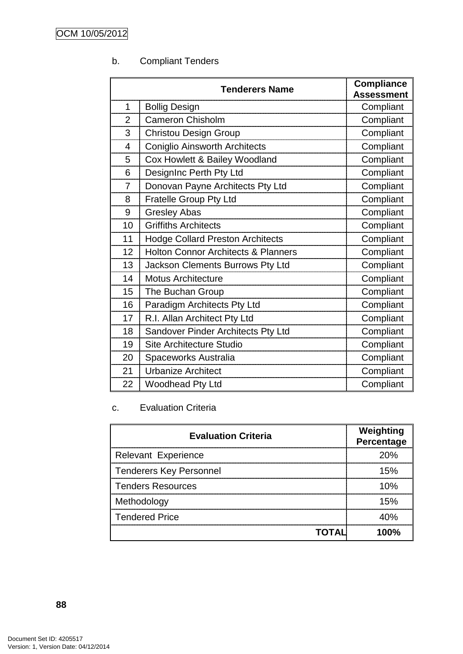# b. Compliant Tenders

| <b>Tenderers Name</b> |                                                | <b>Compliance</b> |
|-----------------------|------------------------------------------------|-------------------|
|                       |                                                | <b>Assessment</b> |
| 1                     | <b>Bollig Design</b>                           | Compliant         |
| $\overline{2}$        | <b>Cameron Chisholm</b>                        | Compliant         |
| 3                     | <b>Christou Design Group</b>                   | Compliant         |
| 4                     | <b>Coniglio Ainsworth Architects</b>           | Compliant         |
| 5                     | Cox Howlett & Bailey Woodland                  | Compliant         |
| 6                     | DesignInc Perth Pty Ltd                        | Compliant         |
| $\overline{7}$        | Donovan Payne Architects Pty Ltd               | Compliant         |
| 8                     | <b>Fratelle Group Pty Ltd</b>                  | Compliant         |
| 9                     | <b>Gresley Abas</b>                            | Compliant         |
| 10                    | <b>Griffiths Architects</b>                    | Compliant         |
| 11                    | <b>Hodge Collard Preston Architects</b>        | Compliant         |
| 12                    | <b>Holton Connor Architects &amp; Planners</b> | Compliant         |
| 13                    | Jackson Clements Burrows Pty Ltd               | Compliant         |
| 14                    | <b>Motus Architecture</b>                      | Compliant         |
| 15                    | The Buchan Group                               | Compliant         |
| 16                    | Paradigm Architects Pty Ltd                    | Compliant         |
| 17                    | R.I. Allan Architect Pty Ltd                   | Compliant         |
| 18                    | Sandover Pinder Architects Pty Ltd             | Compliant         |
| 19                    | Site Architecture Studio                       | Compliant         |
| 20                    | Spaceworks Australia                           | Compliant         |
| 21                    | <b>Urbanize Architect</b>                      | Compliant         |
| 22                    | <b>Woodhead Pty Ltd</b>                        | Compliant         |

# c. Evaluation Criteria

| <b>Evaluation Criteria</b>     | Weighting<br>Percentage |
|--------------------------------|-------------------------|
| <b>Relevant Experience</b>     | 20%                     |
| <b>Tenderers Key Personnel</b> | 15%                     |
| <b>Tenders Resources</b>       | 10%                     |
| Methodology                    | 15%                     |
| <b>Tendered Price</b>          | ⊿∩%                     |
| TOTAL                          | nn%                     |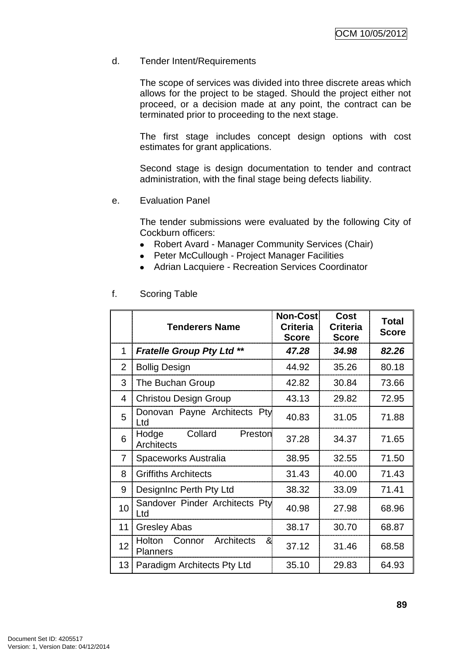## d. Tender Intent/Requirements

The scope of services was divided into three discrete areas which allows for the project to be staged. Should the project either not proceed, or a decision made at any point, the contract can be terminated prior to proceeding to the next stage.

The first stage includes concept design options with cost estimates for grant applications.

Second stage is design documentation to tender and contract administration, with the final stage being defects liability.

e. Evaluation Panel

The tender submissions were evaluated by the following City of Cockburn officers:

- Robert Avard Manager Community Services (Chair)
- Peter McCullough Project Manager Facilities
- Adrian Lacquiere Recreation Services Coordinator  $\bullet$

|    | <b>Tenderers Name</b>                                         | <b>Non-Cost</b><br><b>Criteria</b><br><b>Score</b> | <b>Cost</b><br><b>Criteria</b><br><b>Score</b> | <b>Total</b><br><b>Score</b> |
|----|---------------------------------------------------------------|----------------------------------------------------|------------------------------------------------|------------------------------|
| 1  | <b>Fratelle Group Pty Ltd **</b>                              | 47.28                                              | 34.98                                          | 82.26                        |
| 2  | <b>Bollig Design</b>                                          | 44.92                                              | 35.26                                          | 80.18                        |
| 3  | The Buchan Group                                              | 42.82                                              | 30.84                                          | 73.66                        |
| 4  | <b>Christou Design Group</b>                                  | 43.13                                              | 29.82                                          | 72.95                        |
| 5  | Donovan Payne Architects Pty<br>Ltd                           | 40.83                                              | 31.05                                          | 71.88                        |
| 6  | Collard<br>Hodge<br>Preston<br>Architects                     | 37.28                                              | 34.37                                          | 71.65                        |
| 7  | Spaceworks Australia                                          | 38.95                                              | 32.55                                          | 71.50                        |
| 8  | <b>Griffiths Architects</b>                                   | 31.43                                              | 40.00                                          | 71.43                        |
| 9  | DesignInc Perth Pty Ltd                                       | 38.32                                              | 33.09                                          | 71.41                        |
| 10 | Sandover Pinder Architects Pty<br>Ltd                         | 40.98                                              | 27.98                                          | 68.96                        |
| 11 | <b>Gresley Abas</b>                                           | 38.17                                              | 30.70                                          | 68.87                        |
| 12 | Architects<br><b>Holton</b><br>Connor<br>&<br><b>Planners</b> | 37.12                                              | 31.46                                          | 68.58                        |
|    | 13 Paradigm Architects Pty Ltd                                | 35.10                                              | 29.83                                          | 64.93                        |

#### f. Scoring Table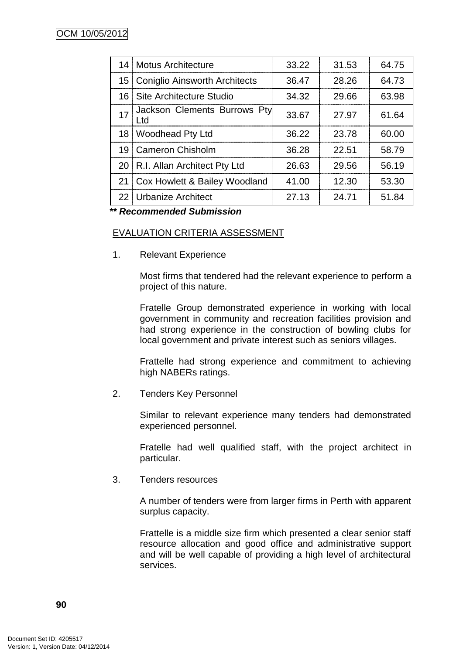|    | 14 Motus Architecture                | 33.22 | 31.53 | 64.75 |
|----|--------------------------------------|-------|-------|-------|
|    | 15 Coniglio Ainsworth Architects     | 36.47 | 28.26 | 64.73 |
|    | 16 Site Architecture Studio          | 34.32 | 29.66 | 63.98 |
| 17 | Jackson Clements Burrows Pty<br>l td | 33.67 | 27.97 | 61.64 |
|    | 18 Woodhead Pty Ltd                  | 36.22 | 23.78 | 60.00 |
|    | 19 Cameron Chisholm                  | 36.28 | 22.51 | 58.79 |
|    | 20 R.I. Allan Architect Pty Ltd      | 26.63 | 29.56 | 56.19 |
|    | 21 Cox Howlett & Bailey Woodland     | 41.00 | 12.30 | 53.30 |
|    | 22 Urbanize Architect                | 27.13 | 24.71 | 51.84 |

*\*\* Recommended Submission*

# EVALUATION CRITERIA ASSESSMENT

1. Relevant Experience

Most firms that tendered had the relevant experience to perform a project of this nature.

Fratelle Group demonstrated experience in working with local government in community and recreation facilities provision and had strong experience in the construction of bowling clubs for local government and private interest such as seniors villages.

Frattelle had strong experience and commitment to achieving high NABERs ratings.

2. Tenders Key Personnel

Similar to relevant experience many tenders had demonstrated experienced personnel.

Fratelle had well qualified staff, with the project architect in particular.

3. Tenders resources

A number of tenders were from larger firms in Perth with apparent surplus capacity.

Frattelle is a middle size firm which presented a clear senior staff resource allocation and good office and administrative support and will be well capable of providing a high level of architectural services.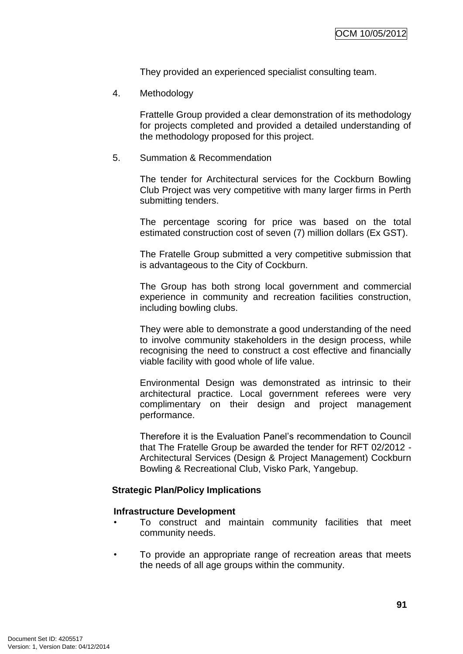They provided an experienced specialist consulting team.

4. Methodology

Frattelle Group provided a clear demonstration of its methodology for projects completed and provided a detailed understanding of the methodology proposed for this project.

5. Summation & Recommendation

The tender for Architectural services for the Cockburn Bowling Club Project was very competitive with many larger firms in Perth submitting tenders.

The percentage scoring for price was based on the total estimated construction cost of seven (7) million dollars (Ex GST).

The Fratelle Group submitted a very competitive submission that is advantageous to the City of Cockburn.

The Group has both strong local government and commercial experience in community and recreation facilities construction, including bowling clubs.

They were able to demonstrate a good understanding of the need to involve community stakeholders in the design process, while recognising the need to construct a cost effective and financially viable facility with good whole of life value.

Environmental Design was demonstrated as intrinsic to their architectural practice. Local government referees were very complimentary on their design and project management performance.

Therefore it is the Evaluation Panel"s recommendation to Council that The Fratelle Group be awarded the tender for RFT 02/2012 - Architectural Services (Design & Project Management) Cockburn Bowling & Recreational Club, Visko Park, Yangebup.

# **Strategic Plan/Policy Implications**

#### **Infrastructure Development**

- To construct and maintain community facilities that meet community needs.
- To provide an appropriate range of recreation areas that meets the needs of all age groups within the community.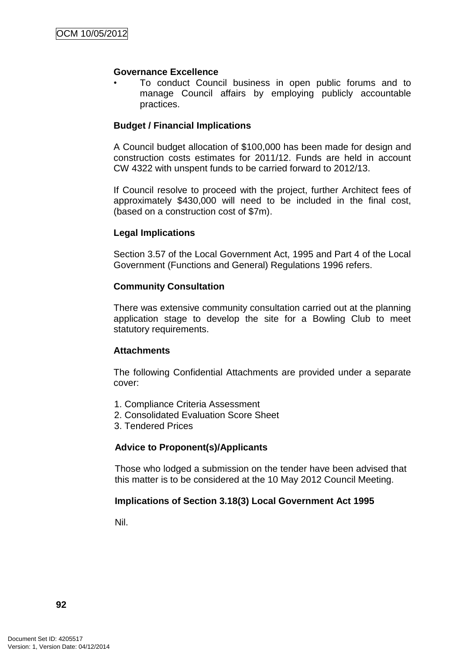#### **Governance Excellence**

• To conduct Council business in open public forums and to manage Council affairs by employing publicly accountable practices.

# **Budget / Financial Implications**

A Council budget allocation of \$100,000 has been made for design and construction costs estimates for 2011/12. Funds are held in account CW 4322 with unspent funds to be carried forward to 2012/13.

If Council resolve to proceed with the project, further Architect fees of approximately \$430,000 will need to be included in the final cost, (based on a construction cost of \$7m).

# **Legal Implications**

Section 3.57 of the Local Government Act, 1995 and Part 4 of the Local Government (Functions and General) Regulations 1996 refers.

# **Community Consultation**

There was extensive community consultation carried out at the planning application stage to develop the site for a Bowling Club to meet statutory requirements.

# **Attachments**

The following Confidential Attachments are provided under a separate cover:

- 1. Compliance Criteria Assessment
- 2. Consolidated Evaluation Score Sheet
- 3. Tendered Prices

# **Advice to Proponent(s)/Applicants**

Those who lodged a submission on the tender have been advised that this matter is to be considered at the 10 May 2012 Council Meeting.

# **Implications of Section 3.18(3) Local Government Act 1995**

Nil.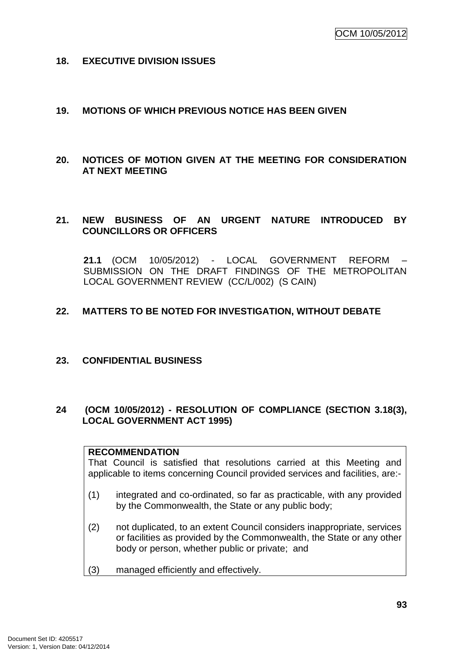## **18. EXECUTIVE DIVISION ISSUES**

## **19. MOTIONS OF WHICH PREVIOUS NOTICE HAS BEEN GIVEN**

**20. NOTICES OF MOTION GIVEN AT THE MEETING FOR CONSIDERATION AT NEXT MEETING**

# **21. NEW BUSINESS OF AN URGENT NATURE INTRODUCED BY COUNCILLORS OR OFFICERS**

**21.1** (OCM 10/05/2012) - LOCAL GOVERNMENT REFORM – SUBMISSION ON THE DRAFT FINDINGS OF THE METROPOLITAN LOCAL GOVERNMENT REVIEW (CC/L/002) (S CAIN)

# **22. MATTERS TO BE NOTED FOR INVESTIGATION, WITHOUT DEBATE**

# **23. CONFIDENTIAL BUSINESS**

# **24 (OCM 10/05/2012) - RESOLUTION OF COMPLIANCE (SECTION 3.18(3), LOCAL GOVERNMENT ACT 1995)**

#### **RECOMMENDATION**

That Council is satisfied that resolutions carried at this Meeting and applicable to items concerning Council provided services and facilities, are:-

- (1) integrated and co-ordinated, so far as practicable, with any provided by the Commonwealth, the State or any public body;
- (2) not duplicated, to an extent Council considers inappropriate, services or facilities as provided by the Commonwealth, the State or any other body or person, whether public or private; and
- (3) managed efficiently and effectively.